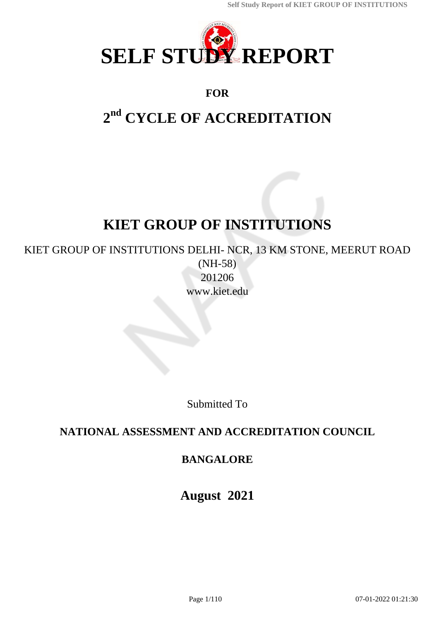

## **FOR**

# **2 nd CYCLE OF ACCREDITATION**

# **KIET GROUP OF INSTITUTIONS**

KIET GROUP OF INSTITUTIONS DELHI- NCR, 13 KM STONE, MEERUT ROAD (NH-58) 201206

www.kiet.edu

Submitted To

# **NATIONAL ASSESSMENT AND ACCREDITATION COUNCIL**

## **BANGALORE**

**August 2021**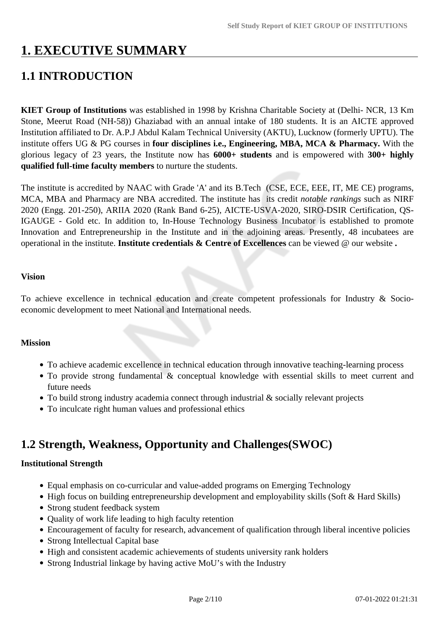# **1. EXECUTIVE SUMMARY**

# **1.1 INTRODUCTION**

**KIET Group of Institutions** was established in 1998 by Krishna Charitable Society at (Delhi- NCR, 13 Km Stone, Meerut Road (NH-58)) Ghaziabad with an annual intake of 180 students. It is an AICTE approved Institution affiliated to Dr. A.P.J Abdul Kalam Technical University (AKTU), Lucknow (formerly UPTU). The institute offers UG & PG courses in **four disciplines i.e., Engineering, MBA, MCA & Pharmacy.** With the glorious legacy of 23 years, the Institute now has **6000+ students** and is empowered with **300+ highly qualified full-time faculty members** to nurture the students.

The institute is accredited by NAAC with Grade 'A' and its B.Tech (CSE, ECE, EEE, IT, ME CE) programs, MCA, MBA and Pharmacy are NBA accredited. The institute has its credit *notable rankings* such as NIRF 2020 (Engg. 201-250), ARIIA 2020 (Rank Band 6-25), AICTE-USVA-2020, SIRO-DSIR Certification, QS-IGAUGE - Gold etc. In addition to, In-House Technology Business Incubator is established to promote Innovation and Entrepreneurship in the Institute and in the adjoining areas. Presently, 48 incubatees are operational in the institute. **Institute credentials & Centre of Excellences** can be viewed @ our website **.**

#### **Vision**

To achieve excellence in technical education and create competent professionals for Industry & Socioeconomic development to meet National and International needs.

#### **Mission**

- To achieve academic excellence in technical education through innovative teaching-learning process
- To provide strong fundamental & conceptual knowledge with essential skills to meet current and future needs
- To build strong industry academia connect through industrial & socially relevant projects
- To inculcate right human values and professional ethics

# **1.2 Strength, Weakness, Opportunity and Challenges(SWOC)**

#### **Institutional Strength**

- Equal emphasis on co-curricular and value-added programs on Emerging Technology
- High focus on building entrepreneurship development and employability skills (Soft & Hard Skills)
- Strong student feedback system
- Quality of work life leading to high faculty retention
- Encouragement of faculty for research, advancement of qualification through liberal incentive policies
- Strong Intellectual Capital base
- High and consistent academic achievements of students university rank holders
- Strong Industrial linkage by having active MoU's with the Industry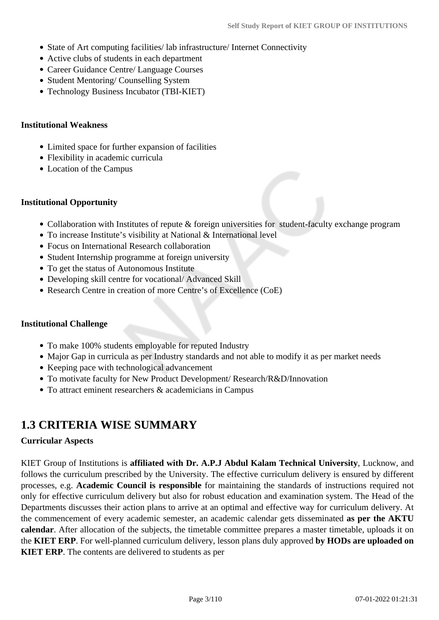- State of Art computing facilities/ lab infrastructure/ Internet Connectivity
- Active clubs of students in each department
- Career Guidance Centre/ Language Courses
- Student Mentoring/ Counselling System
- Technology Business Incubator (TBI-KIET)

#### **Institutional Weakness**

- Limited space for further expansion of facilities
- Flexibility in academic curricula
- Location of the Campus

#### **Institutional Opportunity**

- Collaboration with Institutes of repute & foreign universities for student-faculty exchange program
- To increase Institute's visibility at National & International level
- Focus on International Research collaboration
- Student Internship programme at foreign university
- To get the status of Autonomous Institute
- Developing skill centre for vocational/ Advanced Skill
- Research Centre in creation of more Centre's of Excellence (CoE)

#### **Institutional Challenge**

- To make 100% students employable for reputed Industry
- Major Gap in curricula as per Industry standards and not able to modify it as per market needs
- Keeping pace with technological advancement
- To motivate faculty for New Product Development/ Research/R&D/Innovation
- To attract eminent researchers & academicians in Campus

# **1.3 CRITERIA WISE SUMMARY**

#### **Curricular Aspects**

KIET Group of Institutions is **affiliated with Dr. A.P.J Abdul Kalam Technical University**, Lucknow, and follows the curriculum prescribed by the University. The effective curriculum delivery is ensured by different processes, e.g. **Academic Council is responsible** for maintaining the standards of instructions required not only for effective curriculum delivery but also for robust education and examination system. The Head of the Departments discusses their action plans to arrive at an optimal and effective way for curriculum delivery. At the commencement of every academic semester, an academic calendar gets disseminated **as per the AKTU calendar**. After allocation of the subjects, the timetable committee prepares a master timetable, uploads it on the **KIET ERP**. For well-planned curriculum delivery, lesson plans duly approved **by HODs are uploaded on KIET ERP**. The contents are delivered to students as per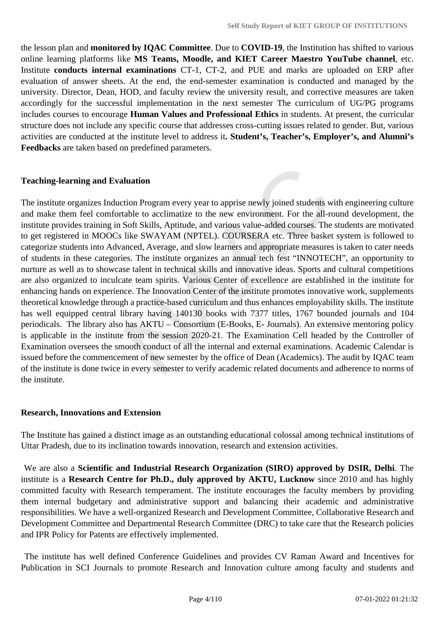the lesson plan and **monitored by IQAC Committee**. Due to **COVID-19**, the Institution has shifted to various online learning platforms like **MS Teams, Moodle, and KIET Career Maestro YouTube channel**, etc. Institute **conducts internal examinations** CT-1, CT-2, and PUE and marks are uploaded on ERP after evaluation of answer sheets. At the end, the end-semester examination is conducted and managed by the university. Director, Dean, HOD, and faculty review the university result, and corrective measures are taken accordingly for the successful implementation in the next semester The curriculum of UG/PG programs includes courses to encourage **Human Values and Professional Ethics** in students. At present, the curricular structure does not include any specific course that addresses cross-cutting issues related to gender. But, various activities are conducted at the institute level to address it**. Student's, Teacher's, Employer's, and Alumni's Feedbacks** are taken based on predefined parameters.

#### **Teaching-learning and Evaluation**

The institute organizes Induction Program every year to apprise newly joined students with engineering culture and make them feel comfortable to acclimatize to the new environment. For the all-round development, the institute provides training in Soft Skills, Aptitude, and various value-added courses. The students are motivated to get registered in MOOCs like SWAYAM (NPTEL). COURSERA etc. Three basket system is followed to categorize students into Advanced, Average, and slow learners and appropriate measures is taken to cater needs of students in these categories. The institute organizes an annual tech fest "INNOTECH", an opportunity to nurture as well as to showcase talent in technical skills and innovative ideas. Sports and cultural competitions are also organized to inculcate team spirits. Various Center of excellence are established in the institute for enhancing hands on experience. The Innovation Center of the institute promotes innovative work, supplements theoretical knowledge through a practice-based curriculum and thus enhances employability skills. The institute has well equipped central library having 140130 books with 7377 titles, 1767 bounded journals and 104 periodicals. The library also has AKTU – Consortium (E-Books, E- Journals). An extensive mentoring policy is applicable in the institute from the session 2020-21. The Examination Cell headed by the Controller of Examination oversees the smooth conduct of all the internal and external examinations. Academic Calendar is issued before the commencement of new semester by the office of Dean (Academics). The audit by IQAC team of the institute is done twice in every semester to verify academic related documents and adherence to norms of the institute.

#### **Research, Innovations and Extension**

The Institute has gained a distinct image as an outstanding educational colossal among technical institutions of Uttar Pradesh, due to its inclination towards innovation, research and extension activities.

 We are also a **Scientific and Industrial Research Organization (SIRO) approved by DSIR, Delhi**. The institute is a **Research Centre for Ph.D., duly approved by AKTU, Lucknow** since 2010 and has highly committed faculty with Research temperament. The institute encourages the faculty members by providing them internal budgetary and administrative support and balancing their academic and administrative responsibilities. We have a well-organized Research and Development Committee, Collaborative Research and Development Committee and Departmental Research Committee (DRC) to take care that the Research policies and IPR Policy for Patents are effectively implemented.

 The institute has well defined Conference Guidelines and provides CV Raman Award and Incentives for Publication in SCI Journals to promote Research and Innovation culture among faculty and students and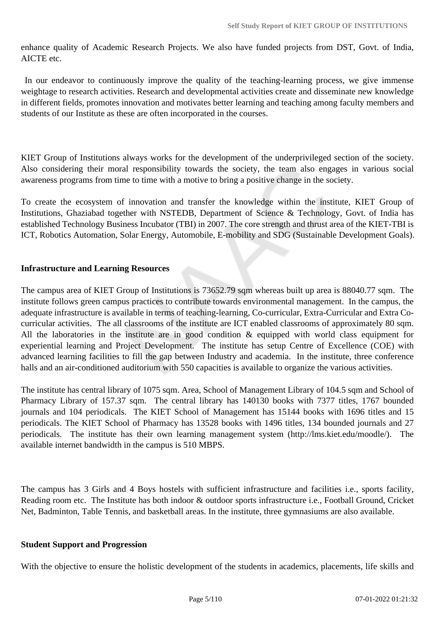enhance quality of Academic Research Projects. We also have funded projects from DST, Govt. of India, AICTE etc.

 In our endeavor to continuously improve the quality of the teaching-learning process, we give immense weightage to research activities. Research and developmental activities create and disseminate new knowledge in different fields, promotes innovation and motivates better learning and teaching among faculty members and students of our Institute as these are often incorporated in the courses.

KIET Group of Institutions always works for the development of the underprivileged section of the society. Also considering their moral responsibility towards the society, the team also engages in various social awareness programs from time to time with a motive to bring a positive change in the society.

To create the ecosystem of innovation and transfer the knowledge within the institute, KIET Group of Institutions, Ghaziabad together with NSTEDB, Department of Science & Technology, Govt. of India has established Technology Business Incubator (TBI) in 2007. The core strength and thrust area of the KIET-TBI is ICT, Robotics Automation, Solar Energy, Automobile, E-mobility and SDG (Sustainable Development Goals).

#### **Infrastructure and Learning Resources**

The campus area of KIET Group of Institutions is 73652.79 sqm whereas built up area is 88040.77 sqm. The institute follows green campus practices to contribute towards environmental management. In the campus, the adequate infrastructure is available in terms of teaching-learning, Co-curricular, Extra-Curricular and Extra Cocurricular activities. The all classrooms of the institute are ICT enabled classrooms of approximately 80 sqm. All the laboratories in the institute are in good condition & equipped with world class equipment for experiential learning and Project Development. The institute has setup Centre of Excellence (COE) with advanced learning facilities to fill the gap between Industry and academia. In the institute, three conference halls and an air-conditioned auditorium with 550 capacities is available to organize the various activities.

The institute has central library of 1075 sqm. Area, School of Management Library of 104.5 sqm and School of Pharmacy Library of 157.37 sqm. The central library has 140130 books with 7377 titles, 1767 bounded journals and 104 periodicals. The KIET School of Management has 15144 books with 1696 titles and 15 periodicals. The KIET School of Pharmacy has 13528 books with 1496 titles, 134 bounded journals and 27 periodicals. The institute has their own learning management system (http://lms.kiet.edu/moodle/). The available internet bandwidth in the campus is 510 MBPS.

The campus has 3 Girls and 4 Boys hostels with sufficient infrastructure and facilities i.e., sports facility, Reading room etc. The Institute has both indoor & outdoor sports infrastructure i.e., Football Ground, Cricket Net, Badminton, Table Tennis, and basketball areas. In the institute, three gymnasiums are also available.

#### **Student Support and Progression**

With the objective to ensure the holistic development of the students in academics, placements, life skills and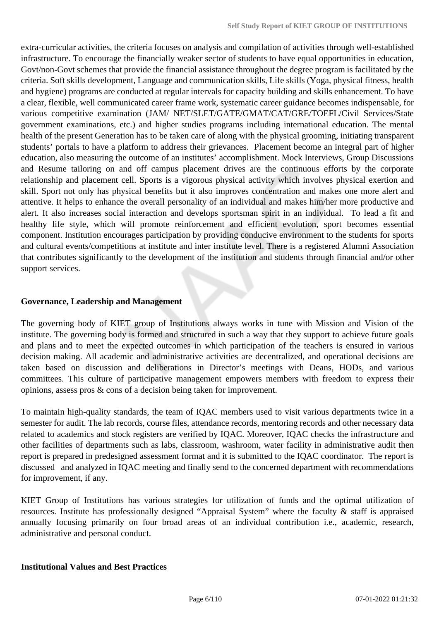extra-curricular activities, the criteria focuses on analysis and compilation of activities through well-established infrastructure. To encourage the financially weaker sector of students to have equal opportunities in education, Govt/non-Govt schemes that provide the financial assistance throughout the degree program is facilitated by the criteria. Soft skills development, Language and communication skills, Life skills (Yoga, physical fitness, health and hygiene) programs are conducted at regular intervals for capacity building and skills enhancement. To have a clear, flexible, well communicated career frame work, systematic career guidance becomes indispensable, for various competitive examination (JAM/ NET/SLET/GATE/GMAT/CAT/GRE/TOEFL/Civil Services/State government examinations, etc.) and higher studies programs including international education. The mental health of the present Generation has to be taken care of along with the physical grooming, initiating transparent students' portals to have a platform to address their grievances. Placement become an integral part of higher education, also measuring the outcome of an institutes' accomplishment. Mock Interviews, Group Discussions and Resume tailoring on and off campus placement drives are the continuous efforts by the corporate relationship and placement cell. Sports is a vigorous physical activity which involves physical exertion and skill. Sport not only has physical benefits but it also improves concentration and makes one more alert and attentive. It helps to enhance the overall personality of an individual and makes him/her more productive and alert. It also increases social interaction and develops sportsman spirit in an individual. To lead a fit and healthy life style, which will promote reinforcement and efficient evolution, sport becomes essential component. Institution encourages participation by providing conducive environment to the students for sports and cultural events/competitions at institute and inter institute level. There is a registered Alumni Association that contributes significantly to the development of the institution and students through financial and/or other support services.

#### **Governance, Leadership and Management**

The governing body of KIET group of Institutions always works in tune with Mission and Vision of the institute. The governing body is formed and structured in such a way that they support to achieve future goals and plans and to meet the expected outcomes in which participation of the teachers is ensured in various decision making. All academic and administrative activities are decentralized, and operational decisions are taken based on discussion and deliberations in Director's meetings with Deans, HODs, and various committees. This culture of participative management empowers members with freedom to express their opinions, assess pros & cons of a decision being taken for improvement.

To maintain high-quality standards, the team of IQAC members used to visit various departments twice in a semester for audit. The lab records, course files, attendance records, mentoring records and other necessary data related to academics and stock registers are verified by IQAC. Moreover, IQAC checks the infrastructure and other facilities of departments such as labs, classroom, washroom, water facility in administrative audit then report is prepared in predesigned assessment format and it is submitted to the IQAC coordinator. The report is discussed and analyzed in IQAC meeting and finally send to the concerned department with recommendations for improvement, if any.

KIET Group of Institutions has various strategies for utilization of funds and the optimal utilization of resources. Institute has professionally designed "Appraisal System" where the faculty & staff is appraised annually focusing primarily on four broad areas of an individual contribution i.e., academic, research, administrative and personal conduct.

#### **Institutional Values and Best Practices**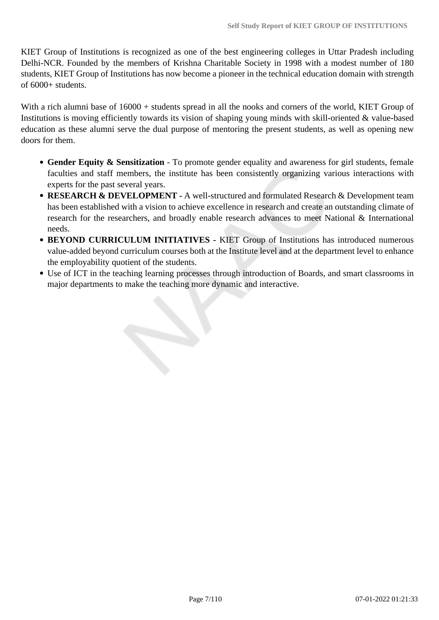KIET Group of Institutions is recognized as one of the best engineering colleges in Uttar Pradesh including Delhi-NCR. Founded by the members of Krishna Charitable Society in 1998 with a modest number of 180 students, KIET Group of Institutions has now become a pioneer in the technical education domain with strength of  $6000+$  students.

With a rich alumni base of  $16000 +$  students spread in all the nooks and corners of the world, KIET Group of Institutions is moving efficiently towards its vision of shaping young minds with skill-oriented & value-based education as these alumni serve the dual purpose of mentoring the present students, as well as opening new doors for them.

- **Gender Equity & Sensitization** To promote gender equality and awareness for girl students, female faculties and staff members, the institute has been consistently organizing various interactions with experts for the past several years.
- **RESEARCH & DEVELOPMENT A well-structured and formulated Research & Development team** has been established with a vision to achieve excellence in research and create an outstanding climate of research for the researchers, and broadly enable research advances to meet National & International needs.
- **BEYOND CURRICULUM INITIATIVES -** KIET Group of Institutions has introduced numerous value-added beyond curriculum courses both at the Institute level and at the department level to enhance the employability quotient of the students.
- Use of ICT in the teaching learning processes through introduction of Boards, and smart classrooms in major departments to make the teaching more dynamic and interactive.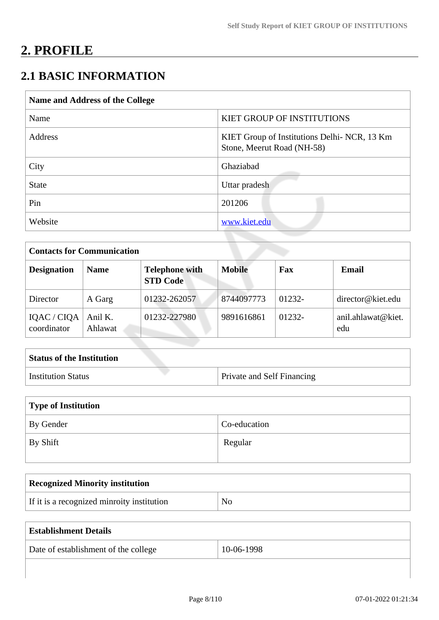# **2. PROFILE**

# **2.1 BASIC INFORMATION**

| Name and Address of the College |                                                                           |  |
|---------------------------------|---------------------------------------------------------------------------|--|
| Name                            | <b>KIET GROUP OF INSTITUTIONS</b>                                         |  |
| Address                         | KIET Group of Institutions Delhi-NCR, 13 Km<br>Stone, Meerut Road (NH-58) |  |
| City                            | Ghaziabad                                                                 |  |
| <b>State</b>                    | Uttar pradesh                                                             |  |
| Pin                             | 201206                                                                    |  |
| Website                         | www.kiet.edu                                                              |  |

| <b>Contacts for Communication</b> |                    |                                          |               |        |                           |
|-----------------------------------|--------------------|------------------------------------------|---------------|--------|---------------------------|
| <b>Designation</b>                | <b>Name</b>        | <b>Telephone with</b><br><b>STD Code</b> | <b>Mobile</b> | Fax    | Email                     |
| Director                          | A Garg             | 01232-262057                             | 8744097773    | 01232- | director@kiet.edu         |
| IQAC / CIQA<br>coordinator        | Anil K.<br>Ahlawat | 01232-227980                             | 9891616861    | 01232- | anil.ahlawat@kiet.<br>edu |

| <b>Status of the Institution</b> |                                   |
|----------------------------------|-----------------------------------|
| <b>Institution Status</b>        | <b>Private and Self Financing</b> |

| Type of Institution   |              |  |
|-----------------------|--------------|--|
| By Gender             | Co-education |  |
| <sup>1</sup> By Shift | Regular      |  |

| <b>Recognized Minority institution</b>     |     |
|--------------------------------------------|-----|
| If it is a recognized minroity institution | No. |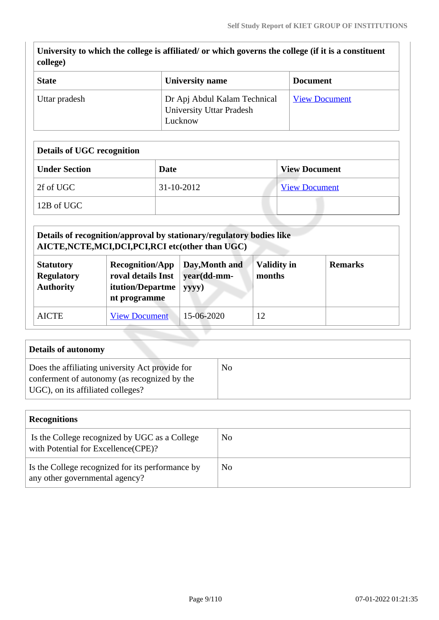**University to which the college is affiliated/ or which governs the college (if it is a constituent college)**

| <b>State</b>  | University name                                                     | <b>Document</b>      |
|---------------|---------------------------------------------------------------------|----------------------|
| Uttar pradesh | Dr Apj Abdul Kalam Technical<br>University Uttar Pradesh<br>Lucknow | <b>View Document</b> |

## **Details of UGC recognition**

| <b>Under Section</b>       | Date             | <b>View Document</b> |
|----------------------------|------------------|----------------------|
| 2f of UGC                  | $31 - 10 - 2012$ | <b>View Document</b> |
| $\vert$ 12B of UGC $\vert$ |                  |                      |

| Details of recognition/approval by stationary/regulatory bodies like<br>AICTE, NCTE, MCI, DCI, PCI, RCI etc(other than UGC)                                                                                                               |                      |            |    |  |
|-------------------------------------------------------------------------------------------------------------------------------------------------------------------------------------------------------------------------------------------|----------------------|------------|----|--|
| <b>Validity in</b><br><b>Recognition/App</b><br>Day, Month and<br><b>Remarks</b><br><b>Statutory</b><br>roval details Inst<br>year(dd-mm-<br><b>Regulatory</b><br>months<br><b>Authority</b><br>itution/Departme<br>yyyy)<br>nt programme |                      |            |    |  |
| <b>AICTE</b>                                                                                                                                                                                                                              | <b>View Document</b> | 15-06-2020 | 12 |  |

| <b>Details of autonomy</b>                                                                                                           |    |
|--------------------------------------------------------------------------------------------------------------------------------------|----|
| Does the affiliating university Act provide for<br>conferment of autonomy (as recognized by the<br>UGC), on its affiliated colleges? | No |

| <b>Recognitions</b>                                                                  |    |
|--------------------------------------------------------------------------------------|----|
| Is the College recognized by UGC as a College<br>with Potential for Excellence(CPE)? | No |
| Is the College recognized for its performance by<br>any other governmental agency?   | No |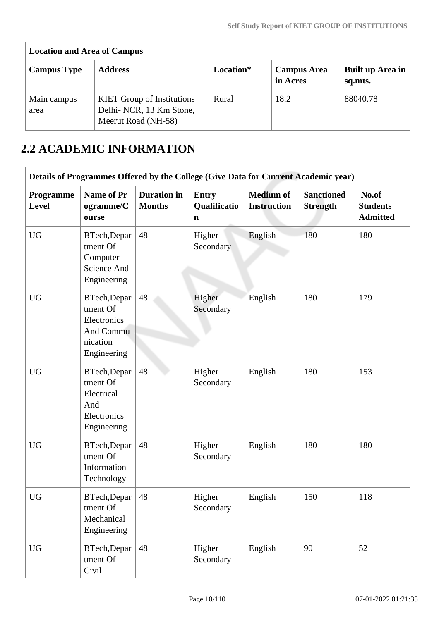| <b>Location and Area of Campus</b> |                                                                                     |           |                                |                             |
|------------------------------------|-------------------------------------------------------------------------------------|-----------|--------------------------------|-----------------------------|
| <b>Campus Type</b>                 | <b>Address</b>                                                                      | Location* | <b>Campus Area</b><br>in Acres | Built up Area in<br>sq.mts. |
| Main campus<br>area                | <b>KIET</b> Group of Institutions<br>Delhi-NCR, 13 Km Stone,<br>Meerut Road (NH-58) | Rural     | 18.2                           | 88040.78                    |

# **2.2 ACADEMIC INFORMATION**

|                    | Details of Programmes Offered by the College (Give Data for Current Academic year) |                                     |                                             |                                        |                                      |                                             |  |  |  |  |  |
|--------------------|------------------------------------------------------------------------------------|-------------------------------------|---------------------------------------------|----------------------------------------|--------------------------------------|---------------------------------------------|--|--|--|--|--|
| Programme<br>Level | <b>Name of Pr</b><br>ogramme/C<br>ourse                                            | <b>Duration</b> in<br><b>Months</b> | <b>Entry</b><br>Qualificatio<br>$\mathbf n$ | <b>Medium</b> of<br><b>Instruction</b> | <b>Sanctioned</b><br><b>Strength</b> | No.of<br><b>Students</b><br><b>Admitted</b> |  |  |  |  |  |
| <b>UG</b>          | BTech, Depar<br>tment Of<br>Computer<br>Science And<br>Engineering                 | 48                                  | Higher<br>Secondary                         | English                                | 180                                  | 180                                         |  |  |  |  |  |
| <b>UG</b>          | BTech, Depar<br>tment Of<br>Electronics<br>And Commu<br>nication<br>Engineering    | 48                                  | Higher<br>Secondary                         | English                                | 180                                  | 179                                         |  |  |  |  |  |
| <b>UG</b>          | BTech, Depar<br>tment Of<br>Electrical<br>And<br>Electronics<br>Engineering        | 48                                  | Higher<br>Secondary                         | English                                | 180                                  | 153                                         |  |  |  |  |  |
| <b>UG</b>          | BTech, Depar<br>tment Of<br>Information<br>Technology                              | 48                                  | Higher<br>Secondary                         | English                                | 180                                  | 180                                         |  |  |  |  |  |
| <b>UG</b>          | BTech, Depar<br>tment Of<br>Mechanical<br>Engineering                              | 48                                  | Higher<br>Secondary                         | English                                | 150                                  | 118                                         |  |  |  |  |  |
| <b>UG</b>          | BTech, Depar<br>tment Of<br>Civil                                                  | 48                                  | Higher<br>Secondary                         | English                                | 90                                   | 52                                          |  |  |  |  |  |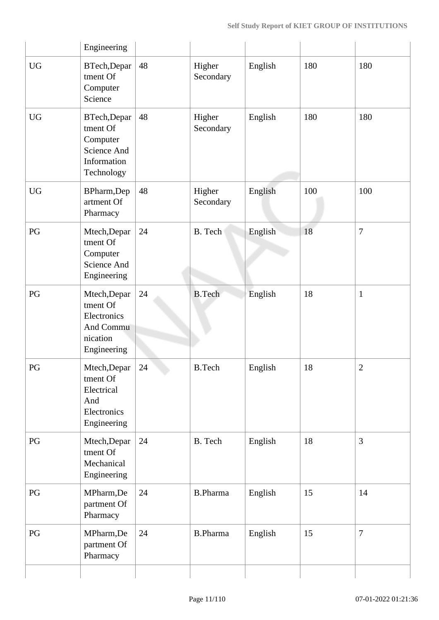|                        | Engineering                                                                      |    |                     |         |     |                  |
|------------------------|----------------------------------------------------------------------------------|----|---------------------|---------|-----|------------------|
| ${\rm U}{\rm G}$       | BTech, Depar<br>tment Of<br>Computer<br>Science                                  | 48 | Higher<br>Secondary | English | 180 | 180              |
| <b>UG</b>              | BTech, Depar<br>tment Of<br>Computer<br>Science And<br>Information<br>Technology | 48 | Higher<br>Secondary | English | 180 | 180              |
| $\mathbf{U}\mathbf{G}$ | BPharm, Dep<br>artment Of<br>Pharmacy                                            | 48 | Higher<br>Secondary | English | 100 | 100              |
| PG                     | Mtech, Depar<br>tment Of<br>Computer<br>Science And<br>Engineering               | 24 | B. Tech             | English | 18  | $\boldsymbol{7}$ |
| $\mathbf{P}\mathbf{G}$ | Mtech, Depar<br>tment Of<br>Electronics<br>And Commu<br>nication<br>Engineering  | 24 | <b>B.Tech</b>       | English | 18  | $\mathbf{1}$     |
| PG                     | Mtech, Depar<br>tment Of<br>Electrical<br>And<br>Electronics<br>Engineering      | 24 | <b>B.Tech</b>       | English | 18  | $\overline{2}$   |
| $\mathbf{P}\mathbf{G}$ | Mtech, Depar<br>tment Of<br>Mechanical<br>Engineering                            | 24 | B. Tech             | English | 18  | 3                |
| PG                     | MPharm,De<br>partment Of<br>Pharmacy                                             | 24 | <b>B.Pharma</b>     | English | 15  | 14               |
| PG                     | MPharm,De<br>partment Of<br>Pharmacy                                             | 24 | <b>B.Pharma</b>     | English | 15  | $\overline{7}$   |
|                        |                                                                                  |    |                     |         |     |                  |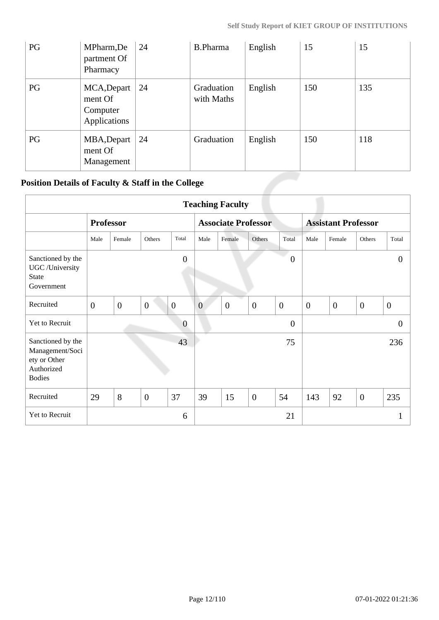| PG | MPharm, De<br>partment Of<br>Pharmacy              | 24 | <b>B.Pharma</b>          | English | 15  | 15  |
|----|----------------------------------------------------|----|--------------------------|---------|-----|-----|
| PG | MCA, Depart<br>ment Of<br>Computer<br>Applications | 24 | Graduation<br>with Maths | English | 150 | 135 |
| PG | MBA, Depart<br>ment Of<br>Management               | 24 | Graduation               | English | 150 | 118 |

## **Position Details of Faculty & Staff in the College**

|                                                                                     | <b>Teaching Faculty</b> |                  |                |                |                |                            |                |                |                            |                |                |                |
|-------------------------------------------------------------------------------------|-------------------------|------------------|----------------|----------------|----------------|----------------------------|----------------|----------------|----------------------------|----------------|----------------|----------------|
|                                                                                     |                         | <b>Professor</b> |                |                |                | <b>Associate Professor</b> |                |                | <b>Assistant Professor</b> |                |                |                |
|                                                                                     | Male                    | Female           | Others         | Total          | Male           | Female                     | Others         | Total          | Male                       | Female         | Others         | Total          |
| Sanctioned by the<br>UGC /University<br><b>State</b><br>Government                  |                         |                  |                | $\overline{0}$ |                |                            |                | $\overline{0}$ |                            |                |                | $\Omega$       |
| Recruited                                                                           | $\overline{0}$          | $\overline{0}$   | $\overline{0}$ | $\overline{0}$ | $\overline{0}$ | $\overline{0}$             | $\overline{0}$ | $\mathbf{0}$   | $\overline{0}$             | $\overline{0}$ | $\mathbf{0}$   | $\overline{0}$ |
| Yet to Recruit                                                                      |                         |                  |                | $\theta$       |                |                            |                | $\overline{0}$ |                            |                |                | $\theta$       |
| Sanctioned by the<br>Management/Soci<br>ety or Other<br>Authorized<br><b>Bodies</b> |                         |                  |                | 43             |                |                            |                | 75             |                            |                |                | 236            |
| Recruited                                                                           | 29                      | 8                | $\mathbf{0}$   | 37             | 39             | 15                         | $\overline{0}$ | 54             | 143                        | 92             | $\overline{0}$ | 235            |
| Yet to Recruit                                                                      |                         |                  |                | 6              |                |                            |                | 21             |                            |                |                |                |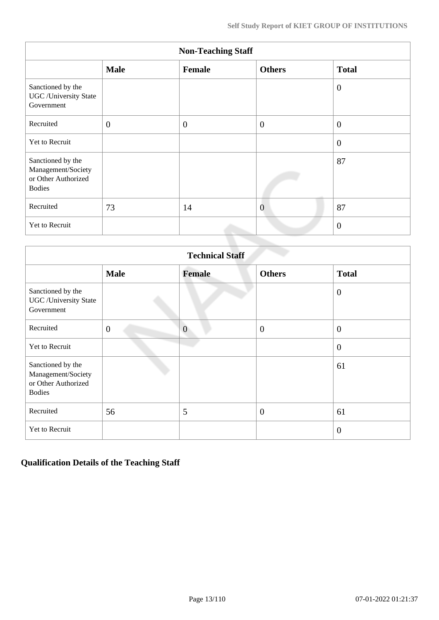| <b>Non-Teaching Staff</b>                                                       |              |                |                |                |  |  |  |  |  |  |
|---------------------------------------------------------------------------------|--------------|----------------|----------------|----------------|--|--|--|--|--|--|
|                                                                                 | <b>Male</b>  | Female         | <b>Others</b>  | <b>Total</b>   |  |  |  |  |  |  |
| Sanctioned by the<br><b>UGC</b> / University State<br>Government                |              |                |                | $\overline{0}$ |  |  |  |  |  |  |
| Recruited                                                                       | $\mathbf{0}$ | $\overline{0}$ | $\overline{0}$ | $\overline{0}$ |  |  |  |  |  |  |
| Yet to Recruit                                                                  |              |                |                | $\overline{0}$ |  |  |  |  |  |  |
| Sanctioned by the<br>Management/Society<br>or Other Authorized<br><b>Bodies</b> |              |                |                | 87             |  |  |  |  |  |  |
| Recruited                                                                       | 73           | 14             | $\overline{0}$ | 87             |  |  |  |  |  |  |
| Yet to Recruit                                                                  |              |                |                | $\mathbf{0}$   |  |  |  |  |  |  |

|                                                                                 | <b>Technical Staff</b> |                |                  |                  |  |  |  |  |  |  |  |
|---------------------------------------------------------------------------------|------------------------|----------------|------------------|------------------|--|--|--|--|--|--|--|
|                                                                                 | <b>Male</b>            | <b>Female</b>  | <b>Others</b>    | <b>Total</b>     |  |  |  |  |  |  |  |
| Sanctioned by the<br><b>UGC</b> / University State<br>Government                |                        |                |                  | $\overline{0}$   |  |  |  |  |  |  |  |
| Recruited                                                                       | $\overline{0}$         | $\overline{0}$ | $\overline{0}$   | $\boldsymbol{0}$ |  |  |  |  |  |  |  |
| Yet to Recruit                                                                  |                        |                |                  | $\overline{0}$   |  |  |  |  |  |  |  |
| Sanctioned by the<br>Management/Society<br>or Other Authorized<br><b>Bodies</b> |                        |                |                  | 61               |  |  |  |  |  |  |  |
| Recruited                                                                       | 56                     | 5              | $\boldsymbol{0}$ | 61               |  |  |  |  |  |  |  |
| Yet to Recruit                                                                  |                        |                |                  | $\overline{0}$   |  |  |  |  |  |  |  |

## **Qualification Details of the Teaching Staff**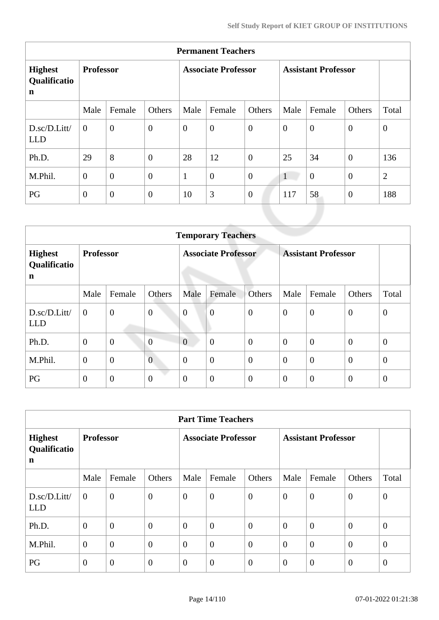| <b>Permanent Teachers</b>                     |                  |                |                |                |                            |                |              |                            |                  |                |  |
|-----------------------------------------------|------------------|----------------|----------------|----------------|----------------------------|----------------|--------------|----------------------------|------------------|----------------|--|
| <b>Highest</b><br>Qualificatio<br>$\mathbf n$ | <b>Professor</b> |                |                |                | <b>Associate Professor</b> |                |              | <b>Assistant Professor</b> |                  |                |  |
|                                               | Male             | Female         | Others         | Male           | Female                     | Others         | Male         | Female                     | Others           | Total          |  |
| D.sc/D.Litt/<br><b>LLD</b>                    | $\theta$         | $\overline{0}$ | $\overline{0}$ | $\overline{0}$ | $\overline{0}$             | $\overline{0}$ | $\theta$     | $\theta$                   | $\overline{0}$   | $\overline{0}$ |  |
| Ph.D.                                         | 29               | 8              | $\overline{0}$ | 28             | 12                         | $\overline{0}$ | 25           | 34                         | $\overline{0}$   | 136            |  |
| M.Phil.                                       | $\overline{0}$   | $\overline{0}$ | $\overline{0}$ | $\mathbf{1}$   | $\overline{0}$             | $\overline{0}$ | $\mathbf{1}$ | $\overline{0}$             | $\mathbf{0}$     | $\overline{2}$ |  |
| PG                                            | $\overline{0}$   | $\overline{0}$ | $\overline{0}$ | 10             | 3                          | $\overline{0}$ | 117          | 58                         | $\boldsymbol{0}$ | 188            |  |
| <b>THEFT</b>                                  |                  |                |                |                |                            |                |              |                            |                  |                |  |

| <b>Temporary Teachers</b>           |                  |                |                            |                |                  |                            |                |                |                  |                |  |
|-------------------------------------|------------------|----------------|----------------------------|----------------|------------------|----------------------------|----------------|----------------|------------------|----------------|--|
| <b>Highest</b><br>Qualificatio<br>n | <b>Professor</b> |                | <b>Associate Professor</b> |                |                  | <b>Assistant Professor</b> |                |                |                  |                |  |
|                                     | Male             | Female         | Others                     | Male           | Female           | Others                     | Male           | Female         | Others           | Total          |  |
| D.sc/D.Litt/<br><b>LLD</b>          | $\overline{0}$   | $\overline{0}$ | $\boldsymbol{0}$           | $\overline{0}$ | $\overline{0}$   | $\overline{0}$             | $\overline{0}$ | $\overline{0}$ | $\theta$         | $\mathbf{0}$   |  |
| Ph.D.                               | $\boldsymbol{0}$ | $\mathbf{0}$   | $\overline{0}$             | $\overline{0}$ | $\boldsymbol{0}$ | $\overline{0}$             | $\overline{0}$ | $\theta$       | $\overline{0}$   | $\overline{0}$ |  |
| M.Phil.                             | $\mathbf{0}$     | $\overline{0}$ | $\overline{0}$             | $\overline{0}$ | $\overline{0}$   | $\boldsymbol{0}$           | $\overline{0}$ | $\overline{0}$ | $\overline{0}$   | $\theta$       |  |
| PG                                  | $\mathbf{0}$     | $\mathbf{0}$   | $\boldsymbol{0}$           | $\overline{0}$ | $\boldsymbol{0}$ | $\theta$                   | $\theta$       | $\overline{0}$ | $\boldsymbol{0}$ | $\theta$       |  |

|                                     | <b>Part Time Teachers</b> |                |                            |                  |                  |                            |                |                  |                  |                |  |
|-------------------------------------|---------------------------|----------------|----------------------------|------------------|------------------|----------------------------|----------------|------------------|------------------|----------------|--|
| <b>Highest</b><br>Qualificatio<br>n | <b>Professor</b>          |                | <b>Associate Professor</b> |                  |                  | <b>Assistant Professor</b> |                |                  |                  |                |  |
|                                     | Male                      | Female         | Others                     | Male             | Female           | Others                     | Male           | Female           | Others           | Total          |  |
| D.sc/D.Litt/<br><b>LLD</b>          | $\theta$                  | $\overline{0}$ | $\overline{0}$             | $\boldsymbol{0}$ | $\boldsymbol{0}$ | $\theta$                   | $\overline{0}$ | $\overline{0}$   | $\overline{0}$   | $\overline{0}$ |  |
| Ph.D.                               | $\overline{0}$            | $\overline{0}$ | $\overline{0}$             | $\overline{0}$   | $\boldsymbol{0}$ | $\overline{0}$             | $\overline{0}$ | $\overline{0}$   | $\overline{0}$   | $\overline{0}$ |  |
| M.Phil.                             | $\theta$                  | $\overline{0}$ | $\overline{0}$             | $\mathbf{0}$     | $\boldsymbol{0}$ | $\overline{0}$             | $\overline{0}$ | $\boldsymbol{0}$ | $\overline{0}$   | $\overline{0}$ |  |
| PG                                  | $\overline{0}$            | $\theta$       | $\overline{0}$             | $\overline{0}$   | $\boldsymbol{0}$ | $\theta$                   | $\overline{0}$ | $\boldsymbol{0}$ | $\boldsymbol{0}$ | $\overline{0}$ |  |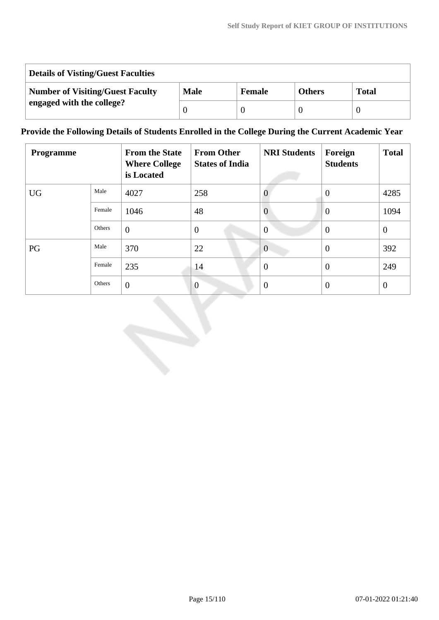| <b>Details of Visting/Guest Faculties</b> |             |               |               |              |  |  |  |  |
|-------------------------------------------|-------------|---------------|---------------|--------------|--|--|--|--|
| <b>Number of Visiting/Guest Faculty</b>   | <b>Male</b> | <b>Female</b> | <b>Others</b> | <b>Total</b> |  |  |  |  |
| engaged with the college?                 |             |               |               |              |  |  |  |  |

## **Provide the Following Details of Students Enrolled in the College During the Current Academic Year**

| <b>Programme</b> |        | <b>From the State</b><br><b>Where College</b><br>is Located | <b>From Other</b><br><b>States of India</b> | <b>NRI Students</b> | Foreign<br><b>Students</b> | <b>Total</b>   |
|------------------|--------|-------------------------------------------------------------|---------------------------------------------|---------------------|----------------------------|----------------|
| <b>UG</b>        | Male   | 4027                                                        | 258                                         | $\cup$              | $\theta$                   | 4285           |
|                  | Female | 1046                                                        | 48                                          | $\Omega$            | $\overline{0}$             | 1094           |
|                  | Others | $\overline{0}$                                              | $\overline{0}$                              | $\overline{0}$      | $\theta$                   | $\overline{0}$ |
| PG               | Male   | 370                                                         | 22                                          | $\overline{0}$      | $\theta$                   | 392            |
|                  | Female | 235                                                         | 14                                          | $\Omega$            | $\overline{0}$             | 249            |
|                  | Others | $\overline{0}$                                              | $\overline{0}$                              | $\theta$            | $\overline{0}$             | $\overline{0}$ |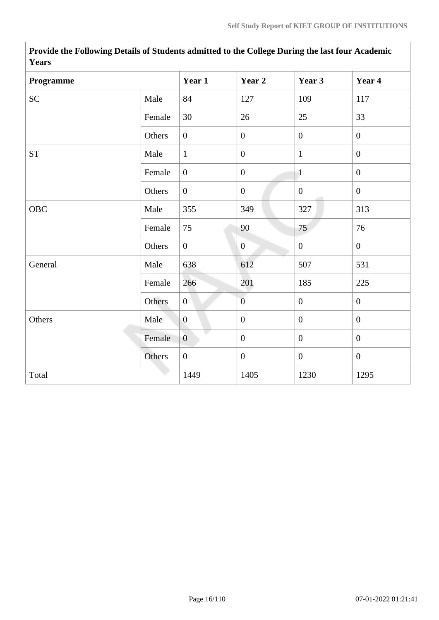| <b>Years</b>       |        |                  |                  |                  |                  |  |  |  |  |  |  |
|--------------------|--------|------------------|------------------|------------------|------------------|--|--|--|--|--|--|
| Programme          |        | Year 1           | Year 2           | Year 3           | Year 4           |  |  |  |  |  |  |
| <b>SC</b>          | Male   | 84               | 127              | 109              | 117              |  |  |  |  |  |  |
|                    | Female | 30               | 26               | 25               | 33               |  |  |  |  |  |  |
|                    | Others | $\overline{0}$   | $\boldsymbol{0}$ | $\overline{0}$   | $\boldsymbol{0}$ |  |  |  |  |  |  |
| ${\cal S}{\cal T}$ | Male   | $\mathbf{1}$     | $\boldsymbol{0}$ | $\mathbf{1}$     | $\overline{0}$   |  |  |  |  |  |  |
|                    | Female | $\mathbf{0}$     | $\boldsymbol{0}$ | $\mathbf{1}$     | $\overline{0}$   |  |  |  |  |  |  |
|                    | Others | $\overline{0}$   | $\overline{0}$   | $\overline{0}$   | $\overline{0}$   |  |  |  |  |  |  |
| OBC                | Male   | 355              | 349              | 327              | 313              |  |  |  |  |  |  |
|                    | Female | 75               | 90               | 75               | 76               |  |  |  |  |  |  |
|                    | Others | $\boldsymbol{0}$ | $\boldsymbol{0}$ | $\boldsymbol{0}$ | $\overline{0}$   |  |  |  |  |  |  |
| General            | Male   | 638              | 612              | 507              | 531              |  |  |  |  |  |  |
|                    | Female | 266              | 201              | 185              | 225              |  |  |  |  |  |  |
|                    | Others | $\overline{0}$   | $\overline{0}$   | $\overline{0}$   | $\overline{0}$   |  |  |  |  |  |  |
| Others             | Male   | $\overline{0}$   | $\overline{0}$   | $\overline{0}$   | $\mathbf{0}$     |  |  |  |  |  |  |
|                    | Female | $\overline{0}$   | $\overline{0}$   | $\overline{0}$   | $\overline{0}$   |  |  |  |  |  |  |
|                    | Others | $\overline{0}$   | $\boldsymbol{0}$ | $\overline{0}$   | $\overline{0}$   |  |  |  |  |  |  |
| Total              |        | 1449             | 1405             | 1230             | 1295             |  |  |  |  |  |  |

**Provide the Following Details of Students admitted to the College During the last four Academic Years**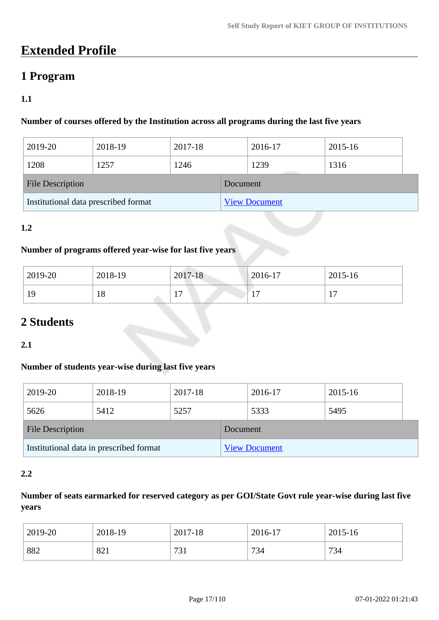# **Extended Profile**

## **1 Program**

## **1.1**

## **Number of courses offered by the Institution across all programs during the last five years**

| 2019-20                              | 2018-19 | 2017-18 |                      | 2016-17 | 2015-16 |
|--------------------------------------|---------|---------|----------------------|---------|---------|
| 1208                                 | 1257    | 1246    |                      | 1239    | 1316    |
| <b>File Description</b>              |         |         | Document             |         |         |
| Institutional data prescribed format |         |         | <b>View Document</b> |         |         |

## **1.2**

## **Number of programs offered year-wise for last five years**

| 2019-20 | 2018-19 | 2017-18         | $ 2016-17$                 | 2015-16               |
|---------|---------|-----------------|----------------------------|-----------------------|
| 19      | 18      | 15<br>$\perp$ . | $\overline{ }$<br><b>L</b> | $\overline{ }$<br>. . |

# **2 Students**

#### **2.1**

#### **Number of students year-wise during last five years**

| 2019-20                                 | 2018-19 | 2017-18  |                      | 2016-17 | 2015-16 |
|-----------------------------------------|---------|----------|----------------------|---------|---------|
| 5626                                    | 5412    | 5257     |                      | 5333    | 5495    |
| <b>File Description</b>                 |         | Document |                      |         |         |
| Institutional data in prescribed format |         |          | <b>View Document</b> |         |         |

#### **2.2**

## **Number of seats earmarked for reserved category as per GOI/State Govt rule year-wise during last five years**

| 2019-20 | 2018-19 | 2017-18    | 2016-17 | 2015-16 |
|---------|---------|------------|---------|---------|
| 882     | 821     | 721<br>IJΙ | 734     | 734     |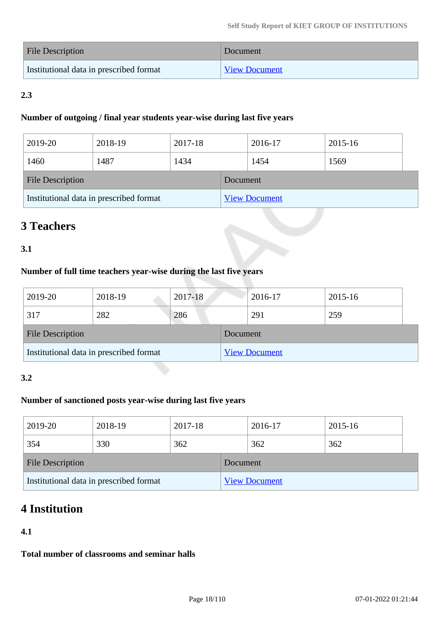| <b>File Description</b>                 | Document             |
|-----------------------------------------|----------------------|
| Institutional data in prescribed format | <b>View Document</b> |

## **2.3**

#### **Number of outgoing / final year students year-wise during last five years**

| 2019-20                                 | 2018-19 | 2017-18  |                      | 2016-17 | 2015-16 |  |
|-----------------------------------------|---------|----------|----------------------|---------|---------|--|
| 1460                                    | 1487    | 1434     |                      | 1454    | 1569    |  |
| <b>File Description</b>                 |         | Document |                      |         |         |  |
| Institutional data in prescribed format |         |          | <b>View Document</b> |         |         |  |

# **3 Teachers**

## **3.1**

## **Number of full time teachers year-wise during the last five years**

| 2019-20                                 | 2018-19 | 2017-18  |                      | 2016-17 | 2015-16 |
|-----------------------------------------|---------|----------|----------------------|---------|---------|
| 317                                     | 282     | 286      |                      | 291     | 259     |
| <b>File Description</b>                 |         | Document |                      |         |         |
| Institutional data in prescribed format |         |          | <b>View Document</b> |         |         |

#### **3.2**

## **Number of sanctioned posts year-wise during last five years**

| 2019-20                                 | 2018-19 | 2017-18  |                      | 2016-17 | 2015-16 |  |
|-----------------------------------------|---------|----------|----------------------|---------|---------|--|
| 354                                     | 330     | 362      |                      | 362     | 362     |  |
| File Description                        |         | Document |                      |         |         |  |
| Institutional data in prescribed format |         |          | <b>View Document</b> |         |         |  |

# **4 Institution**

## **4.1**

**Total number of classrooms and seminar halls**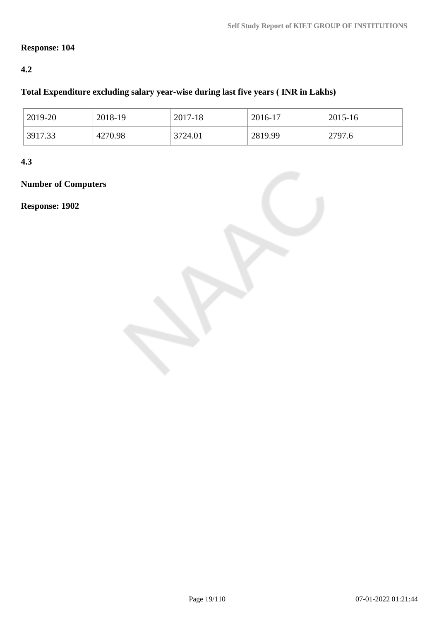## **Response: 104**

## **4.2**

## **Total Expenditure excluding salary year-wise during last five years ( INR in Lakhs)**

| 2019-20 | 2018-19 | 2017-18 | 2016-17 | 2015-16 |
|---------|---------|---------|---------|---------|
| 3917.33 | 4270.98 | 3724.01 | 2819.99 | 2797.6  |

**4.3**

**Number of Computers**

**Response: 1902**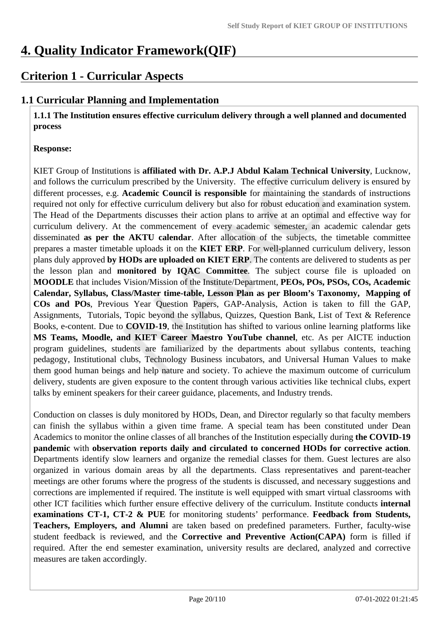# **4. Quality Indicator Framework(QIF)**

# **Criterion 1 - Curricular Aspects**

## **1.1 Curricular Planning and Implementation**

 **1.1.1 The Institution ensures effective curriculum delivery through a well planned and documented process**

#### **Response:**

KIET Group of Institutions is **affiliated with Dr. A.P.J Abdul Kalam Technical University**, Lucknow, and follows the curriculum prescribed by the University. The effective curriculum delivery is ensured by different processes, e.g. **Academic Council is responsible** for maintaining the standards of instructions required not only for effective curriculum delivery but also for robust education and examination system. The Head of the Departments discusses their action plans to arrive at an optimal and effective way for curriculum delivery. At the commencement of every academic semester, an academic calendar gets disseminated **as per the AKTU calendar**. After allocation of the subjects, the timetable committee prepares a master timetable uploads it on the **KIET ERP**. For well-planned curriculum delivery, lesson plans duly approved **by HODs are uploaded on KIET ERP**. The contents are delivered to students as per the lesson plan and **monitored by IQAC Committee**. The subject course file is uploaded on **MOODLE** that includes Vision/Mission of the Institute/Department, **PEOs, POs, PSOs, COs, Academic Calendar, Syllabus, Class/Master time-table, Lesson Plan as per Bloom's Taxonomy, Mapping of COs and POs**, Previous Year Question Papers, GAP-Analysis, Action is taken to fill the GAP, Assignments, Tutorials, Topic beyond the syllabus, Quizzes, Question Bank, List of Text & Reference Books, e-content. Due to **COVID-19**, the Institution has shifted to various online learning platforms like **MS Teams, Moodle, and KIET Career Maestro YouTube channel**, etc. As per AICTE induction program guidelines, students are familiarized by the departments about syllabus contents, teaching pedagogy, Institutional clubs, Technology Business incubators, and Universal Human Values to make them good human beings and help nature and society. To achieve the maximum outcome of curriculum delivery, students are given exposure to the content through various activities like technical clubs, expert talks by eminent speakers for their career guidance, placements, and Industry trends.

Conduction on classes is duly monitored by HODs, Dean, and Director regularly so that faculty members can finish the syllabus within a given time frame. A special team has been constituted under Dean Academics to monitor the online classes of all branches of the Institution especially during **the COVID-19 pandemic** with **observation reports daily and circulated to concerned HODs for corrective action**. Departments identify slow learners and organize the remedial classes for them. Guest lectures are also organized in various domain areas by all the departments. Class representatives and parent-teacher meetings are other forums where the progress of the students is discussed, and necessary suggestions and corrections are implemented if required. The institute is well equipped with smart virtual classrooms with other ICT facilities which further ensure effective delivery of the curriculum. Institute conducts **internal examinations CT-1, CT-2 & PUE** for monitoring students' performance. **Feedback from Students, Teachers, Employers, and Alumni** are taken based on predefined parameters. Further, faculty-wise student feedback is reviewed, and the **Corrective and Preventive Action(CAPA)** form is filled if required. After the end semester examination, university results are declared, analyzed and corrective measures are taken accordingly.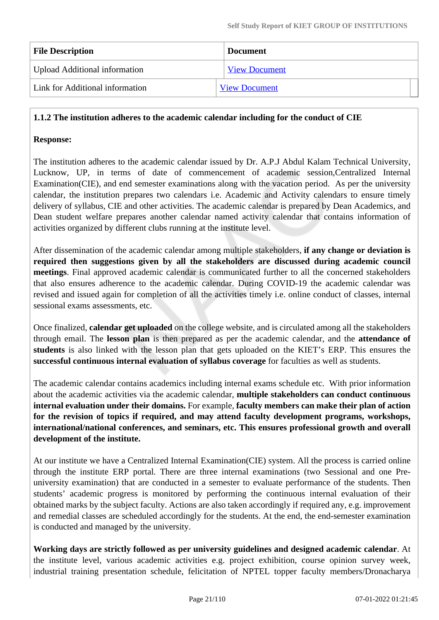| <b>File Description</b>              | <b>Document</b>      |
|--------------------------------------|----------------------|
| <b>Upload Additional information</b> | <b>View Document</b> |
| Link for Additional information      | <b>View Document</b> |

#### **1.1.2 The institution adheres to the academic calendar including for the conduct of CIE**

#### **Response:**

The institution adheres to the academic calendar issued by Dr. A.P.J Abdul Kalam Technical University, Lucknow, UP, in terms of date of commencement of academic session,Centralized Internal Examination(CIE), and end semester examinations along with the vacation period. As per the university calendar, the institution prepares two calendars i.e. Academic and Activity calendars to ensure timely delivery of syllabus, CIE and other activities. The academic calendar is prepared by Dean Academics, and Dean student welfare prepares another calendar named activity calendar that contains information of activities organized by different clubs running at the institute level.

After dissemination of the academic calendar among multiple stakeholders, **if any change or deviation is required then suggestions given by all the stakeholders are discussed during academic council meetings**. Final approved academic calendar is communicated further to all the concerned stakeholders that also ensures adherence to the academic calendar. During COVID-19 the academic calendar was revised and issued again for completion of all the activities timely i.e. online conduct of classes, internal sessional exams assessments, etc.

Once finalized, **calendar get uploaded** on the college website, and is circulated among all the stakeholders through email. The **lesson plan** is then prepared as per the academic calendar, and the **attendance of students** is also linked with the lesson plan that gets uploaded on the KIET's ERP. This ensures the **successful continuous internal evaluation of syllabus coverage** for faculties as well as students.

The academic calendar contains academics including internal exams schedule etc. With prior information about the academic activities via the academic calendar, **multiple stakeholders can conduct continuous internal evaluation under their domains.** For example, **faculty members can make their plan of action for the revision of topics if required, and may attend faculty development programs, workshops, international/national conferences, and seminars, etc. This ensures professional growth and overall development of the institute.** 

At our institute we have a Centralized Internal Examination(CIE) system. All the process is carried online through the institute ERP portal. There are three internal examinations (two Sessional and one Preuniversity examination) that are conducted in a semester to evaluate performance of the students. Then students' academic progress is monitored by performing the continuous internal evaluation of their obtained marks by the subject faculty. Actions are also taken accordingly if required any, e.g. improvement and remedial classes are scheduled accordingly for the students. At the end, the end-semester examination is conducted and managed by the university.

**Working days are strictly followed as per university guidelines and designed academic calendar**. At the institute level, various academic activities e.g. project exhibition, course opinion survey week, industrial training presentation schedule, felicitation of NPTEL topper faculty members/Dronacharya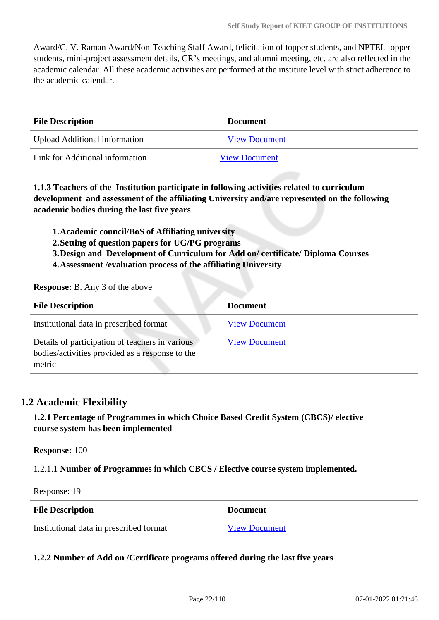Award/C. V. Raman Award/Non-Teaching Staff Award, felicitation of topper students, and NPTEL topper students, mini-project assessment details, CR's meetings, and alumni meeting, etc. are also reflected in the academic calendar. All these academic activities are performed at the institute level with strict adherence to the academic calendar.

| <b>File Description</b>              | <b>Document</b>      |
|--------------------------------------|----------------------|
| <b>Upload Additional information</b> | <b>View Document</b> |
| Link for Additional information      | <b>View Document</b> |

 **1.1.3 Teachers of the Institution participate in following activities related to curriculum development and assessment of the affiliating University and/are represented on the following academic bodies during the last five years** 

**1.Academic council/BoS of Affiliating university**

**2.Setting of question papers for UG/PG programs** 

- **3.Design and Development of Curriculum for Add on/ certificate/ Diploma Courses**
- **4.Assessment /evaluation process of the affiliating University**

**Response:** B. Any 3 of the above

| <b>File Description</b>                                                                                      | <b>Document</b>      |
|--------------------------------------------------------------------------------------------------------------|----------------------|
| Institutional data in prescribed format                                                                      | <b>View Document</b> |
| Details of participation of teachers in various<br>bodies/activities provided as a response to the<br>metric | <b>View Document</b> |

#### **1.2 Academic Flexibility**

 **1.2.1 Percentage of Programmes in which Choice Based Credit System (CBCS)/ elective course system has been implemented** 

**Response:** 100

1.2.1.1 **Number of Programmes in which CBCS / Elective course system implemented.**

Response: 19

| <b>File Description</b>                 | <b>Document</b>      |
|-----------------------------------------|----------------------|
| Institutional data in prescribed format | <b>View Document</b> |

**1.2.2 Number of Add on /Certificate programs offered during the last five years**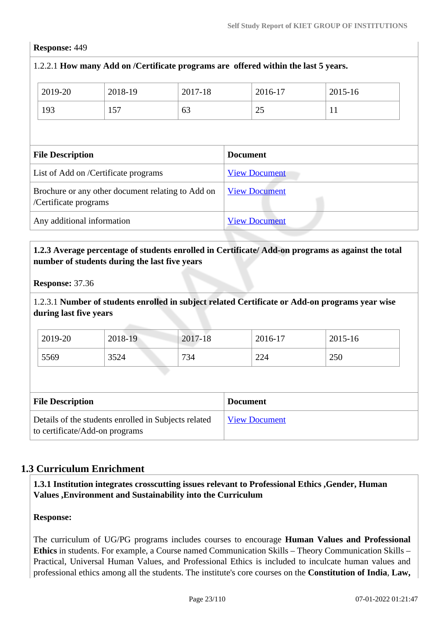#### **Response:** 449

## 1.2.2.1 **How many Add on /Certificate programs are offered within the last 5 years.**

|                                                                            | 2019-20 | 2018-19 | 2017-18         |                      | 2016-17 | 2015-16 |
|----------------------------------------------------------------------------|---------|---------|-----------------|----------------------|---------|---------|
|                                                                            | 193     | 157     | 63              |                      | 25      | 11      |
|                                                                            |         |         |                 |                      |         |         |
| <b>File Description</b>                                                    |         |         | <b>Document</b> |                      |         |         |
| List of Add on /Certificate programs                                       |         |         |                 | <b>View Document</b> |         |         |
| Brochure or any other document relating to Add on<br>/Certificate programs |         |         |                 | <b>View Document</b> |         |         |
| Any additional information                                                 |         |         |                 | <b>View Document</b> |         |         |
|                                                                            |         |         |                 |                      |         |         |

#### **1.2.3 Average percentage of students enrolled in Certificate/ Add-on programs as against the total number of students during the last five years**

#### **Response:** 37.36

## 1.2.3.1 **Number of students enrolled in subject related Certificate or Add-on programs year wise during last five years**

| 2019-20 | 2018-19 | 2017-18 | 2016-17 | 2015-16 |
|---------|---------|---------|---------|---------|
| 5569    | 3524    | 734     | 224     | 250     |

| <b>File Description</b>                                                                | <b>Document</b>      |
|----------------------------------------------------------------------------------------|----------------------|
| Details of the students enrolled in Subjects related<br>to certificate/Add-on programs | <b>View Document</b> |

## **1.3 Curriculum Enrichment**

 **1.3.1 Institution integrates crosscutting issues relevant to Professional Ethics ,Gender, Human Values ,Environment and Sustainability into the Curriculum**

#### **Response:**

The curriculum of UG/PG programs includes courses to encourage **Human Values and Professional Ethics** in students. For example, a Course named Communication Skills – Theory Communication Skills – Practical, Universal Human Values, and Professional Ethics is included to inculcate human values and professional ethics among all the students. The institute's core courses on the **Constitution of India**, **Law,**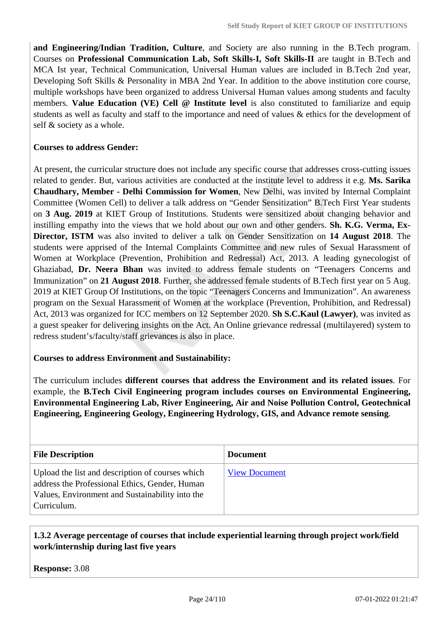**and Engineering/Indian Tradition, Culture**, and Society are also running in the B.Tech program. Courses on **Professional Communication Lab, Soft Skills-I, Soft Skills-II** are taught in B.Tech and MCA Ist year, Technical Communication, Universal Human values are included in B.Tech 2nd year, Developing Soft Skills & Personality in MBA 2nd Year. In addition to the above institution core course, multiple workshops have been organized to address Universal Human values among students and faculty members. **Value Education (VE) Cell @ Institute level** is also constituted to familiarize and equip students as well as faculty and staff to the importance and need of values & ethics for the development of self & society as a whole.

#### **Courses to address Gender:**

At present, the curricular structure does not include any specific course that addresses cross-cutting issues related to gender. But, various activities are conducted at the institute level to address it e.g. **Ms. Sarika Chaudhary, Member - Delhi Commission for Women**, New Delhi, was invited by Internal Complaint Committee (Women Cell) to deliver a talk address on "Gender Sensitization" B.Tech First Year students on **3 Aug. 2019** at KIET Group of Institutions. Students were sensitized about changing behavior and instilling empathy into the views that we hold about our own and other genders. **Sh. K.G. Verma, Ex-Director, ISTM** was also invited to deliver a talk on Gender Sensitization on **14 August 2018**. The students were apprised of the Internal Complaints Committee and new rules of Sexual Harassment of Women at Workplace (Prevention, Prohibition and Redressal) Act, 2013. A leading gynecologist of Ghaziabad, **Dr. Neera Bhan** was invited to address female students on "Teenagers Concerns and Immunization" on **21 August 2018**. Further, she addressed female students of B.Tech first year on 5 Aug. 2019 at KIET Group Of Institutions, on the topic "Teenagers Concerns and Immunization". An awareness program on the Sexual Harassment of Women at the workplace (Prevention, Prohibition, and Redressal) Act, 2013 was organized for ICC members on 12 September 2020. **Sh S.C.Kaul (Lawyer)**, was invited as a guest speaker for delivering insights on the Act. An Online grievance redressal (multilayered) system to redress student's/faculty/staff grievances is also in place.

#### **Courses to address Environment and Sustainability:**

The curriculum includes **different courses that address the Environment and its related issues**. For example, the **B.Tech Civil Engineering program includes courses on Environmental Engineering, Environmental Engineering Lab, River Engineering, Air and Noise Pollution Control, Geotechnical Engineering, Engineering Geology, Engineering Hydrology, GIS, and Advance remote sensing**.

| <b>File Description</b>                                                                                                                                              | <b>Document</b>      |
|----------------------------------------------------------------------------------------------------------------------------------------------------------------------|----------------------|
| Upload the list and description of courses which<br>address the Professional Ethics, Gender, Human<br>Values, Environment and Sustainability into the<br>Curriculum. | <b>View Document</b> |

## **1.3.2 Average percentage of courses that include experiential learning through project work/field work/internship during last five years**

**Response:** 3.08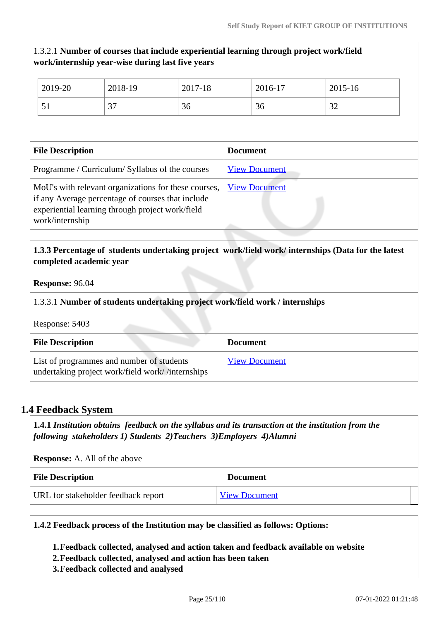## 1.3.2.1 **Number of courses that include experiential learning through project work/field work/internship year-wise during last five years**

|                                                                                                                                                                                  | 2019-20 | 2018-19 | 2017-18         |                      | 2016-17 | 2015-16 |
|----------------------------------------------------------------------------------------------------------------------------------------------------------------------------------|---------|---------|-----------------|----------------------|---------|---------|
|                                                                                                                                                                                  | 51      | 37      | 36              |                      | 36      | 32      |
|                                                                                                                                                                                  |         |         |                 |                      |         |         |
| <b>File Description</b>                                                                                                                                                          |         |         | <b>Document</b> |                      |         |         |
| Programme / Curriculum/ Syllabus of the courses                                                                                                                                  |         |         |                 | <b>View Document</b> |         |         |
| MoU's with relevant organizations for these courses,<br>if any Average percentage of courses that include<br>experiential learning through project work/field<br>work/internship |         |         |                 | <b>View Document</b> |         |         |

## **1.3.3 Percentage of students undertaking project work/field work/ internships (Data for the latest completed academic year**

#### **Response:** 96.04

#### 1.3.3.1 **Number of students undertaking project work/field work / internships**

Response: 5403

| <b>File Description</b>                                                                       | <b>Document</b>      |
|-----------------------------------------------------------------------------------------------|----------------------|
| List of programmes and number of students<br>undertaking project work/field work//internships | <b>View Document</b> |

## **1.4 Feedback System**

 **1.4.1** *Institution obtains feedback on the syllabus and its transaction at the institution from the following stakeholders 1) Students 2)Teachers 3)Employers 4)Alumni* 

**Response:** A. All of the above

| <b>File Description</b>             | <b>Document</b>      |
|-------------------------------------|----------------------|
| URL for stakeholder feedback report | <b>View Document</b> |

#### **1.4.2 Feedback process of the Institution may be classified as follows: Options:**

#### **1.Feedback collected, analysed and action taken and feedback available on website**

- **2.Feedback collected, analysed and action has been taken**
- **3.Feedback collected and analysed**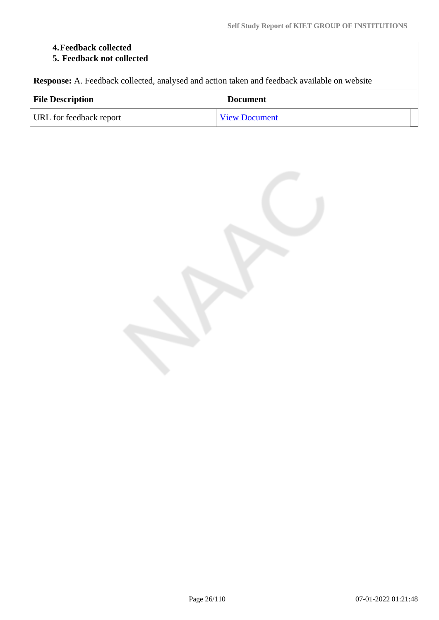## **4.Feedback collected**

#### **5. Feedback not collected**

**Response:** A. Feedback collected, analysed and action taken and feedback available on website

| <b>File Description</b> | <b>Document</b>      |
|-------------------------|----------------------|
| URL for feedback report | <b>View Document</b> |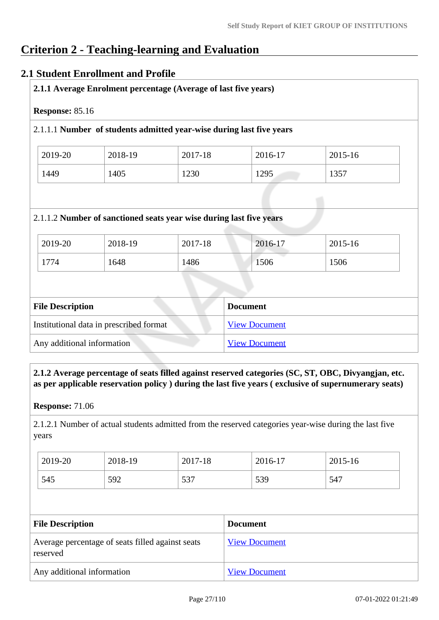# **Criterion 2 - Teaching-learning and Evaluation**

## **2.1 Student Enrollment and Profile**

|         |         | 2.1.1.1 Number of students admitted year-wise during last five years |         |         |
|---------|---------|----------------------------------------------------------------------|---------|---------|
| 2019-20 | 2018-19 | 2017-18                                                              | 2016-17 | 2015-16 |
| 1449    | 1405    | 1230                                                                 | 1295    | 1357    |

| 2019-20 | 2018-19 | 2017-18 | 2016-17 | 2015-16 |
|---------|---------|---------|---------|---------|
| 1774    | 1648    | 1486    | 1506    | 1506    |

| <b>File Description</b>                 | <b>Document</b>      |
|-----------------------------------------|----------------------|
| Institutional data in prescribed format | <b>View Document</b> |
| Any additional information              | <b>View Document</b> |

#### **2.1.2 Average percentage of seats filled against reserved categories (SC, ST, OBC, Divyangjan, etc. as per applicable reservation policy ) during the last five years ( exclusive of supernumerary seats)**

**Response:** 71.06

2.1.2.1 Number of actual students admitted from the reserved categories year-wise during the last five years

| 2019-20 | 2018-19 | 2017-18    | 2016-17 | 2015-16 |
|---------|---------|------------|---------|---------|
| 545     | 592     | 537<br>ا ت | 539     | 547     |

| <b>File Description</b>                                      | <b>Document</b>      |  |
|--------------------------------------------------------------|----------------------|--|
| Average percentage of seats filled against seats<br>reserved | <b>View Document</b> |  |
| Any additional information                                   | <b>View Document</b> |  |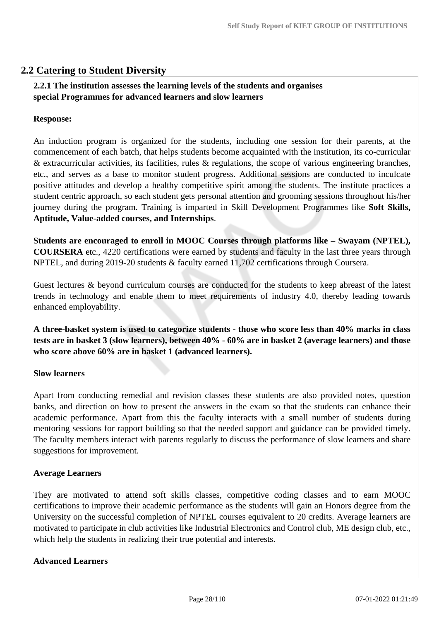## **2.2 Catering to Student Diversity**

#### **2.2.1 The institution assesses the learning levels of the students and organises special Programmes for advanced learners and slow learners**

#### **Response:**

An induction program is organized for the students, including one session for their parents, at the commencement of each batch, that helps students become acquainted with the institution, its co-curricular & extracurricular activities, its facilities, rules & regulations, the scope of various engineering branches, etc., and serves as a base to monitor student progress. Additional sessions are conducted to inculcate positive attitudes and develop a healthy competitive spirit among the students. The institute practices a student centric approach, so each student gets personal attention and grooming sessions throughout his/her journey during the program. Training is imparted in Skill Development Programmes like **Soft Skills, Aptitude, Value-added courses, and Internships**.

**Students are encouraged to enroll in MOOC Courses through platforms like – Swayam (NPTEL), COURSERA** etc., 4220 certifications were earned by students and faculty in the last three years through NPTEL, and during 2019-20 students & faculty earned 11,702 certifications through Coursera.

Guest lectures & beyond curriculum courses are conducted for the students to keep abreast of the latest trends in technology and enable them to meet requirements of industry 4.0, thereby leading towards enhanced employability.

**A three-basket system is used to categorize students - those who score less than 40% marks in class tests are in basket 3 (slow learners), between 40% - 60% are in basket 2 (average learners) and those who score above 60% are in basket 1 (advanced learners).**

#### **Slow learners**

Apart from conducting remedial and revision classes these students are also provided notes, question banks, and direction on how to present the answers in the exam so that the students can enhance their academic performance. Apart from this the faculty interacts with a small number of students during mentoring sessions for rapport building so that the needed support and guidance can be provided timely. The faculty members interact with parents regularly to discuss the performance of slow learners and share suggestions for improvement.

#### **Average Learners**

They are motivated to attend soft skills classes, competitive coding classes and to earn MOOC certifications to improve their academic performance as the students will gain an Honors degree from the University on the successful completion of NPTEL courses equivalent to 20 credits. Average learners are motivated to participate in club activities like Industrial Electronics and Control club, ME design club, etc., which help the students in realizing their true potential and interests.

#### **Advanced Learners**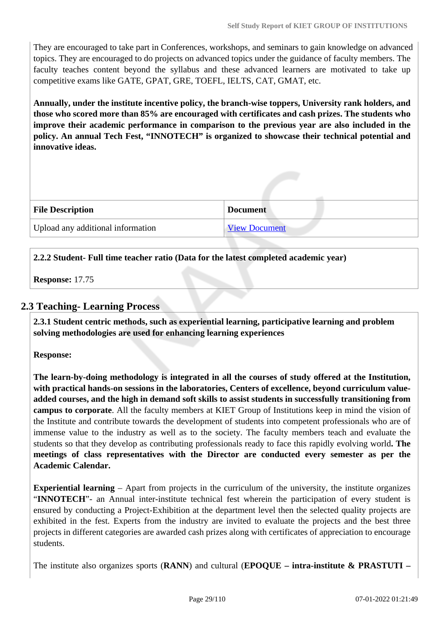They are encouraged to take part in Conferences, workshops, and seminars to gain knowledge on advanced topics. They are encouraged to do projects on advanced topics under the guidance of faculty members. The faculty teaches content beyond the syllabus and these advanced learners are motivated to take up competitive exams like GATE, GPAT, GRE, TOEFL, IELTS, CAT, GMAT, etc.

**Annually, under the institute incentive policy, the branch-wise toppers, University rank holders, and those who scored more than 85% are encouraged with certificates and cash prizes. The students who improve their academic performance in comparison to the previous year are also included in the policy. An annual Tech Fest, "INNOTECH" is organized to showcase their technical potential and innovative ideas.**

| <b>File Description</b>           | <b>Document</b>      |
|-----------------------------------|----------------------|
| Upload any additional information | <b>View Document</b> |

**2.2.2 Student- Full time teacher ratio (Data for the latest completed academic year)**

**Response:** 17.75

## **2.3 Teaching- Learning Process**

 **2.3.1 Student centric methods, such as experiential learning, participative learning and problem solving methodologies are used for enhancing learning experiences**

**Response:** 

**The learn-by-doing methodology is integrated in all the courses of study offered at the Institution, with practical hands-on sessions in the laboratories, Centers of excellence, beyond curriculum valueadded courses, and the high in demand soft skills to assist students in successfully transitioning from campus to corporate**. All the faculty members at KIET Group of Institutions keep in mind the vision of the Institute and contribute towards the development of students into competent professionals who are of immense value to the industry as well as to the society. The faculty members teach and evaluate the students so that they develop as contributing professionals ready to face this rapidly evolving world**. The meetings of class representatives with the Director are conducted every semester as per the Academic Calendar.**

**Experiential learning** – Apart from projects in the curriculum of the university, the institute organizes "**INNOTECH**"- an Annual inter-institute technical fest wherein the participation of every student is ensured by conducting a Project-Exhibition at the department level then the selected quality projects are exhibited in the fest. Experts from the industry are invited to evaluate the projects and the best three projects in different categories are awarded cash prizes along with certificates of appreciation to encourage students.

The institute also organizes sports (**RANN**) and cultural (**EPOQUE – intra-institute & PRASTUTI –**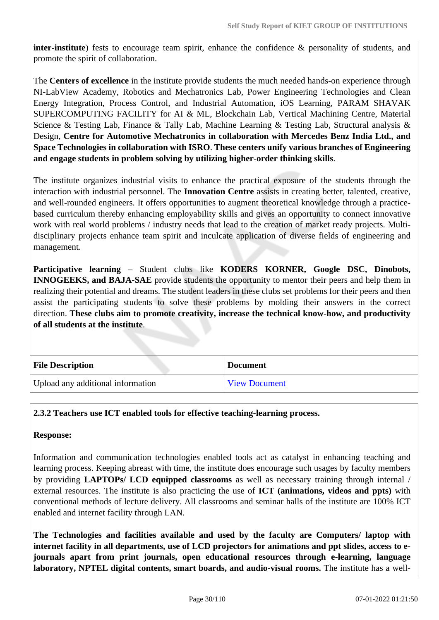**inter-institute**) fests to encourage team spirit, enhance the confidence & personality of students, and promote the spirit of collaboration.

The **Centers of excellence** in the institute provide students the much needed hands-on experience through NI-LabView Academy, Robotics and Mechatronics Lab, Power Engineering Technologies and Clean Energy Integration, Process Control, and Industrial Automation, iOS Learning, PARAM SHAVAK SUPERCOMPUTING FACILITY for AI & ML, Blockchain Lab, Vertical Machining Centre, Material Science & Testing Lab, Finance & Tally Lab, Machine Learning & Testing Lab, Structural analysis & Design, **Centre for Automotive Mechatronics in collaboration with Mercedes Benz India Ltd., and Space Technologies in collaboration with ISRO**. **These centers unify various branches of Engineering and engage students in problem solving by utilizing higher-order thinking skills**.

The institute organizes industrial visits to enhance the practical exposure of the students through the interaction with industrial personnel. The **Innovation Centre** assists in creating better, talented, creative, and well-rounded engineers. It offers opportunities to augment theoretical knowledge through a practicebased curriculum thereby enhancing employability skills and gives an opportunity to connect innovative work with real world problems / industry needs that lead to the creation of market ready projects. Multidisciplinary projects enhance team spirit and inculcate application of diverse fields of engineering and management.

**Participative learning** – Student clubs like **KODERS KORNER, Google DSC, Dinobots, INNOGEEKS, and BAJA-SAE** provide students the opportunity to mentor their peers and help them in realizing their potential and dreams. The student leaders in these clubs set problems for their peers and then assist the participating students to solve these problems by molding their answers in the correct direction. **These clubs aim to promote creativity, increase the technical know-how, and productivity of all students at the institute**.

| <b>File Description</b>           | <b>Document</b>      |
|-----------------------------------|----------------------|
| Upload any additional information | <b>View Document</b> |

#### **2.3.2 Teachers use ICT enabled tools for effective teaching-learning process.**

#### **Response:**

Information and communication technologies enabled tools act as catalyst in enhancing teaching and learning process. Keeping abreast with time, the institute does encourage such usages by faculty members by providing **LAPTOPs/ LCD equipped classrooms** as well as necessary training through internal / external resources. The institute is also practicing the use of **ICT (animations, videos and ppts)** with conventional methods of lecture delivery. All classrooms and seminar halls of the institute are 100% ICT enabled and internet facility through LAN.

**The Technologies and facilities available and used by the faculty are Computers/ laptop with internet facility in all departments, use of LCD projectors for animations and ppt slides, access to ejournals apart from print journals, open educational resources through e-learning, language laboratory, NPTEL digital contents, smart boards, and audio-visual rooms.** The institute has a well-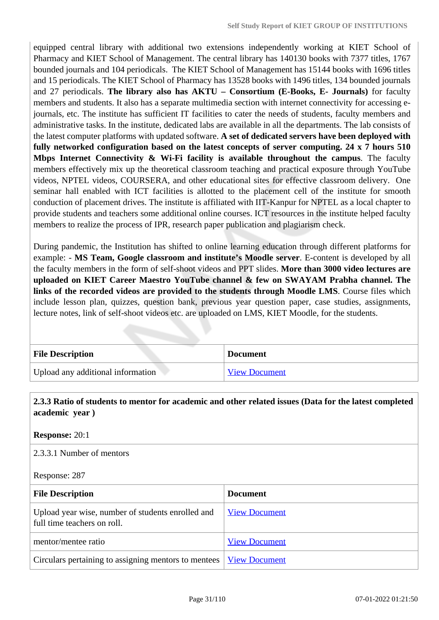equipped central library with additional two extensions independently working at KIET School of Pharmacy and KIET School of Management. The central library has 140130 books with 7377 titles, 1767 bounded journals and 104 periodicals. The KIET School of Management has 15144 books with 1696 titles and 15 periodicals. The KIET School of Pharmacy has 13528 books with 1496 titles, 134 bounded journals and 27 periodicals. **The library also has AKTU – Consortium (E-Books, E- Journals)** for faculty members and students. It also has a separate multimedia section with internet connectivity for accessing ejournals, etc. The institute has sufficient IT facilities to cater the needs of students, faculty members and administrative tasks. In the institute, dedicated labs are available in all the departments. The lab consists of the latest computer platforms with updated software. **A set of dedicated servers have been deployed with fully networked configuration based on the latest concepts of server computing. 24 x 7 hours 510 Mbps Internet Connectivity & Wi-Fi facility is available throughout the campus**. The faculty members effectively mix up the theoretical classroom teaching and practical exposure through YouTube videos, NPTEL videos, COURSERA, and other educational sites for effective classroom delivery. One seminar hall enabled with ICT facilities is allotted to the placement cell of the institute for smooth conduction of placement drives. The institute is affiliated with IIT-Kanpur for NPTEL as a local chapter to provide students and teachers some additional online courses. ICT resources in the institute helped faculty members to realize the process of IPR, research paper publication and plagiarism check.

During pandemic, the Institution has shifted to online learning education through different platforms for example: - **MS Team, Google classroom and institute's Moodle server**. E-content is developed by all the faculty members in the form of self-shoot videos and PPT slides. **More than 3000 video lectures are uploaded on KIET Career Maestro YouTube channel & few on SWAYAM Prabha channel. The links of the recorded videos are provided to the students through Moodle LMS**. Course files which include lesson plan, quizzes, question bank, previous year question paper, case studies, assignments, lecture notes, link of self-shoot videos etc. are uploaded on LMS, KIET Moodle, for the students.

| <b>File Description</b>           | <b>Document</b>      |
|-----------------------------------|----------------------|
| Upload any additional information | <b>View Document</b> |

#### **2.3.3 Ratio of students to mentor for academic and other related issues (Data for the latest completed academic year )**

**Response:** 20:1

2.3.3.1 Number of mentors

#### Response: 287

| <b>File Description</b>                                                          | <b>Document</b>      |
|----------------------------------------------------------------------------------|----------------------|
| Upload year wise, number of students enrolled and<br>full time teachers on roll. | <b>View Document</b> |
| mentor/mentee ratio                                                              | <b>View Document</b> |
| Circulars pertaining to assigning mentors to mentees   <u>View Document</u>      |                      |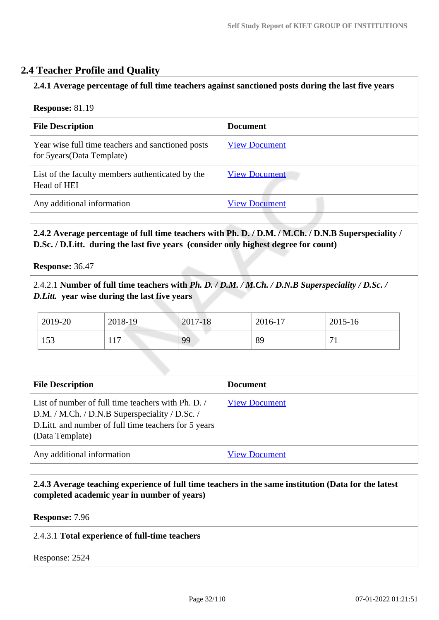## **2.4 Teacher Profile and Quality**

#### **2.4.1 Average percentage of full time teachers against sanctioned posts during the last five years**

#### **Response:** 81.19

| <b>File Description</b>                                                          | <b>Document</b>      |
|----------------------------------------------------------------------------------|----------------------|
| Year wise full time teachers and sanctioned posts<br>for 5 years (Data Template) | <b>View Document</b> |
| List of the faculty members authenticated by the<br>Head of HEI                  | <b>View Document</b> |
| Any additional information                                                       | <b>View Document</b> |

## **2.4.2 Average percentage of full time teachers with Ph. D. / D.M. / M.Ch. / D.N.B Superspeciality / D.Sc. / D.Litt. during the last five years (consider only highest degree for count)**

**Response:** 36.47

## 2.4.2.1 **Number of full time teachers with** *Ph. D. / D.M. / M.Ch. / D.N.B Superspeciality / D.Sc. / D.Litt.* **year wise during the last five years**

| 2019-20 | 2018-19            | 2017-18 | 2016-17 | 2015-16                      |
|---------|--------------------|---------|---------|------------------------------|
| 153     | 17<br>1 1 <i>1</i> | 99      | 89      | $\overline{ }$<br>$\sqrt{ }$ |

| <b>File Description</b>                                                                                                                                                        | <b>Document</b>      |
|--------------------------------------------------------------------------------------------------------------------------------------------------------------------------------|----------------------|
| List of number of full time teachers with Ph. D.<br>D.M. / M.Ch. / D.N.B Superspeciality / D.Sc. /<br>D. Litt. and number of full time teachers for 5 years<br>(Data Template) | <b>View Document</b> |
| Any additional information                                                                                                                                                     | <b>View Document</b> |

## **2.4.3 Average teaching experience of full time teachers in the same institution (Data for the latest completed academic year in number of years)**

**Response:** 7.96

#### 2.4.3.1 **Total experience of full-time teachers**

Response: 2524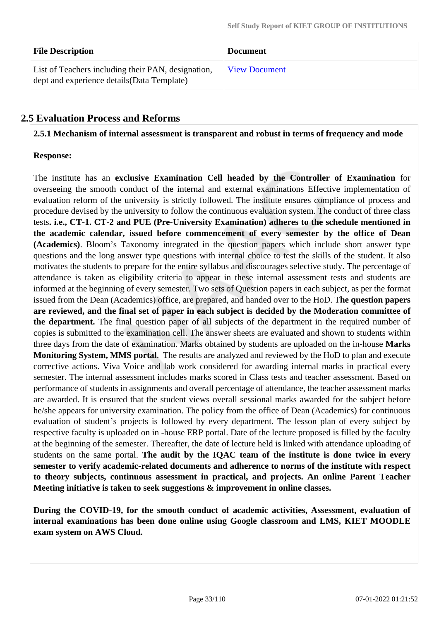| <b>File Description</b>                                                                           | <b>Document</b>      |
|---------------------------------------------------------------------------------------------------|----------------------|
| List of Teachers including their PAN, designation,<br>dept and experience details (Data Template) | <b>View Document</b> |

## **2.5 Evaluation Process and Reforms**

**2.5.1 Mechanism of internal assessment is transparent and robust in terms of frequency and mode**

#### **Response:**

The institute has an **exclusive Examination Cell headed by the Controller of Examination** for overseeing the smooth conduct of the internal and external examinations Effective implementation of evaluation reform of the university is strictly followed. The institute ensures compliance of process and procedure devised by the university to follow the continuous evaluation system. The conduct of three class tests**. i.e., CT-1. CT-2 and PUE (Pre-University Examination) adheres to the schedule mentioned in the academic calendar, issued before commencement of every semester by the office of Dean (Academics)**. Bloom's Taxonomy integrated in the question papers which include short answer type questions and the long answer type questions with internal choice to test the skills of the student. It also motivates the students to prepare for the entire syllabus and discourages selective study. The percentage of attendance is taken as eligibility criteria to appear in these internal assessment tests and students are informed at the beginning of every semester. Two sets of Question papers in each subject, as per the format issued from the Dean (Academics) office, are prepared, and handed over to the HoD. T**he question papers are reviewed, and the final set of paper in each subject is decided by the Moderation committee of the department.** The final question paper of all subjects of the department in the required number of copies is submitted to the examination cell. The answer sheets are evaluated and shown to students within three days from the date of examination. Marks obtained by students are uploaded on the in-house **Marks Monitoring System, MMS portal**. The results are analyzed and reviewed by the HoD to plan and execute corrective actions. Viva Voice and lab work considered for awarding internal marks in practical every semester. The internal assessment includes marks scored in Class tests and teacher assessment. Based on performance of students in assignments and overall percentage of attendance, the teacher assessment marks are awarded. It is ensured that the student views overall sessional marks awarded for the subject before he/she appears for university examination. The policy from the office of Dean (Academics) for continuous evaluation of student's projects is followed by every department. The lesson plan of every subject by respective faculty is uploaded on in -house ERP portal. Date of the lecture proposed is filled by the faculty at the beginning of the semester. Thereafter, the date of lecture held is linked with attendance uploading of students on the same portal. **The audit by the IQAC team of the institute is done twice in every semester to verify academic-related documents and adherence to norms of the institute with respect to theory subjects, continuous assessment in practical, and projects. An online Parent Teacher Meeting initiative is taken to seek suggestions & improvement in online classes.**

**During the COVID-19, for the smooth conduct of academic activities, Assessment, evaluation of internal examinations has been done online using Google classroom and LMS, KIET MOODLE exam system on AWS Cloud.**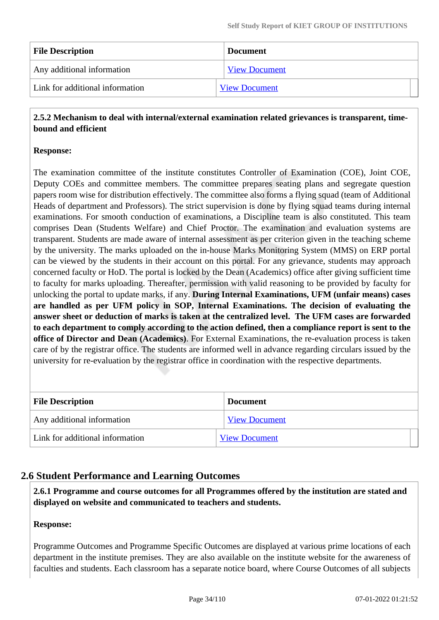| <b>File Description</b>         | <b>Document</b>      |
|---------------------------------|----------------------|
| Any additional information      | <b>View Document</b> |
| Link for additional information | <b>View Document</b> |

 **2.5.2 Mechanism to deal with internal/external examination related grievances is transparent, timebound and efficient** 

#### **Response:**

The examination committee of the institute constitutes Controller of Examination (COE), Joint COE, Deputy COEs and committee members. The committee prepares seating plans and segregate question papers room wise for distribution effectively. The committee also forms a flying squad (team of Additional Heads of department and Professors). The strict supervision is done by flying squad teams during internal examinations. For smooth conduction of examinations, a Discipline team is also constituted. This team comprises Dean (Students Welfare) and Chief Proctor. The examination and evaluation systems are transparent. Students are made aware of internal assessment as per criterion given in the teaching scheme by the university. The marks uploaded on the in-house Marks Monitoring System (MMS) on ERP portal can be viewed by the students in their account on this portal. For any grievance, students may approach concerned faculty or HoD. The portal is locked by the Dean (Academics) office after giving sufficient time to faculty for marks uploading. Thereafter, permission with valid reasoning to be provided by faculty for unlocking the portal to update marks, if any. **During Internal Examinations, UFM (unfair means) cases are handled as per UFM policy in SOP, Internal Examinations. The decision of evaluating the answer sheet or deduction of marks is taken at the centralized level. The UFM cases are forwarded to each department to comply according to the action defined, then a compliance report is sent to the office of Director and Dean (Academics)**. For External Examinations, the re-evaluation process is taken care of by the registrar office. The students are informed well in advance regarding circulars issued by the university for re-evaluation by the registrar office in coordination with the respective departments.

| <b>File Description</b>         | <b>Document</b>      |
|---------------------------------|----------------------|
| Any additional information      | <b>View Document</b> |
| Link for additional information | <b>View Document</b> |

## **2.6 Student Performance and Learning Outcomes**

 **2.6.1 Programme and course outcomes for all Programmes offered by the institution are stated and displayed on website and communicated to teachers and students.**

#### **Response:**

Programme Outcomes and Programme Specific Outcomes are displayed at various prime locations of each department in the institute premises. They are also available on the institute website for the awareness of faculties and students. Each classroom has a separate notice board, where Course Outcomes of all subjects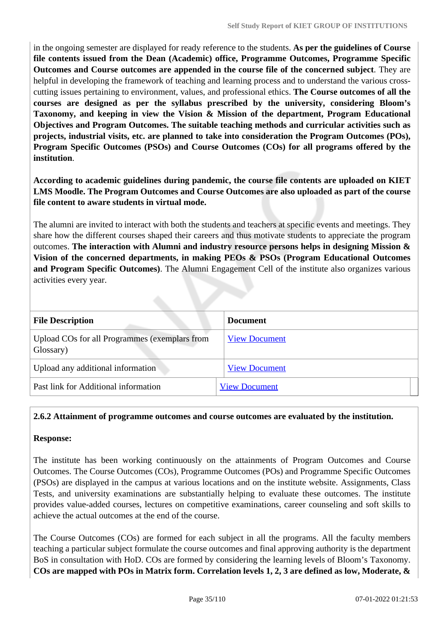in the ongoing semester are displayed for ready reference to the students. **As per the guidelines of Course file contents issued from the Dean (Academic) office, Programme Outcomes, Programme Specific Outcomes and Course outcomes are appended in the course file of the concerned subject**. They are helpful in developing the framework of teaching and learning process and to understand the various crosscutting issues pertaining to environment, values, and professional ethics. **The Course outcomes of all the courses are designed as per the syllabus prescribed by the university, considering Bloom's Taxonomy, and keeping in view the Vision & Mission of the department, Program Educational Objectives and Program Outcomes. The suitable teaching methods and curricular activities such as projects, industrial visits, etc. are planned to take into consideration the Program Outcomes (POs), Program Specific Outcomes (PSOs) and Course Outcomes (COs) for all programs offered by the institution**.

**According to academic guidelines during pandemic, the course file contents are uploaded on KIET LMS Moodle. The Program Outcomes and Course Outcomes are also uploaded as part of the course file content to aware students in virtual mode.**

The alumni are invited to interact with both the students and teachers at specific events and meetings. They share how the different courses shaped their careers and thus motivate students to appreciate the program outcomes. **The interaction with Alumni and industry resource persons helps in designing Mission & Vision of the concerned departments, in making PEOs & PSOs (Program Educational Outcomes and Program Specific Outcomes)**. The Alumni Engagement Cell of the institute also organizes various activities every year.

| <b>File Description</b>                                    | <b>Document</b>      |  |  |
|------------------------------------------------------------|----------------------|--|--|
| Upload COs for all Programmes (exemplars from<br>Glossary) | <b>View Document</b> |  |  |
| Upload any additional information                          | <b>View Document</b> |  |  |
| Past link for Additional information                       | <b>View Document</b> |  |  |

#### **2.6.2 Attainment of programme outcomes and course outcomes are evaluated by the institution.**

#### **Response:**

The institute has been working continuously on the attainments of Program Outcomes and Course Outcomes. The Course Outcomes (COs), Programme Outcomes (POs) and Programme Specific Outcomes (PSOs) are displayed in the campus at various locations and on the institute website. Assignments, Class Tests, and university examinations are substantially helping to evaluate these outcomes. The institute provides value-added courses, lectures on competitive examinations, career counseling and soft skills to achieve the actual outcomes at the end of the course.

The Course Outcomes (COs) are formed for each subject in all the programs. All the faculty members teaching a particular subject formulate the course outcomes and final approving authority is the department BoS in consultation with HoD. COs are formed by considering the learning levels of Bloom's Taxonomy. **COs are mapped with POs in Matrix form. Correlation levels 1, 2, 3 are defined as low, Moderate, &**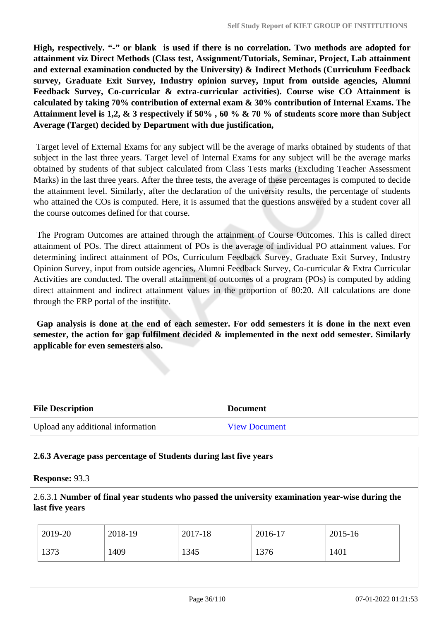**High, respectively. "-" or blank is used if there is no correlation. Two methods are adopted for attainment viz Direct Methods (Class test, Assignment/Tutorials, Seminar, Project, Lab attainment and external examination conducted by the University) & Indirect Methods (Curriculum Feedback survey, Graduate Exit Survey, Industry opinion survey, Input from outside agencies, Alumni Feedback Survey, Co-curricular & extra-curricular activities). Course wise CO Attainment is calculated by taking 70% contribution of external exam & 30% contribution of Internal Exams. The Attainment level is 1,2, & 3 respectively if 50% , 60 % & 70 % of students score more than Subject Average (Target) decided by Department with due justification,**

 Target level of External Exams for any subject will be the average of marks obtained by students of that subject in the last three years. Target level of Internal Exams for any subject will be the average marks obtained by students of that subject calculated from Class Tests marks (Excluding Teacher Assessment Marks) in the last three years. After the three tests, the average of these percentages is computed to decide the attainment level. Similarly, after the declaration of the university results, the percentage of students who attained the COs is computed. Here, it is assumed that the questions answered by a student cover all the course outcomes defined for that course.

 The Program Outcomes are attained through the attainment of Course Outcomes. This is called direct attainment of POs. The direct attainment of POs is the average of individual PO attainment values. For determining indirect attainment of POs, Curriculum Feedback Survey, Graduate Exit Survey, Industry Opinion Survey, input from outside agencies, Alumni Feedback Survey, Co-curricular & Extra Curricular Activities are conducted. The overall attainment of outcomes of a program (POs) is computed by adding direct attainment and indirect attainment values in the proportion of 80:20. All calculations are done through the ERP portal of the institute.

 **Gap analysis is done at the end of each semester. For odd semesters it is done in the next even semester, the action for gap fulfilment decided & implemented in the next odd semester. Similarly applicable for even semesters also.**

| <b>File Description</b>           | <b>Document</b>      |  |
|-----------------------------------|----------------------|--|
| Upload any additional information | <b>View Document</b> |  |

#### **2.6.3 Average pass percentage of Students during last five years**

#### **Response:** 93.3

2.6.3.1 **Number of final year students who passed the university examination year-wise during the last five years**

| 2019-20 | 2018-19 | 2017-18 | 2016-17 | 2015-16 |
|---------|---------|---------|---------|---------|
| 1373    | 1409    | 1345    | 1376    | 1401    |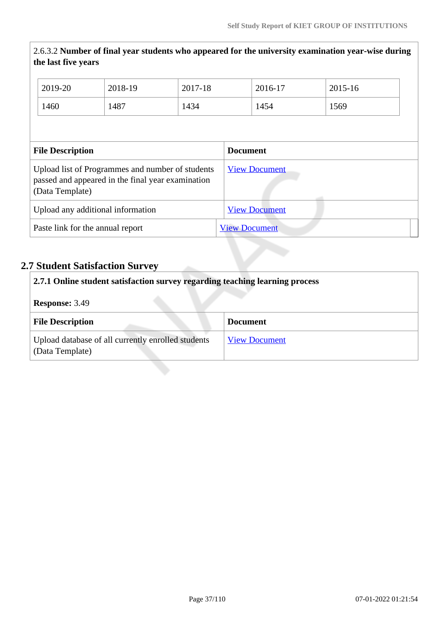# 2.6.3.2 **Number of final year students who appeared for the university examination year-wise during the last five years**

| 2019-20                           | 2018-19                                                                                               | 2017-18              |                 | 2016-17              | $2015 - 16$ |  |
|-----------------------------------|-------------------------------------------------------------------------------------------------------|----------------------|-----------------|----------------------|-------------|--|
| 1460                              | 1487                                                                                                  | 1434                 |                 | 1454                 | 1569        |  |
|                                   |                                                                                                       |                      |                 |                      |             |  |
| <b>File Description</b>           |                                                                                                       |                      | <b>Document</b> |                      |             |  |
|                                   |                                                                                                       |                      |                 |                      |             |  |
| (Data Template)                   | Upload list of Programmes and number of students<br>passed and appeared in the final year examination |                      |                 | <b>View Document</b> |             |  |
| Upload any additional information |                                                                                                       | <b>View Document</b> |                 |                      |             |  |
| Paste link for the annual report  |                                                                                                       | <b>View Document</b> |                 |                      |             |  |

# **2.7 Student Satisfaction Survey**

| 2.7.1 Online student satisfaction survey regarding teaching learning process |                      |
|------------------------------------------------------------------------------|----------------------|
| <b>Response: 3.49</b>                                                        |                      |
| <b>File Description</b>                                                      | <b>Document</b>      |
| Upload database of all currently enrolled students<br>(Data Template)        | <b>View Document</b> |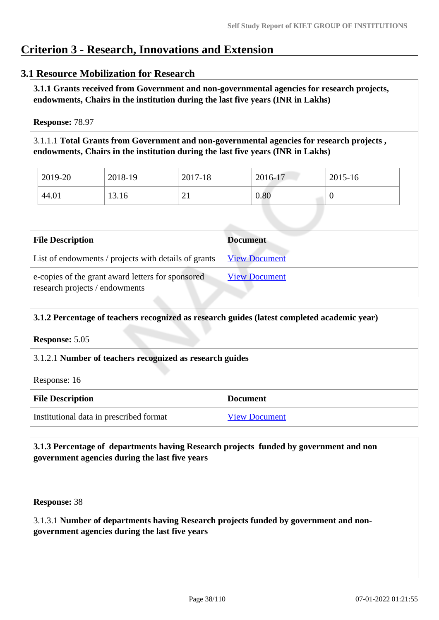# **Criterion 3 - Research, Innovations and Extension**

# **3.1 Resource Mobilization for Research**

 **3.1.1 Grants received from Government and non-governmental agencies for research projects, endowments, Chairs in the institution during the last five years (INR in Lakhs)** 

**Response:** 78.97

3.1.1.1 **Total Grants from Government and non-governmental agencies for research projects , endowments, Chairs in the institution during the last five years (INR in Lakhs)**

| 2019-20 | 2018-19 | 2017-18  | 2016-17 | 2015-16 |
|---------|---------|----------|---------|---------|
| 44.01   | 13.16   | $\sim$ 1 | 0.80    |         |

| <b>File Description</b>                                                             | <b>Document</b>      |
|-------------------------------------------------------------------------------------|----------------------|
| List of endowments / projects with details of grants                                | <b>View Document</b> |
| e-copies of the grant award letters for sponsored<br>research projects / endowments | <b>View Document</b> |

# **3.1.2 Percentage of teachers recognized as research guides (latest completed academic year) Response:** 5.05 3.1.2.1 **Number of teachers recognized as research guides** Response: 16 **File Description Document** Institutional data in prescribed format [View Document](https://assessmentonline.naac.gov.in/storage/app/hei/SSR/104099/3.1.2_1629875872_6511.pdf)

# **3.1.3 Percentage of departments having Research projects funded by government and non government agencies during the last five years**

**Response:** 38

3.1.3.1 **Number of departments having Research projects funded by government and nongovernment agencies during the last five years**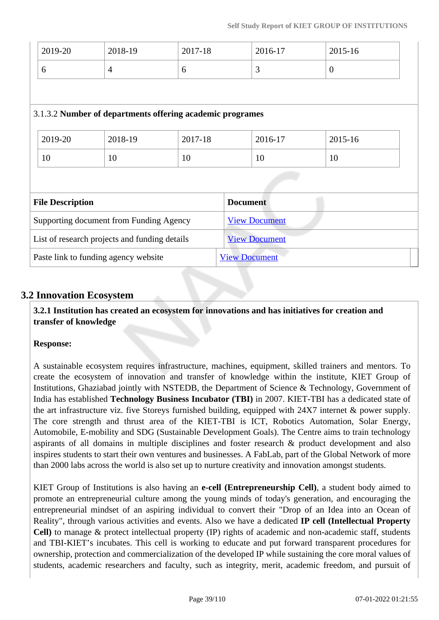| 2019-20                                       | 2018-19                                                   | 2017-18 | 2016-17              | 2015-16        |  |
|-----------------------------------------------|-----------------------------------------------------------|---------|----------------------|----------------|--|
| 6                                             | $\overline{4}$                                            | 6       | 3                    | $\overline{0}$ |  |
|                                               |                                                           |         |                      |                |  |
|                                               | 3.1.3.2 Number of departments offering academic programes |         |                      |                |  |
|                                               |                                                           |         |                      |                |  |
| 2019-20                                       | 2018-19                                                   | 2017-18 | 2016-17              | 2015-16        |  |
| 10                                            | 10                                                        | 10      | 10                   | 10             |  |
|                                               |                                                           |         |                      |                |  |
| <b>File Description</b>                       |                                                           |         | <b>Document</b>      |                |  |
| Supporting document from Funding Agency       |                                                           |         | <b>View Document</b> |                |  |
| List of research projects and funding details |                                                           |         | <b>View Document</b> |                |  |
|                                               | Paste link to funding agency website                      |         | <b>View Document</b> |                |  |

# **3.2 Innovation Ecosystem**

 **3.2.1 Institution has created an ecosystem for innovations and has initiatives for creation and transfer of knowledge**

# **Response:**

A sustainable ecosystem requires infrastructure, machines, equipment, skilled trainers and mentors. To create the ecosystem of innovation and transfer of knowledge within the institute, KIET Group of Institutions, Ghaziabad jointly with NSTEDB, the Department of Science & Technology, Government of India has established **Technology Business Incubator (TBI)** in 2007. KIET-TBI has a dedicated state of the art infrastructure viz. five Storeys furnished building, equipped with 24X7 internet & power supply. The core strength and thrust area of the KIET-TBI is ICT, Robotics Automation, Solar Energy, Automobile, E-mobility and SDG (Sustainable Development Goals). The Centre aims to train technology aspirants of all domains in multiple disciplines and foster research & product development and also inspires students to start their own ventures and businesses. A FabLab, part of the Global Network of more than 2000 labs across the world is also set up to nurture creativity and innovation amongst students.

KIET Group of Institutions is also having an **e-cell (Entrepreneurship Cell)**, a student body aimed to promote an entrepreneurial culture among the young minds of today's generation, and encouraging the entrepreneurial mindset of an aspiring individual to convert their "Drop of an Idea into an Ocean of Reality", through various activities and events. Also we have a dedicated **IP cell (Intellectual Property Cell)** to manage & protect intellectual property (IP) rights of academic and non-academic staff, students and TBI-KIET's incubates. This cell is working to educate and put forward transparent procedures for ownership, protection and commercialization of the developed IP while sustaining the core moral values of students, academic researchers and faculty, such as integrity, merit, academic freedom, and pursuit of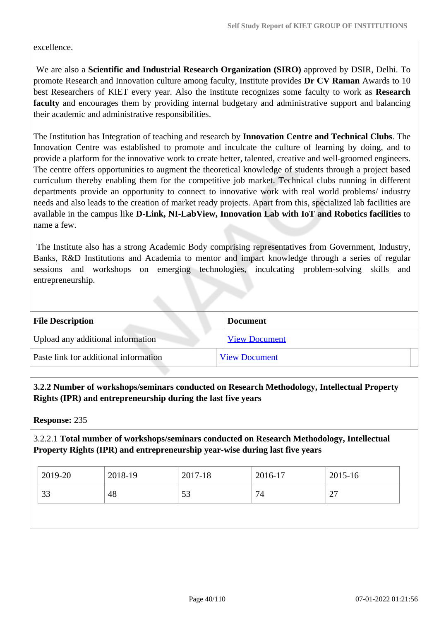excellence.

 We are also a **Scientific and Industrial Research Organization (SIRO)** approved by DSIR, Delhi. To promote Research and Innovation culture among faculty, Institute provides **Dr CV Raman** Awards to 10 best Researchers of KIET every year. Also the institute recognizes some faculty to work as **Research** faculty and encourages them by providing internal budgetary and administrative support and balancing their academic and administrative responsibilities.

The Institution has Integration of teaching and research by **Innovation Centre and Technical Clubs**. The Innovation Centre was established to promote and inculcate the culture of learning by doing, and to provide a platform for the innovative work to create better, talented, creative and well-groomed engineers. The centre offers opportunities to augment the theoretical knowledge of students through a project based curriculum thereby enabling them for the competitive job market. Technical clubs running in different departments provide an opportunity to connect to innovative work with real world problems/ industry needs and also leads to the creation of market ready projects. Apart from this, specialized lab facilities are available in the campus like **D-Link, NI-LabView, Innovation Lab with IoT and Robotics facilities** to name a few.

 The Institute also has a strong Academic Body comprising representatives from Government, Industry, Banks, R&D Institutions and Academia to mentor and impart knowledge through a series of regular sessions and workshops on emerging technologies, inculcating problem-solving skills and entrepreneurship.

| <b>File Description</b>               | <b>Document</b>      |
|---------------------------------------|----------------------|
| Upload any additional information     | <b>View Document</b> |
| Paste link for additional information | <b>View Document</b> |

 **3.2.2 Number of workshops/seminars conducted on Research Methodology, Intellectual Property Rights (IPR) and entrepreneurship during the last five years**

**Response:** 235

3.2.2.1 **Total number of workshops/seminars conducted on Research Methodology, Intellectual Property Rights (IPR) and entrepreneurship year-wise during last five years** 

| 2019-20          | 2018-19 | 2017-18 | 2016-17 | 2015-16                  |
|------------------|---------|---------|---------|--------------------------|
| $\Omega$<br>- 33 | 48      | 53      | 74      | $\sim$<br>$\overline{ }$ |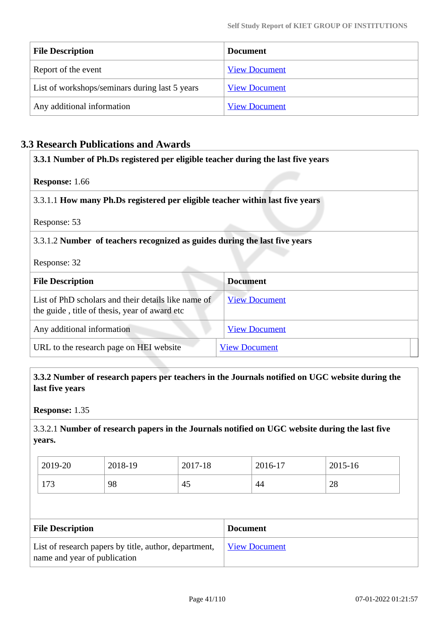| <b>File Description</b>                        | <b>Document</b>      |
|------------------------------------------------|----------------------|
| Report of the event                            | <b>View Document</b> |
| List of workshops/seminars during last 5 years | <b>View Document</b> |
| Any additional information                     | <b>View Document</b> |

# **3.3 Research Publications and Awards**

| 3.3.1 Number of Ph.Ds registered per eligible teacher during the last five years                     |                      |
|------------------------------------------------------------------------------------------------------|----------------------|
| <b>Response:</b> 1.66                                                                                |                      |
| 3.3.1.1 How many Ph.Ds registered per eligible teacher within last five years                        |                      |
| Response: 53                                                                                         |                      |
| 3.3.1.2 Number of teachers recognized as guides during the last five years                           |                      |
| Response: 32                                                                                         |                      |
| <b>File Description</b>                                                                              | <b>Document</b>      |
| List of PhD scholars and their details like name of<br>the guide, title of thesis, year of award etc | <b>View Document</b> |
| Any additional information                                                                           | <b>View Document</b> |
| URL to the research page on HEI website                                                              | <b>View Document</b> |

# **3.3.2 Number of research papers per teachers in the Journals notified on UGC website during the last five years**

**Response:** 1.35

3.3.2.1 **Number of research papers in the Journals notified on UGC website during the last five years.**

| 2019-20    | 2018-19 | 2017-18 | 2016-17 | 2015-16 |
|------------|---------|---------|---------|---------|
| 173<br>179 | 98      | 45      | 44      | 28      |

| <b>File Description</b>                                                               | <b>Document</b> |
|---------------------------------------------------------------------------------------|-----------------|
| List of research papers by title, author, department,<br>name and year of publication | View Document   |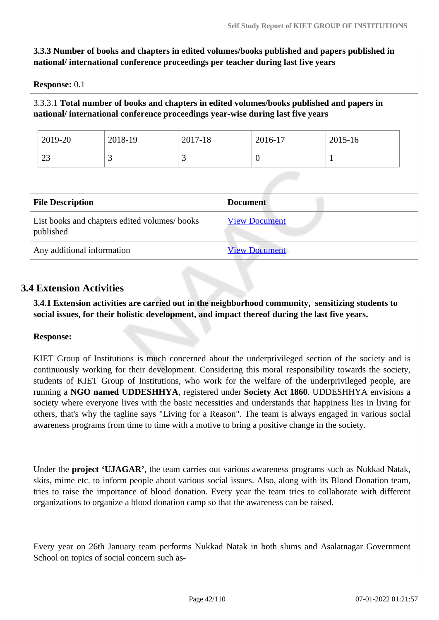# **3.3.3 Number of books and chapters in edited volumes/books published and papers published in national/ international conference proceedings per teacher during last five years**

#### **Response:** 0.1

### 3.3.3.1 **Total number of books and chapters in edited volumes/books published and papers in national/ international conference proceedings year-wise during last five years**

| 2019-20                                                   | 2018-19 | 2017-18              |                      | 2016-17 | 2015-16 |
|-----------------------------------------------------------|---------|----------------------|----------------------|---------|---------|
| 23                                                        | 3       | 3                    | $\theta$             |         | -1      |
|                                                           |         |                      |                      |         |         |
| <b>File Description</b>                                   |         |                      | <b>Document</b>      |         |         |
| List books and chapters edited volumes/books<br>published |         | <b>View Document</b> |                      |         |         |
| Any additional information                                |         |                      | <b>View Document</b> |         |         |

### **3.4 Extension Activities**

 **3.4.1 Extension activities are carried out in the neighborhood community, sensitizing students to social issues, for their holistic development, and impact thereof during the last five years.**

#### **Response:**

KIET Group of Institutions is much concerned about the underprivileged section of the society and is continuously working for their development. Considering this moral responsibility towards the society, students of KIET Group of Institutions, who work for the welfare of the underprivileged people, are running a **NGO named UDDESHHYA**, registered under **Society Act 1860**. UDDESHHYA envisions a society where everyone lives with the basic necessities and understands that happiness lies in living for others, that's why the tagline says "Living for a Reason". The team is always engaged in various social awareness programs from time to time with a motive to bring a positive change in the society.

Under the **project 'UJAGAR'**, the team carries out various awareness programs such as Nukkad Natak, skits, mime etc. to inform people about various social issues. Also, along with its Blood Donation team, tries to raise the importance of blood donation. Every year the team tries to collaborate with different organizations to organize a blood donation camp so that the awareness can be raised.

Every year on 26th January team performs Nukkad Natak in both slums and Asalatnagar Government School on topics of social concern such as-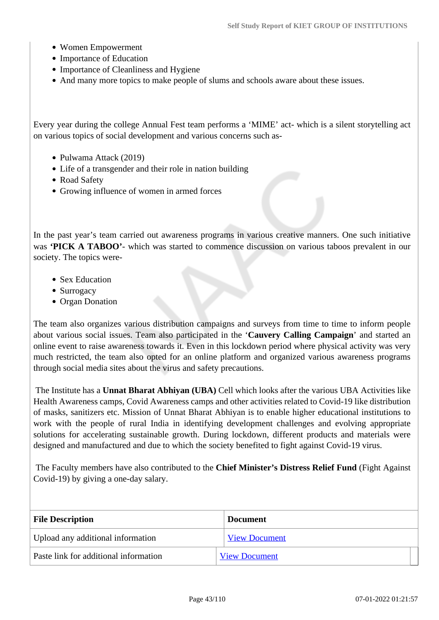- Women Empowerment
- Importance of Education
- Importance of Cleanliness and Hygiene
- And many more topics to make people of slums and schools aware about these issues.

Every year during the college Annual Fest team performs a 'MIME' act- which is a silent storytelling act on various topics of social development and various concerns such as-

- Pulwama Attack (2019)
- Life of a transgender and their role in nation building
- Road Safety
- Growing influence of women in armed forces

In the past year's team carried out awareness programs in various creative manners. One such initiative was **'PICK A TABOO'**- which was started to commence discussion on various taboos prevalent in our society. The topics were-

- Sex Education
- Surrogacy
- Organ Donation

The team also organizes various distribution campaigns and surveys from time to time to inform people about various social issues. Team also participated in the '**Cauvery Calling Campaign**' and started an online event to raise awareness towards it. Even in this lockdown period where physical activity was very much restricted, the team also opted for an online platform and organized various awareness programs through social media sites about the virus and safety precautions.

 The Institute has a **Unnat Bharat Abhiyan (UBA)** Cell which looks after the various UBA Activities like Health Awareness camps, Covid Awareness camps and other activities related to Covid-19 like distribution of masks, sanitizers etc. Mission of Unnat Bharat Abhiyan is to enable higher educational institutions to work with the people of rural India in identifying development challenges and evolving appropriate solutions for accelerating sustainable growth. During lockdown, different products and materials were designed and manufactured and due to which the society benefited to fight against Covid-19 virus.

 The Faculty members have also contributed to the **Chief Minister's Distress Relief Fund** (Fight Against Covid-19) by giving a one-day salary.

| <b>File Description</b>               | <b>Document</b>      |
|---------------------------------------|----------------------|
| Upload any additional information     | <b>View Document</b> |
| Paste link for additional information | <b>View Document</b> |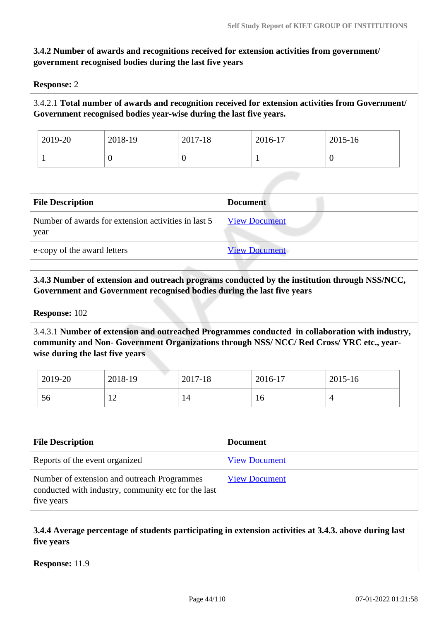# **3.4.2 Number of awards and recognitions received for extension activities from government/ government recognised bodies during the last five years**

#### **Response:** 2

3.4.2.1 **Total number of awards and recognition received for extension activities from Government/ Government recognised bodies year-wise during the last five years.**

| 2019-20 | 2018-19 | 2017-18 | 2016-17 | $12015 - 16$ |
|---------|---------|---------|---------|--------------|
|         |         | v       |         | ν            |

| <b>File Description</b>                                     | <b>Document</b>      |
|-------------------------------------------------------------|----------------------|
| Number of awards for extension activities in last 5<br>year | <b>View Document</b> |
| e-copy of the award letters                                 | <b>View Document</b> |

### **3.4.3 Number of extension and outreach programs conducted by the institution through NSS/NCC, Government and Government recognised bodies during the last five years**

#### **Response:** 102

3.4.3.1 **Number of extension and outreached Programmes conducted in collaboration with industry, community and Non- Government Organizations through NSS/ NCC/ Red Cross/ YRC etc., yearwise during the last five years**

| 2019-20          | 2018-19                            | 2017-18 | 2016-17 | 2015-16 |
|------------------|------------------------------------|---------|---------|---------|
| $\epsilon$<br>50 | $\sim$<br>$\overline{\phantom{0}}$ | 14      | 10      |         |

| <b>File Description</b>                                                                                          | <b>Document</b>      |
|------------------------------------------------------------------------------------------------------------------|----------------------|
| Reports of the event organized                                                                                   | <b>View Document</b> |
| Number of extension and outreach Programmes<br>conducted with industry, community etc for the last<br>five years | <b>View Document</b> |

 **3.4.4 Average percentage of students participating in extension activities at 3.4.3. above during last five years**

**Response:** 11.9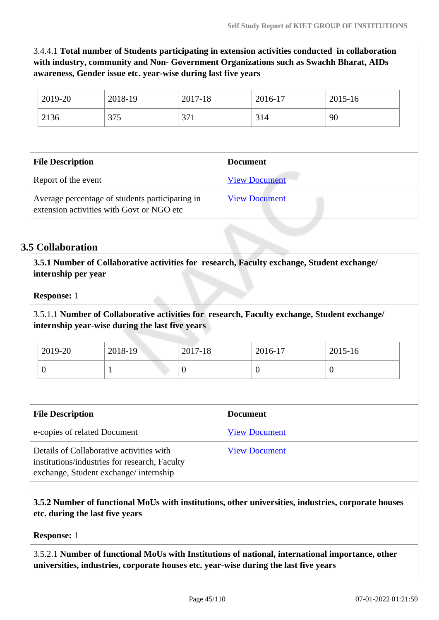3.4.4.1 **Total number of Students participating in extension activities conducted in collaboration with industry, community and Non- Government Organizations such as Swachh Bharat, AIDs awareness, Gender issue etc. year-wise during last five years**

| 2019-20                 | 2018-19 | 2017-18 |                 | 2016-17              | 2015-16 |
|-------------------------|---------|---------|-----------------|----------------------|---------|
| 2136                    | 375     | 371     |                 | 314                  | 90      |
|                         |         |         |                 |                      |         |
|                         |         |         |                 |                      |         |
| <b>File Description</b> |         |         | <b>Document</b> |                      |         |
| Report of the event     |         |         |                 | <b>View Document</b> |         |

# **3.5 Collaboration**

 **3.5.1 Number of Collaborative activities for research, Faculty exchange, Student exchange/ internship per year**

**Response:** 1

3.5.1.1 **Number of Collaborative activities for research, Faculty exchange, Student exchange/ internship year-wise during the last five years**

| 2019-20 | 2018-19 | 2017-18 | 2016-17        | $2015 - 16$ |
|---------|---------|---------|----------------|-------------|
|         |         | ິ       | <sup>-</sup> C | ິ           |

| <b>File Description</b>                                                                                                            | <b>Document</b>      |
|------------------------------------------------------------------------------------------------------------------------------------|----------------------|
| e-copies of related Document                                                                                                       | <b>View Document</b> |
| Details of Collaborative activities with<br>institutions/industries for research, Faculty<br>exchange, Student exchange/internship | <b>View Document</b> |

 **3.5.2 Number of functional MoUs with institutions, other universities, industries, corporate houses etc. during the last five years** 

**Response:** 1

3.5.2.1 **Number of functional MoUs with Institutions of national, international importance, other universities, industries, corporate houses etc. year-wise during the last five years**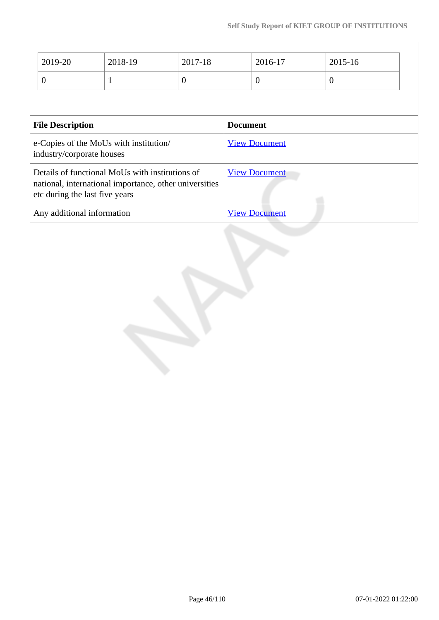|                                                                                                                                             | 2019-20                                                             | 2018-19  | 2017-18        |                      | 2016-17              | 2015-16  |
|---------------------------------------------------------------------------------------------------------------------------------------------|---------------------------------------------------------------------|----------|----------------|----------------------|----------------------|----------|
|                                                                                                                                             | $\overline{0}$                                                      | $\bf{1}$ | $\overline{0}$ |                      | $\overline{0}$       | $\theta$ |
|                                                                                                                                             |                                                                     |          |                |                      |                      |          |
|                                                                                                                                             | <b>File Description</b>                                             |          |                | <b>Document</b>      |                      |          |
|                                                                                                                                             | e-Copies of the MoUs with institution/<br>industry/corporate houses |          |                |                      | <b>View Document</b> |          |
| Details of functional MoUs with institutions of<br>national, international importance, other universities<br>etc during the last five years |                                                                     |          |                | <b>View Document</b> |                      |          |
| Any additional information                                                                                                                  |                                                                     |          |                | <b>View Document</b> |                      |          |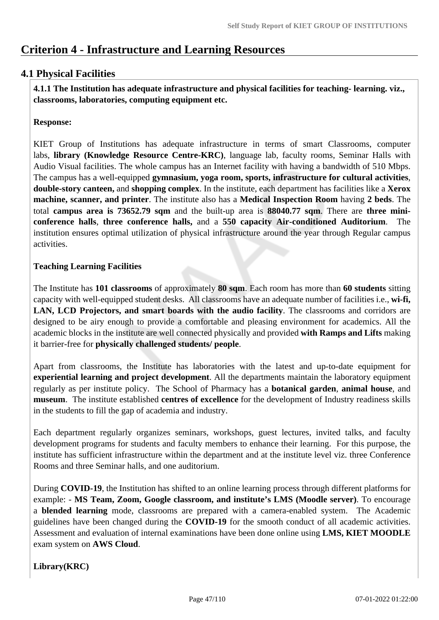# **Criterion 4 - Infrastructure and Learning Resources**

# **4.1 Physical Facilities**

 **4.1.1 The Institution has adequate infrastructure and physical facilities for teaching- learning. viz., classrooms, laboratories, computing equipment etc.** 

#### **Response:**

KIET Group of Institutions has adequate infrastructure in terms of smart Classrooms, computer labs, **library (Knowledge Resource Centre-KRC)**, language lab, faculty rooms, Seminar Halls with Audio Visual facilities. The whole campus has an Internet facility with having a bandwidth of 510 Mbps. The campus has a well-equipped **gymnasium, yoga room, sports, infrastructure for cultural activities**, **double-story canteen,** and **shopping complex**. In the institute, each department has facilities like a **Xerox machine, scanner, and printer**. The institute also has a **Medical Inspection Room** having **2 beds**. The total **campus area is 73652.79 sqm** and the built-up area is **88040.77 sqm**. There are **three miniconference halls**, **three conference halls,** and a **550 capacity Air-conditioned Auditorium**. The institution ensures optimal utilization of physical infrastructure around the year through Regular campus activities.

### **Teaching Learning Facilities**

The Institute has **101 classrooms** of approximately **80 sqm**. Each room has more than **60 students** sitting capacity with well-equipped student desks. All classrooms have an adequate number of facilities i.e., **wi-fi, LAN, LCD Projectors, and smart boards with the audio facility**. The classrooms and corridors are designed to be airy enough to provide a comfortable and pleasing environment for academics. All the academic blocks in the institute are well connected physically and provided **with Ramps and Lifts** making it barrier-free for **physically challenged students/ people**.

Apart from classrooms, the Institute has laboratories with the latest and up-to-date equipment for **experiential learning and project development**. All the departments maintain the laboratory equipment regularly as per institute policy. The School of Pharmacy has a **botanical garden**, **animal house**, and **museum**. The institute established **centres of excellence** for the development of Industry readiness skills in the students to fill the gap of academia and industry.

Each department regularly organizes seminars, workshops, guest lectures, invited talks, and faculty development programs for students and faculty members to enhance their learning. For this purpose, the institute has sufficient infrastructure within the department and at the institute level viz. three Conference Rooms and three Seminar halls, and one auditorium.

During **COVID-19**, the Institution has shifted to an online learning process through different platforms for example: - **MS Team, Zoom, Google classroom, and institute's LMS (Moodle server)**. To encourage a **blended learning** mode, classrooms are prepared with a camera-enabled system. The Academic guidelines have been changed during the **COVID-19** for the smooth conduct of all academic activities. Assessment and evaluation of internal examinations have been done online using **LMS, KIET MOODLE** exam system on **AWS Cloud**.

# **Library(KRC)**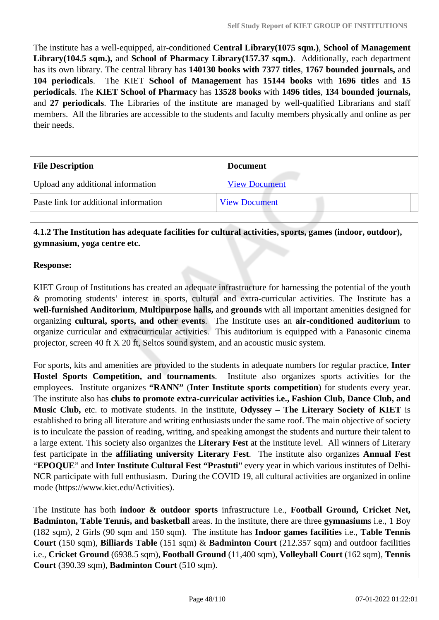The institute has a well-equipped, air-conditioned **Central Library(1075 sqm.)**, **School of Management Library(104.5 sqm.),** and **School of Pharmacy Library(157.37 sqm.)**. Additionally, each department has its own library. The central library has **140130 books with 7377 titles**, **1767 bounded journals,** and **104 periodicals**. The KIET **School of Management** has **15144 books** with **1696 titles** and **15 periodicals**. The **KIET School of Pharmacy** has **13528 books** with **1496 titles**, **134 bounded journals,** and **27 periodicals**. The Libraries of the institute are managed by well-qualified Librarians and staff members. All the libraries are accessible to the students and faculty members physically and online as per their needs.

| <b>Document</b>      |
|----------------------|
| <b>View Document</b> |
| <b>View Document</b> |
|                      |

 **4.1.2 The Institution has adequate facilities for cultural activities, sports, games (indoor, outdoor), gymnasium, yoga centre etc.** 

#### **Response:**

KIET Group of Institutions has created an adequate infrastructure for harnessing the potential of the youth & promoting students' interest in sports, cultural and extra-curricular activities. The Institute has a **well-furnished Auditorium**, **Multipurpose halls,** and **grounds** with all important amenities designed for organizing **cultural, sports, and other events**. The Institute uses an **air-conditioned auditorium** to organize curricular and extracurricular activities. This auditorium is equipped with a Panasonic cinema projector, screen 40 ft X 20 ft, Seltos sound system, and an acoustic music system.

For sports, kits and amenities are provided to the students in adequate numbers for regular practice, **Inter Hostel Sports Competition, and tournaments**. Institute also organizes sports activities for the employees. Institute organizes **"RANN"** (**Inter Institute sports competition**) for students every year. The institute also has **clubs to promote extra-curricular activities i.e., Fashion Club, Dance Club, and Music Club,** etc. to motivate students. In the institute, **Odyssey – The Literary Society of KIET** is established to bring all literature and writing enthusiasts under the same roof. The main objective of society is to inculcate the passion of reading, writing, and speaking amongst the students and nurture their talent to a large extent. This society also organizes the **Literary Fest** at the institute level. All winners of Literary fest participate in the **affiliating university Literary Fest**. The institute also organizes **Annual Fest** "**EPOQUE**" and **Inter Institute Cultural Fest "Prastuti'**' every year in which various institutes of Delhi-NCR participate with full enthusiasm. During the COVID 19, all cultural activities are organized in online mode (https://www.kiet.edu/Activities).

The Institute has both **indoor & outdoor sports** infrastructure i.e., **Football Ground, Cricket Net, Badminton, Table Tennis, and basketball** areas. In the institute, there are three **gymnasium**s i.e., 1 Boy (182 sqm), 2 Girls (90 sqm and 150 sqm). The institute has **Indoor games facilities** i.e., **Table Tennis Court** (150 sqm), **Billiards Table** (151 sqm) & **Badminton Court** (212.357 sqm) and outdoor facilities i.e., **Cricket Ground** (6938.5 sqm), **Football Ground** (11,400 sqm), **Volleyball Court** (162 sqm), **Tennis Court** (390.39 sqm), **Badminton Court** (510 sqm).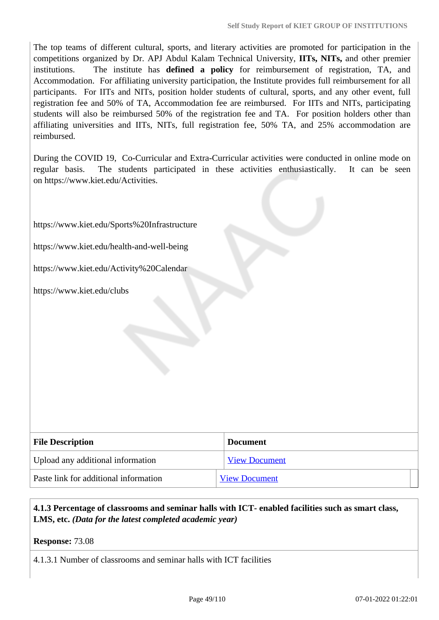The top teams of different cultural, sports, and literary activities are promoted for participation in the competitions organized by Dr. APJ Abdul Kalam Technical University, **IITs, NITs,** and other premier institutions. The institute has **defined a policy** for reimbursement of registration, TA, and Accommodation. For affiliating university participation, the Institute provides full reimbursement for all participants. For IITs and NITs, position holder students of cultural, sports, and any other event, full registration fee and 50% of TA, Accommodation fee are reimbursed. For IITs and NITs, participating students will also be reimbursed 50% of the registration fee and TA. For position holders other than affiliating universities and IITs, NITs, full registration fee, 50% TA, and 25% accommodation are reimbursed.

During the COVID 19, Co-Curricular and Extra-Curricular activities were conducted in online mode on regular basis. The students participated in these activities enthusiastically. It can be seen on https://www.kiet.edu/Activities.

https://www.kiet.edu/Sports%20Infrastructure

https://www.kiet.edu/health-and-well-being

https://www.kiet.edu/Activity%20Calendar

https://www.kiet.edu/clubs

| <b>File Description</b>               | <b>Document</b>      |
|---------------------------------------|----------------------|
| Upload any additional information     | <b>View Document</b> |
| Paste link for additional information | <b>View Document</b> |

# **4.1.3 Percentage of classrooms and seminar halls with ICT- enabled facilities such as smart class, LMS, etc.** *(Data for the latest completed academic year)*

**Response:** 73.08

4.1.3.1 Number of classrooms and seminar halls with ICT facilities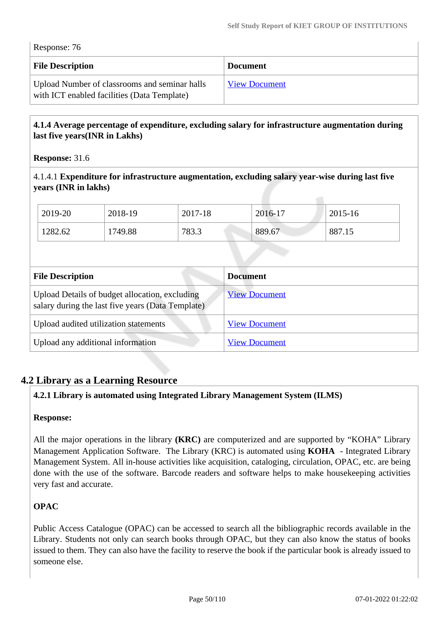Response: 76

| <b>File Description</b>                                                                      | <b>Document</b>      |
|----------------------------------------------------------------------------------------------|----------------------|
| Upload Number of classrooms and seminar halls<br>with ICT enabled facilities (Data Template) | <b>View Document</b> |

# **4.1.4 Average percentage of expenditure, excluding salary for infrastructure augmentation during last five years(INR in Lakhs)**

#### **Response:** 31.6

4.1.4.1 **Expenditure for infrastructure augmentation, excluding salary year-wise during last five years (INR in lakhs)**

| 2019-20 | 2018-19 | 2017-18 | 2016-17 | 2015-16 |
|---------|---------|---------|---------|---------|
| 1282.62 | 1749.88 | 783.3   | 889.67  | 887.15  |

| <b>File Description</b>                                                                             | <b>Document</b>      |
|-----------------------------------------------------------------------------------------------------|----------------------|
| Upload Details of budget allocation, excluding<br>salary during the last five years (Data Template) | <b>View Document</b> |
| Upload audited utilization statements                                                               | <b>View Document</b> |
| Upload any additional information                                                                   | <b>View Document</b> |

# **4.2 Library as a Learning Resource**

# **4.2.1 Library is automated using Integrated Library Management System (ILMS)**

#### **Response:**

All the major operations in the library **(KRC)** are computerized and are supported by "KOHA" Library Management Application Software. The Library (KRC) is automated using **KOHA** - Integrated Library Management System. All in-house activities like acquisition, cataloging, circulation, OPAC, etc. are being done with the use of the software. Barcode readers and software helps to make housekeeping activities very fast and accurate.

# **OPAC**

Public Access Catalogue (OPAC) can be accessed to search all the bibliographic records available in the Library. Students not only can search books through OPAC, but they can also know the status of books issued to them. They can also have the facility to reserve the book if the particular book is already issued to someone else.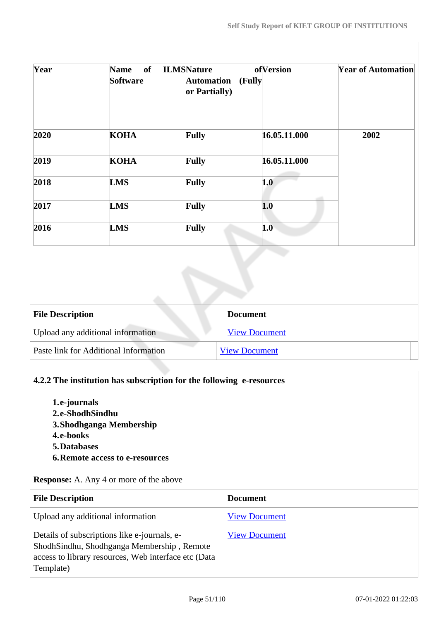| Year | <b>of</b><br><b>Name</b><br><b>Software</b> | <b>ILMSNature</b><br><b>Automation</b><br>(Fully<br>or Partially) | ofVersion    | <b>Year of Automation</b> |
|------|---------------------------------------------|-------------------------------------------------------------------|--------------|---------------------------|
| 2020 | <b>KOHA</b>                                 | <b>Fully</b>                                                      | 16.05.11.000 | 2002                      |
| 2019 | <b>KOHA</b>                                 | <b>Fully</b>                                                      | 16.05.11.000 |                           |
| 2018 | <b>LMS</b>                                  | <b>Fully</b>                                                      | 1.0          |                           |
| 2017 | <b>LMS</b>                                  | <b>Fully</b>                                                      | 1.0          |                           |
| 2016 | <b>LMS</b>                                  | <b>Fully</b>                                                      | 1.0          |                           |

| <b>File Description</b>               | <b>Document</b>      |  |
|---------------------------------------|----------------------|--|
| Upload any additional information     | <b>View Document</b> |  |
| Paste link for Additional Information | <b>View Document</b> |  |

# **4.2.2 The institution has subscription for the following e-resources**

- **1.e-journals**
- **2.e-ShodhSindhu**
- **3.Shodhganga Membership**
- **4.e-books**
- **5.Databases**
- **6.Remote access to e-resources**

#### **Response:** A. Any 4 or more of the above

| <b>File Description</b>                                                                                                                                         | <b>Document</b>      |
|-----------------------------------------------------------------------------------------------------------------------------------------------------------------|----------------------|
| Upload any additional information                                                                                                                               | <b>View Document</b> |
| Details of subscriptions like e-journals, e-<br>ShodhSindhu, Shodhganga Membership, Remote<br>access to library resources, Web interface etc (Data<br>Template) | <b>View Document</b> |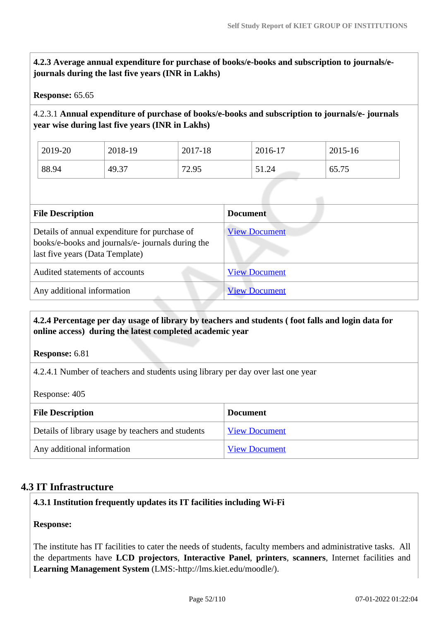**4.2.3 Average annual expenditure for purchase of books/e-books and subscription to journals/ejournals during the last five years (INR in Lakhs)** 

**Response:** 65.65

4.2.3.1 **Annual expenditure of purchase of books/e-books and subscription to journals/e- journals year wise during last five years (INR in Lakhs)**

| 2019-20 | 2018-19 | 2017-18 | 2016-17 | 2015-16 |
|---------|---------|---------|---------|---------|
| 88.94   | 49.37   | 72.95   | 51.24   | 65.75   |

| <b>File Description</b>                                                                                                               | <b>Document</b>      |  |  |
|---------------------------------------------------------------------------------------------------------------------------------------|----------------------|--|--|
| Details of annual expenditure for purchase of<br>books/e-books and journals/e- journals during the<br>last five years (Data Template) | <b>View Document</b> |  |  |
| Audited statements of accounts                                                                                                        | <b>View Document</b> |  |  |
| Any additional information                                                                                                            | <b>View Document</b> |  |  |

# **4.2.4 Percentage per day usage of library by teachers and students ( foot falls and login data for online access) during the latest completed academic year**

**Response:** 6.81

4.2.4.1 Number of teachers and students using library per day over last one year

Response: 405

| <b>File Description</b>                           | <b>Document</b>      |  |
|---------------------------------------------------|----------------------|--|
| Details of library usage by teachers and students | <b>View Document</b> |  |
| Any additional information                        | <b>View Document</b> |  |

# **4.3 IT Infrastructure**

**4.3.1 Institution frequently updates its IT facilities including Wi-Fi**

#### **Response:**

The institute has IT facilities to cater the needs of students, faculty members and administrative tasks. All the departments have **LCD projectors**, **Interactive Panel**, **printers**, **scanners**, Internet facilities and **Learning Management System** (LMS:-http://lms.kiet.edu/moodle/).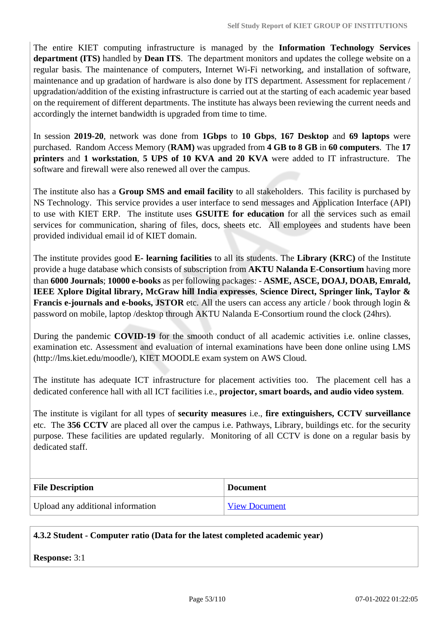The entire KIET computing infrastructure is managed by the **Information Technology Services department (ITS)** handled by **Dean ITS**. The department monitors and updates the college website on a regular basis. The maintenance of computers, Internet Wi-Fi networking, and installation of software, maintenance and up gradation of hardware is also done by ITS department. Assessment for replacement / upgradation/addition of the existing infrastructure is carried out at the starting of each academic year based on the requirement of different departments. The institute has always been reviewing the current needs and accordingly the internet bandwidth is upgraded from time to time.

In session **2019-20**, network was done from **1Gbps** to **10 Gbps**, **167 Desktop** and **69 laptops** were purchased. Random Access Memory (**RAM)** was upgraded from **4 GB to 8 GB** in **60 computers**. The **17 printers** and **1 workstation**, **5 UPS of 10 KVA and 20 KVA** were added to IT infrastructure. The software and firewall were also renewed all over the campus.

The institute also has a **Group SMS and email facility** to all stakeholders. This facility is purchased by NS Technology. This service provides a user interface to send messages and Application Interface (API) to use with KIET ERP. The institute uses **GSUITE for education** for all the services such as email services for communication, sharing of files, docs, sheets etc. All employees and students have been provided individual email id of KIET domain.

The institute provides good **E- learning facilities** to all its students. The **Library (KRC)** of the Institute provide a huge database which consists of subscription from **AKTU Nalanda E-Consortium** having more than **6000 Journals**; **10000 e-books** as per following packages: - **ASME, ASCE, DOAJ, DOAB, Emrald, IEEE Xplore Digital library, McGraw hill India expresses**, **Science Direct, Springer link, Taylor & Francis e-journals and e-books, JSTOR** etc. All the users can access any article / book through login & password on mobile, laptop /desktop through AKTU Nalanda E-Consortium round the clock (24hrs).

During the pandemic **COVID-19** for the smooth conduct of all academic activities i.e. online classes, examination etc. Assessment and evaluation of internal examinations have been done online using LMS (http://lms.kiet.edu/moodle/), KIET MOODLE exam system on AWS Cloud.

The institute has adequate ICT infrastructure for placement activities too. The placement cell has a dedicated conference hall with all ICT facilities i.e., **projector, smart boards, and audio video system**.

The institute is vigilant for all types of **security measures** i.e., **fire extinguishers, CCTV surveillance** etc. The **356 CCTV** are placed all over the campus i.e. Pathways, Library, buildings etc. for the security purpose. These facilities are updated regularly. Monitoring of all CCTV is done on a regular basis by dedicated staff.

| <b>File Description</b>           | <b>Document</b>      |
|-----------------------------------|----------------------|
| Upload any additional information | <b>View Document</b> |

# **4.3.2 Student - Computer ratio (Data for the latest completed academic year)**

**Response:** 3:1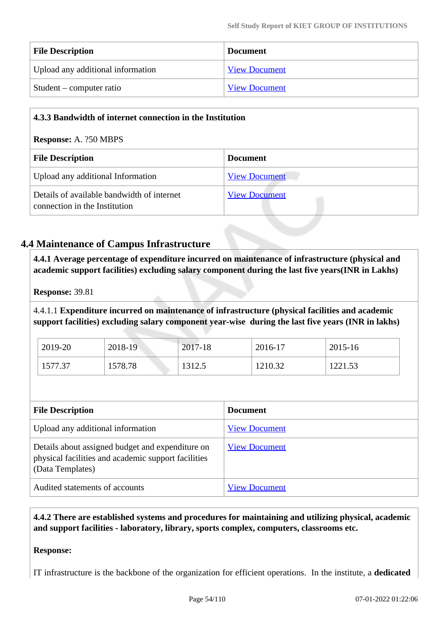| <b>File Description</b>           | <b>Document</b>      |
|-----------------------------------|----------------------|
| Upload any additional information | <b>View Document</b> |
| Student – computer ratio          | <b>View Document</b> |

| 4.3.3 Bandwidth of internet connection in the Institution                   |                      |  |
|-----------------------------------------------------------------------------|----------------------|--|
| <b>Response:</b> A. ?50 MBPS                                                |                      |  |
| <b>File Description</b>                                                     | <b>Document</b>      |  |
| Upload any additional Information                                           | <b>View Document</b> |  |
| Details of available bandwidth of internet<br>connection in the Institution | <b>View Document</b> |  |

# **4.4 Maintenance of Campus Infrastructure**

 **4.4.1 Average percentage of expenditure incurred on maintenance of infrastructure (physical and academic support facilities) excluding salary component during the last five years(INR in Lakhs)**

**Response:** 39.81

4.4.1.1 **Expenditure incurred on maintenance of infrastructure (physical facilities and academic support facilities) excluding salary component year-wise during the last five years (INR in lakhs)**

| 2019-20 | 2018-19 | 2017-18 | 2016-17 | $2015 - 16$ |
|---------|---------|---------|---------|-------------|
| 1577.37 | 1578.78 | 1312.5  | 1210.32 | 1221.53     |

| <b>File Description</b>                                                                                                     | <b>Document</b>      |
|-----------------------------------------------------------------------------------------------------------------------------|----------------------|
| Upload any additional information                                                                                           | <b>View Document</b> |
| Details about assigned budget and expenditure on<br>physical facilities and academic support facilities<br>(Data Templates) | <b>View Document</b> |
| Audited statements of accounts                                                                                              | <b>View Document</b> |

 **4.4.2 There are established systems and procedures for maintaining and utilizing physical, academic and support facilities - laboratory, library, sports complex, computers, classrooms etc.**

#### **Response:**

IT infrastructure is the backbone of the organization for efficient operations. In the institute, a **dedicated**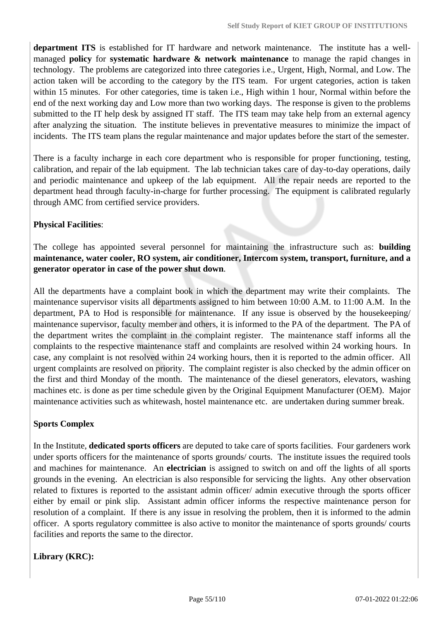**department ITS** is established for IT hardware and network maintenance. The institute has a wellmanaged **policy** for **systematic hardware & network maintenance** to manage the rapid changes in technology. The problems are categorized into three categories i.e., Urgent, High, Normal, and Low. The action taken will be according to the category by the ITS team. For urgent categories, action is taken within 15 minutes. For other categories, time is taken i.e., High within 1 hour, Normal within before the end of the next working day and Low more than two working days. The response is given to the problems submitted to the IT help desk by assigned IT staff. The ITS team may take help from an external agency after analyzing the situation. The institute believes in preventative measures to minimize the impact of incidents. The ITS team plans the regular maintenance and major updates before the start of the semester.

There is a faculty incharge in each core department who is responsible for proper functioning, testing, calibration, and repair of the lab equipment. The lab technician takes care of day-to-day operations, daily and periodic maintenance and upkeep of the lab equipment. All the repair needs are reported to the department head through faculty-in-charge for further processing. The equipment is calibrated regularly through AMC from certified service providers.

#### **Physical Facilities**:

The college has appointed several personnel for maintaining the infrastructure such as: **building maintenance, water cooler, RO system, air conditioner, Intercom system, transport, furniture, and a generator operator in case of the power shut down**.

All the departments have a complaint book in which the department may write their complaints. The maintenance supervisor visits all departments assigned to him between 10:00 A.M. to 11:00 A.M. In the department, PA to Hod is responsible for maintenance. If any issue is observed by the housekeeping/ maintenance supervisor, faculty member and others, it is informed to the PA of the department. The PA of the department writes the complaint in the complaint register. The maintenance staff informs all the complaints to the respective maintenance staff and complaints are resolved within 24 working hours. In case, any complaint is not resolved within 24 working hours, then it is reported to the admin officer. All urgent complaints are resolved on priority. The complaint register is also checked by the admin officer on the first and third Monday of the month. The maintenance of the diesel generators, elevators, washing machines etc. is done as per time schedule given by the Original Equipment Manufacturer (OEM). Major maintenance activities such as whitewash, hostel maintenance etc. are undertaken during summer break.

# **Sports Complex**

In the Institute, **dedicated sports officers** are deputed to take care of sports facilities. Four gardeners work under sports officers for the maintenance of sports grounds/ courts. The institute issues the required tools and machines for maintenance. An **electrician** is assigned to switch on and off the lights of all sports grounds in the evening. An electrician is also responsible for servicing the lights. Any other observation related to fixtures is reported to the assistant admin officer/ admin executive through the sports officer either by email or pink slip. Assistant admin officer informs the respective maintenance person for resolution of a complaint. If there is any issue in resolving the problem, then it is informed to the admin officer. A sports regulatory committee is also active to monitor the maintenance of sports grounds/ courts facilities and reports the same to the director.

# **Library (KRC):**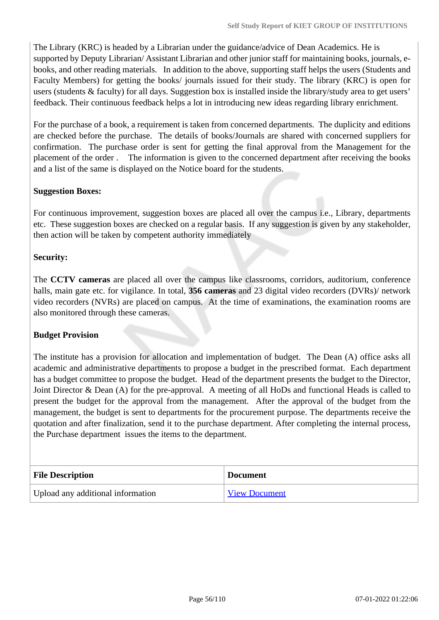The Library (KRC) is headed by a Librarian under the guidance/advice of Dean Academics. He is supported by Deputy Librarian/ Assistant Librarian and other junior staff for maintaining books, journals, ebooks, and other reading materials. In addition to the above, supporting staff helps the users (Students and Faculty Members) for getting the books/ journals issued for their study. The library (KRC) is open for users (students & faculty) for all days. Suggestion box is installed inside the library/study area to get users' feedback. Their continuous feedback helps a lot in introducing new ideas regarding library enrichment.

For the purchase of a book, a requirement is taken from concerned departments. The duplicity and editions are checked before the purchase. The details of books/Journals are shared with concerned suppliers for confirmation. The purchase order is sent for getting the final approval from the Management for the placement of the order . The information is given to the concerned department after receiving the books and a list of the same is displayed on the Notice board for the students.

#### **Suggestion Boxes:**

For continuous improvement, suggestion boxes are placed all over the campus i.e., Library, departments etc. These suggestion boxes are checked on a regular basis. If any suggestion is given by any stakeholder, then action will be taken by competent authority immediately

#### **Security:**

The **CCTV cameras** are placed all over the campus like classrooms, corridors, auditorium, conference halls, main gate etc. for vigilance. In total, **356 cameras** and 23 digital video recorders (DVRs)/ network video recorders (NVRs) are placed on campus. At the time of examinations, the examination rooms are also monitored through these cameras.

#### **Budget Provision**

The institute has a provision for allocation and implementation of budget. The Dean (A) office asks all academic and administrative departments to propose a budget in the prescribed format. Each department has a budget committee to propose the budget. Head of the department presents the budget to the Director, Joint Director & Dean (A) for the pre-approval. A meeting of all HoDs and functional Heads is called to present the budget for the approval from the management. After the approval of the budget from the management, the budget is sent to departments for the procurement purpose. The departments receive the quotation and after finalization, send it to the purchase department. After completing the internal process, the Purchase department issues the items to the department.

| <b>File Description</b>           | <b>Document</b>      |
|-----------------------------------|----------------------|
| Upload any additional information | <b>View Document</b> |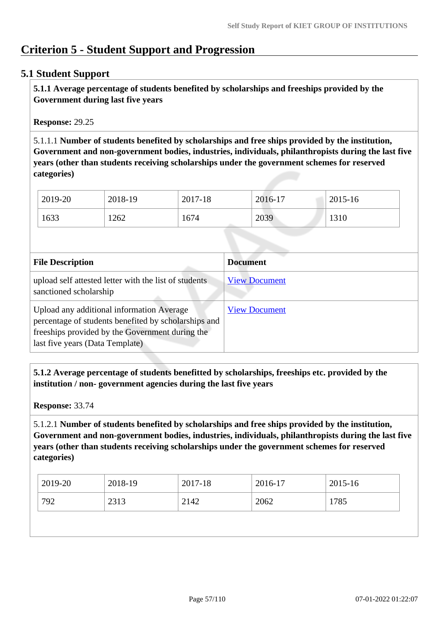# **Criterion 5 - Student Support and Progression**

# **5.1 Student Support**

 **5.1.1 Average percentage of students benefited by scholarships and freeships provided by the Government during last five years** 

**Response:** 29.25

5.1.1.1 **Number of students benefited by scholarships and free ships provided by the institution, Government and non-government bodies, industries, individuals, philanthropists during the last five years (other than students receiving scholarships under the government schemes for reserved categories)** 

| 2019-20 | 2018-19 | 2017-18 | 2016-17 | 2015-16 |
|---------|---------|---------|---------|---------|
| 1633    | 1262    | 1674    | 2039    | 1310    |

| <b>File Description</b>                                                                                                                                                                 | <b>Document</b>      |
|-----------------------------------------------------------------------------------------------------------------------------------------------------------------------------------------|----------------------|
| upload self attested letter with the list of students<br>sanctioned scholarship                                                                                                         | <b>View Document</b> |
| Upload any additional information Average<br>percentage of students benefited by scholarships and<br>freeships provided by the Government during the<br>last five years (Data Template) | <b>View Document</b> |

 **5.1.2 Average percentage of students benefitted by scholarships, freeships etc. provided by the institution / non- government agencies during the last five years**

**Response:** 33.74

5.1.2.1 **Number of students benefited by scholarships and free ships provided by the institution, Government and non-government bodies, industries, individuals, philanthropists during the last five years (other than students receiving scholarships under the government schemes for reserved categories)** 

| 2019-20 | 2018-19 | 2017-18 | 2016-17 | 2015-16 |
|---------|---------|---------|---------|---------|
| 792     | 2313    | 2142    | 2062    | 1785    |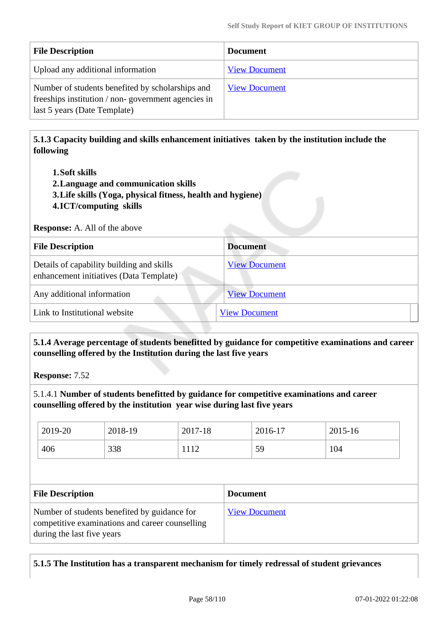| <b>File Description</b>                                                                                                                | <b>Document</b>      |
|----------------------------------------------------------------------------------------------------------------------------------------|----------------------|
| Upload any additional information                                                                                                      | <b>View Document</b> |
| Number of students benefited by scholarships and<br>freeships institution / non-government agencies in<br>last 5 years (Date Template) | <b>View Document</b> |

 **5.1.3 Capacity building and skills enhancement initiatives taken by the institution include the following**

#### **1.Soft skills**

- **2.Language and communication skills**
- **3.Life skills (Yoga, physical fitness, health and hygiene)**
- **4.ICT/computing skills**

**Response:** A. All of the above

| <b>File Description</b>                                                              | <b>Document</b>      |
|--------------------------------------------------------------------------------------|----------------------|
| Details of capability building and skills<br>enhancement initiatives (Data Template) | <b>View Document</b> |
| Any additional information                                                           | <b>View Document</b> |
| Link to Institutional website                                                        | <b>View Document</b> |

 **5.1.4 Average percentage of students benefitted by guidance for competitive examinations and career counselling offered by the Institution during the last five years**

**Response:** 7.52

5.1.4.1 **Number of students benefitted by guidance for competitive examinations and career counselling offered by the institution year wise during last five years**

| 2019-20 | 2018-19 | 2017-18  | 2016-17 | 2015-16 |
|---------|---------|----------|---------|---------|
| 406     | 338     | 110<br>. | 59      | 104     |

| <b>File Description</b>                                                                                                       | <b>Document</b>      |
|-------------------------------------------------------------------------------------------------------------------------------|----------------------|
| Number of students benefited by guidance for<br>competitive examinations and career counselling<br>during the last five years | <b>View Document</b> |

# **5.1.5 The Institution has a transparent mechanism for timely redressal of student grievances**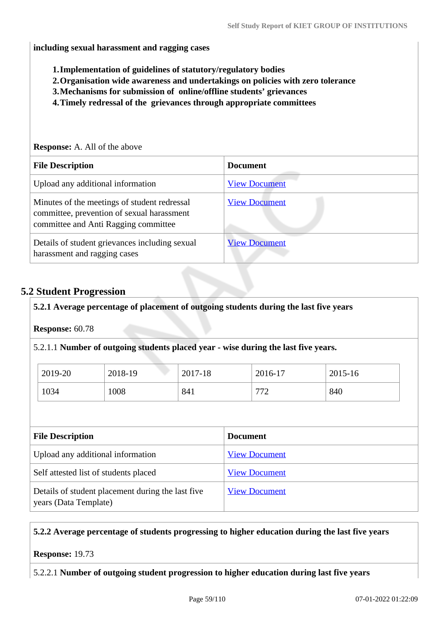#### **including sexual harassment and ragging cases**

- **1.Implementation of guidelines of statutory/regulatory bodies**
- **2.Organisation wide awareness and undertakings on policies with zero tolerance**
- **3.Mechanisms for submission of online/offline students' grievances**
- **4.Timely redressal of the grievances through appropriate committees**

# **Response:** A. All of the above **File Description Document** Upload any additional information [View Document](https://assessmentonline.naac.gov.in/storage/app/hei/SSR/104099/5.1.5_1628159162_6511.pdf) Minutes of the meetings of student redressal committee, prevention of sexual harassment committee and Anti Ragging committee [View Document](https://assessmentonline.naac.gov.in/storage/app/hei/SSR/104099/5.1.5_1628159165_6511.pdf) Details of student grievances including sexual harassment and ragging cases [View Document](https://assessmentonline.naac.gov.in/storage/app/hei/SSR/104099/5.1.5_1628159168_6511.pdf)

### **5.2 Student Progression**

#### **5.2.1 Average percentage of placement of outgoing students during the last five years**

**Response:** 60.78

5.2.1.1 **Number of outgoing students placed year - wise during the last five years.**

| 2019-20 | 2018-19 | 2017-18 | 2016-17 | 2015-16 |
|---------|---------|---------|---------|---------|
| 1034    | 1008    | 841     | 770     | 840     |

| <b>File Description</b>                                                    | <b>Document</b>      |
|----------------------------------------------------------------------------|----------------------|
| Upload any additional information                                          | <b>View Document</b> |
| Self attested list of students placed                                      | <b>View Document</b> |
| Details of student placement during the last five<br>years (Data Template) | <b>View Document</b> |

#### **5.2.2 Average percentage of students progressing to higher education during the last five years**

#### **Response:** 19.73

5.2.2.1 **Number of outgoing student progression to higher education during last five years**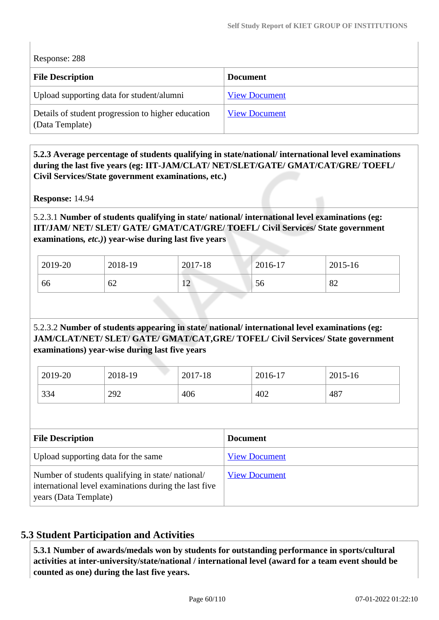Response: 288

| <b>File Description</b>                                               | <b>Document</b>      |
|-----------------------------------------------------------------------|----------------------|
| Upload supporting data for student/alumni                             | <b>View Document</b> |
| Details of student progression to higher education<br>(Data Template) | <b>View Document</b> |

 **5.2.3 Average percentage of students qualifying in state/national/ international level examinations during the last five years (eg: IIT-JAM/CLAT/ NET/SLET/GATE/ GMAT/CAT/GRE/ TOEFL/ Civil Services/State government examinations, etc.)**

**Response:** 14.94

5.2.3.1 **Number of students qualifying in state/ national/ international level examinations (eg: IIT/JAM/ NET/ SLET/ GATE/ GMAT/CAT/GRE/ TOEFL/ Civil Services/ State government examinations***, etc.)***) year-wise during last five years**

| 2019-20 | 2018-19 | 2017-18             | 2016-17                        | 2015-16 |
|---------|---------|---------------------|--------------------------------|---------|
| 66      | 62      | $\Delta$<br>$\perp$ | $\overline{\phantom{a}}$<br>Эb | 82      |

# 5.2.3.2 **Number of students appearing in state/ national/ international level examinations (eg: JAM/CLAT/NET/ SLET/ GATE/ GMAT/CAT,GRE/ TOFEL/ Civil Services/ State government examinations) year-wise during last five years**

| 2019-20 | 2018-19 | 2017-18 | 2016-17 | 2015-16 |
|---------|---------|---------|---------|---------|
| 334     | 292     | 406     | 402     | 487     |

| <b>File Description</b>                                                                                                            | <b>Document</b>      |
|------------------------------------------------------------------------------------------------------------------------------------|----------------------|
| Upload supporting data for the same                                                                                                | <b>View Document</b> |
| Number of students qualifying in state/national/<br>international level examinations during the last five<br>years (Data Template) | <b>View Document</b> |

# **5.3 Student Participation and Activities**

 **5.3.1 Number of awards/medals won by students for outstanding performance in sports/cultural activities at inter-university/state/national / international level (award for a team event should be counted as one) during the last five years.**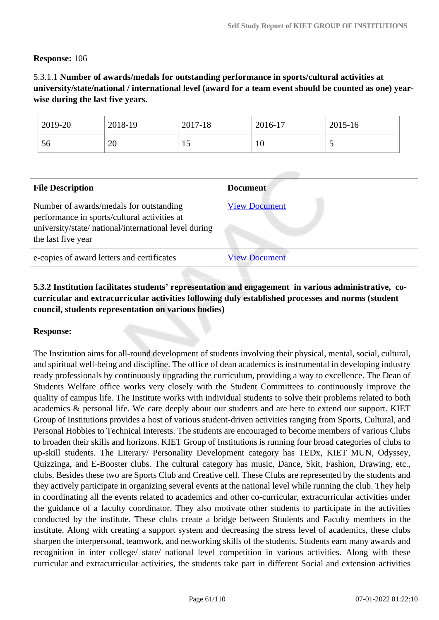#### **Response:** 106

# 5.3.1.1 **Number of awards/medals for outstanding performance in sports/cultural activities at university/state/national / international level (award for a team event should be counted as one) yearwise during the last five years.**

| 2019-20 | 2018-19 | 2017-18 | 2016-17 | 2015-16 |
|---------|---------|---------|---------|---------|
| 56      | 20      | . L.J   | πv      |         |

| <b>File Description</b>                                                                                                                                                | <b>Document</b>      |  |  |
|------------------------------------------------------------------------------------------------------------------------------------------------------------------------|----------------------|--|--|
| Number of awards/medals for outstanding<br>performance in sports/cultural activities at<br>university/state/ national/international level during<br>the last five year | <b>View Document</b> |  |  |
| e-copies of award letters and certificates                                                                                                                             | <b>View Document</b> |  |  |

 **5.3.2 Institution facilitates students' representation and engagement in various administrative, cocurricular and extracurricular activities following duly established processes and norms (student council, students representation on various bodies)** 

#### **Response:**

The Institution aims for all-round development of students involving their physical, mental, social, cultural, and spiritual well-being and discipline. The office of dean academics is instrumental in developing industry ready professionals by continuously upgrading the curriculum, providing a way to excellence. The Dean of Students Welfare office works very closely with the Student Committees to continuously improve the quality of campus life. The Institute works with individual students to solve their problems related to both academics & personal life. We care deeply about our students and are here to extend our support. KIET Group of Institutions provides a host of various student-driven activities ranging from Sports, Cultural, and Personal Hobbies to Technical Interests. The students are encouraged to become members of various Clubs to broaden their skills and horizons. KIET Group of Institutions is running four broad categories of clubs to up-skill students. The Literary/ Personality Development category has TEDx, KIET MUN, Odyssey, Quizzinga, and E-Booster clubs. The cultural category has music, Dance, Skit, Fashion, Drawing, etc., clubs. Besides these two are Sports Club and Creative cell. These Clubs are represented by the students and they actively participate in organizing several events at the national level while running the club. They help in coordinating all the events related to academics and other co-curricular, extracurricular activities under the guidance of a faculty coordinator. They also motivate other students to participate in the activities conducted by the institute. These clubs create a bridge between Students and Faculty members in the institute. Along with creating a support system and decreasing the stress level of academics, these clubs sharpen the interpersonal, teamwork, and networking skills of the students. Students earn many awards and recognition in inter college/ state/ national level competition in various activities. Along with these curricular and extracurricular activities, the students take part in different Social and extension activities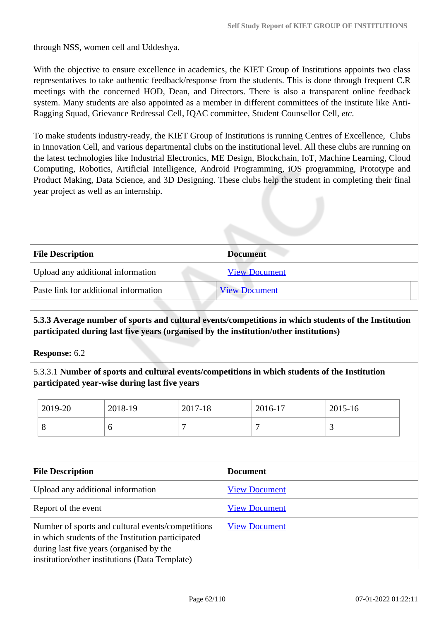through NSS, women cell and Uddeshya.

With the objective to ensure excellence in academics, the KIET Group of Institutions appoints two class representatives to take authentic feedback/response from the students. This is done through frequent C.R meetings with the concerned HOD, Dean, and Directors. There is also a transparent online feedback system. Many students are also appointed as a member in different committees of the institute like Anti-Ragging Squad, Grievance Redressal Cell, IQAC committee, Student Counsellor Cell, *etc*.

To make students industry-ready, the KIET Group of Institutions is running Centres of Excellence, Clubs in Innovation Cell, and various departmental clubs on the institutional level. All these clubs are running on the latest technologies like Industrial Electronics, ME Design, Blockchain, IoT, Machine Learning, Cloud Computing, Robotics, Artificial Intelligence, Android Programming, iOS programming, Prototype and Product Making, Data Science, and 3D Designing. These clubs help the student in completing their final year project as well as an internship.

| <b>File Description</b>               | <b>Document</b>      |
|---------------------------------------|----------------------|
| Upload any additional information     | <b>View Document</b> |
| Paste link for additional information | <b>View Document</b> |

### **5.3.3 Average number of sports and cultural events/competitions in which students of the Institution participated during last five years (organised by the institution/other institutions)**

**Response:** 6.2

5.3.3.1 **Number of sports and cultural events/competitions in which students of the Institution participated year-wise during last five years**

|                                                                                                                                                                                                      | 2019-20 | 2018-19              | 2017-18              |                      | 2016-17 | 2015-16 |
|------------------------------------------------------------------------------------------------------------------------------------------------------------------------------------------------------|---------|----------------------|----------------------|----------------------|---------|---------|
|                                                                                                                                                                                                      | 8       | 6                    | 7                    |                      | 7       | 3       |
|                                                                                                                                                                                                      |         |                      |                      |                      |         |         |
| <b>File Description</b>                                                                                                                                                                              |         |                      | <b>Document</b>      |                      |         |         |
| Upload any additional information                                                                                                                                                                    |         | <b>View Document</b> |                      |                      |         |         |
| Report of the event                                                                                                                                                                                  |         |                      | <b>View Document</b> |                      |         |         |
| Number of sports and cultural events/competitions<br>in which students of the Institution participated<br>during last five years (organised by the<br>institution/other institutions (Data Template) |         |                      |                      | <b>View Document</b> |         |         |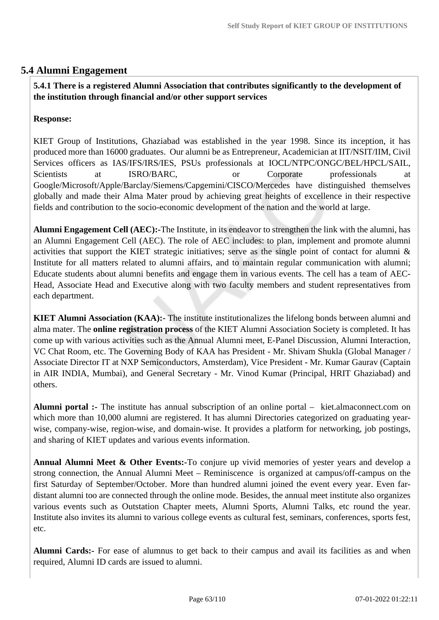# **5.4 Alumni Engagement**

# **5.4.1 There is a registered Alumni Association that contributes significantly to the development of the institution through financial and/or other support services**

#### **Response:**

KIET Group of Institutions, Ghaziabad was established in the year 1998. Since its inception, it has produced more than 16000 graduates. Our alumni be as Entrepreneur, Academician at IIT/NSIT/IIM, Civil Services officers as IAS/IFS/IRS/IES, PSUs professionals at IOCL/NTPC/ONGC/BEL/HPCL/SAIL, Scientists at ISRO/BARC, or Corporate professionals at Google/Microsoft/Apple/Barclay/Siemens/Capgemini/CISCO/Mercedes have distinguished themselves globally and made their Alma Mater proud by achieving great heights of excellence in their respective fields and contribution to the socio-economic development of the nation and the world at large.

**Alumni Engagement Cell (AEC):-**The Institute, in its endeavor to strengthen the link with the alumni, has an Alumni Engagement Cell (AEC). The role of AEC includes: to plan, implement and promote alumni activities that support the KIET strategic initiatives; serve as the single point of contact for alumni  $\&$ Institute for all matters related to alumni affairs, and to maintain regular communication with alumni; Educate students about alumni benefits and engage them in various events. The cell has a team of AEC-Head, Associate Head and Executive along with two faculty members and student representatives from each department.

**KIET Alumni Association (KAA):-** The institute institutionalizes the lifelong bonds between alumni and alma mater. The **online registration process** of the KIET Alumni Association Society is completed. It has come up with various activities such as the Annual Alumni meet, E-Panel Discussion, Alumni Interaction, VC Chat Room, etc. The Governing Body of KAA has President - Mr. Shivam Shukla (Global Manager / Associate Director IT at NXP Semiconductors, Amsterdam), Vice President - Mr. Kumar Gaurav (Captain in AIR INDIA, Mumbai), and General Secretary - Mr. Vinod Kumar (Principal, HRIT Ghaziabad) and others.

**Alumni portal :-** The institute has annual subscription of an online portal – kiet.almaconnect.com on which more than 10,000 alumni are registered. It has alumni Directories categorized on graduating yearwise, company-wise, region-wise, and domain-wise. It provides a platform for networking, job postings, and sharing of KIET updates and various events information.

**Annual Alumni Meet & Other Events:-**To conjure up vivid memories of yester years and develop a strong connection, the Annual Alumni Meet – Reminiscence is organized at campus/off-campus on the first Saturday of September/October. More than hundred alumni joined the event every year. Even fardistant alumni too are connected through the online mode. Besides, the annual meet institute also organizes various events such as Outstation Chapter meets, Alumni Sports, Alumni Talks, etc round the year. Institute also invites its alumni to various college events as cultural fest, seminars, conferences, sports fest, etc.

**Alumni Cards:-** For ease of alumnus to get back to their campus and avail its facilities as and when required, Alumni ID cards are issued to alumni.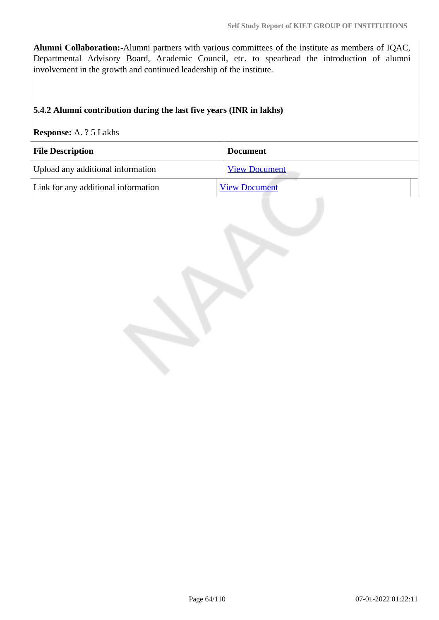**Alumni Collaboration:-**Alumni partners with various committees of the institute as members of IQAC, Departmental Advisory Board, Academic Council, etc. to spearhead the introduction of alumni involvement in the growth and continued leadership of the institute.

#### **5.4.2 Alumni contribution during the last five years (INR in lakhs)**

#### **Response:** A. ? 5 Lakhs

| <b>File Description</b>             | <b>Document</b>      |  |  |
|-------------------------------------|----------------------|--|--|
| Upload any additional information   | <b>View Document</b> |  |  |
| Link for any additional information | <b>View Document</b> |  |  |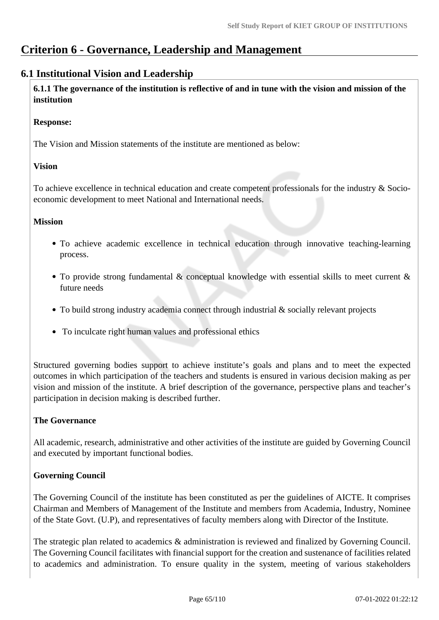# **Criterion 6 - Governance, Leadership and Management**

# **6.1 Institutional Vision and Leadership**

 **6.1.1 The governance of the institution is reflective of and in tune with the vision and mission of the institution**

#### **Response:**

The Vision and Mission statements of the institute are mentioned as below:

### **Vision**

To achieve excellence in technical education and create competent professionals for the industry & Socioeconomic development to meet National and International needs.

#### **Mission**

- To achieve academic excellence in technical education through innovative teaching-learning process.
- To provide strong fundamental & conceptual knowledge with essential skills to meet current & future needs
- To build strong industry academia connect through industrial & socially relevant projects
- To inculcate right human values and professional ethics

Structured governing bodies support to achieve institute's goals and plans and to meet the expected outcomes in which participation of the teachers and students is ensured in various decision making as per vision and mission of the institute. A brief description of the governance, perspective plans and teacher's participation in decision making is described further.

# **The Governance**

All academic, research, administrative and other activities of the institute are guided by Governing Council and executed by important functional bodies.

#### **Governing Council**

The Governing Council of the institute has been constituted as per the guidelines of AICTE. It comprises Chairman and Members of Management of the Institute and members from Academia, Industry, Nominee of the State Govt. (U.P), and representatives of faculty members along with Director of the Institute.

The strategic plan related to academics  $\&$  administration is reviewed and finalized by Governing Council. The Governing Council facilitates with financial support for the creation and sustenance of facilities related to academics and administration. To ensure quality in the system, meeting of various stakeholders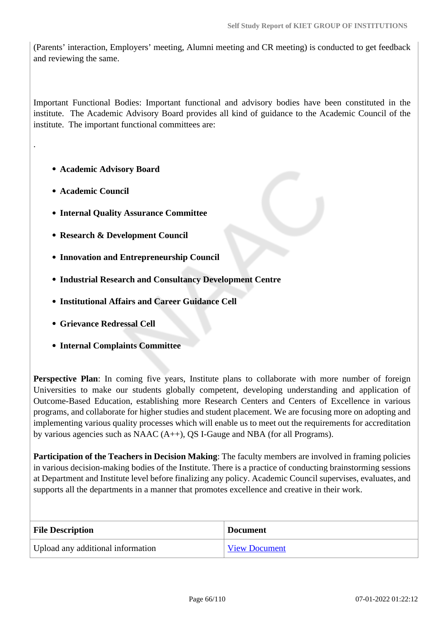(Parents' interaction, Employers' meeting, Alumni meeting and CR meeting) is conducted to get feedback and reviewing the same.

Important Functional Bodies: Important functional and advisory bodies have been constituted in the institute. The Academic Advisory Board provides all kind of guidance to the Academic Council of the institute. The important functional committees are:

**Academic Advisory Board**

**Academic Council**

·

- **Internal Quality Assurance Committee**
- **Research & Development Council**
- **Innovation and Entrepreneurship Council**
- **Industrial Research and Consultancy Development Centre**
- **Institutional Affairs and Career Guidance Cell**
- **Grievance Redressal Cell**
- **Internal Complaints Committee**

Perspective Plan: In coming five years, Institute plans to collaborate with more number of foreign Universities to make our students globally competent, developing understanding and application of Outcome-Based Education, establishing more Research Centers and Centers of Excellence in various programs, and collaborate for higher studies and student placement. We are focusing more on adopting and implementing various quality processes which will enable us to meet out the requirements for accreditation by various agencies such as NAAC (A++), QS I-Gauge and NBA (for all Programs).

**Participation of the Teachers in Decision Making**: The faculty members are involved in framing policies in various decision-making bodies of the Institute. There is a practice of conducting brainstorming sessions at Department and Institute level before finalizing any policy. Academic Council supervises, evaluates, and supports all the departments in a manner that promotes excellence and creative in their work.

| <b>File Description</b>           | <b>Document</b>      |
|-----------------------------------|----------------------|
| Upload any additional information | <b>View Document</b> |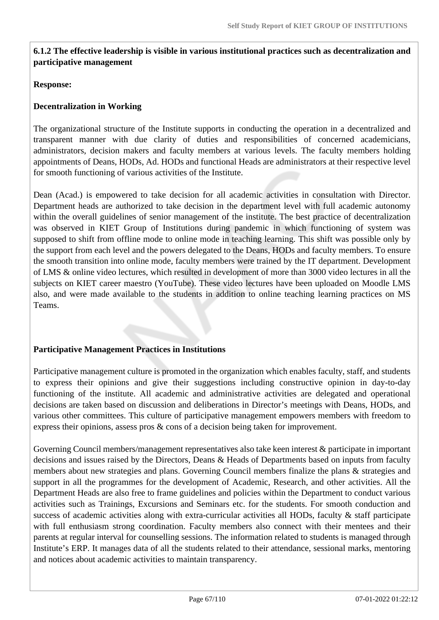## **6.1.2 The effective leadership is visible in various institutional practices such as decentralization and participative management**

#### **Response:**

#### **Decentralization in Working**

The organizational structure of the Institute supports in conducting the operation in a decentralized and transparent manner with due clarity of duties and responsibilities of concerned academicians, administrators, decision makers and faculty members at various levels. The faculty members holding appointments of Deans, HODs, Ad. HODs and functional Heads are administrators at their respective level for smooth functioning of various activities of the Institute.

Dean (Acad.) is empowered to take decision for all academic activities in consultation with Director. Department heads are authorized to take decision in the department level with full academic autonomy within the overall guidelines of senior management of the institute. The best practice of decentralization was observed in KIET Group of Institutions during pandemic in which functioning of system was supposed to shift from offline mode to online mode in teaching learning. This shift was possible only by the support from each level and the powers delegated to the Deans, HODs and faculty members. To ensure the smooth transition into online mode, faculty members were trained by the IT department. Development of LMS & online video lectures, which resulted in development of more than 3000 video lectures in all the subjects on KIET career maestro (YouTube). These video lectures have been uploaded on Moodle LMS also, and were made available to the students in addition to online teaching learning practices on MS Teams.

#### **Participative Management Practices in Institutions**

Participative management culture is promoted in the organization which enables faculty, staff, and students to express their opinions and give their suggestions including constructive opinion in day-to-day functioning of the institute. All academic and administrative activities are delegated and operational decisions are taken based on discussion and deliberations in Director's meetings with Deans, HODs, and various other committees. This culture of participative management empowers members with freedom to express their opinions, assess pros & cons of a decision being taken for improvement.

Governing Council members/management representatives also take keen interest & participate in important decisions and issues raised by the Directors, Deans & Heads of Departments based on inputs from faculty members about new strategies and plans. Governing Council members finalize the plans & strategies and support in all the programmes for the development of Academic, Research, and other activities. All the Department Heads are also free to frame guidelines and policies within the Department to conduct various activities such as Trainings, Excursions and Seminars etc. for the students. For smooth conduction and success of academic activities along with extra-curricular activities all HODs, faculty & staff participate with full enthusiasm strong coordination. Faculty members also connect with their mentees and their parents at regular interval for counselling sessions. The information related to students is managed through Institute's ERP. It manages data of all the students related to their attendance, sessional marks, mentoring and notices about academic activities to maintain transparency.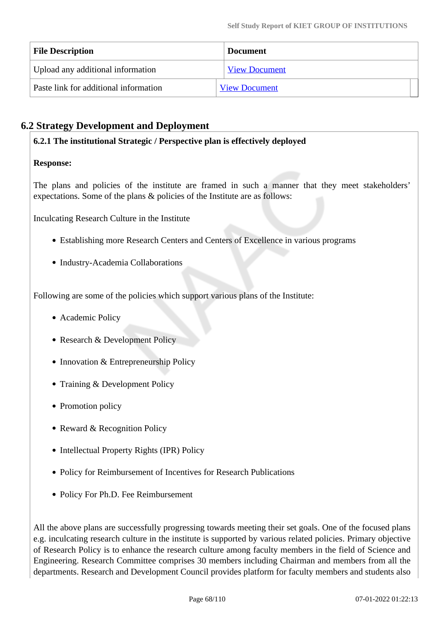| <b>File Description</b>               | <b>Document</b>      |
|---------------------------------------|----------------------|
| Upload any additional information     | <b>View Document</b> |
| Paste link for additional information | <b>View Document</b> |

# **6.2 Strategy Development and Deployment**

#### **6.2.1 The institutional Strategic / Perspective plan is effectively deployed**

#### **Response:**

The plans and policies of the institute are framed in such a manner that they meet stakeholders' expectations. Some of the plans & policies of the Institute are as follows:

Inculcating Research Culture in the Institute

- Establishing more Research Centers and Centers of Excellence in various programs
- Industry-Academia Collaborations

Following are some of the policies which support various plans of the Institute:

- Academic Policy
- Research & Development Policy
- Innovation & Entrepreneurship Policy
- Training & Development Policy
- Promotion policy
- Reward & Recognition Policy
- Intellectual Property Rights (IPR) Policy
- Policy for Reimbursement of Incentives for Research Publications
- Policy For Ph.D. Fee Reimbursement

All the above plans are successfully progressing towards meeting their set goals. One of the focused plans e.g. inculcating research culture in the institute is supported by various related policies. Primary objective of Research Policy is to enhance the research culture among faculty members in the field of Science and Engineering. Research Committee comprises 30 members including Chairman and members from all the departments. Research and Development Council provides platform for faculty members and students also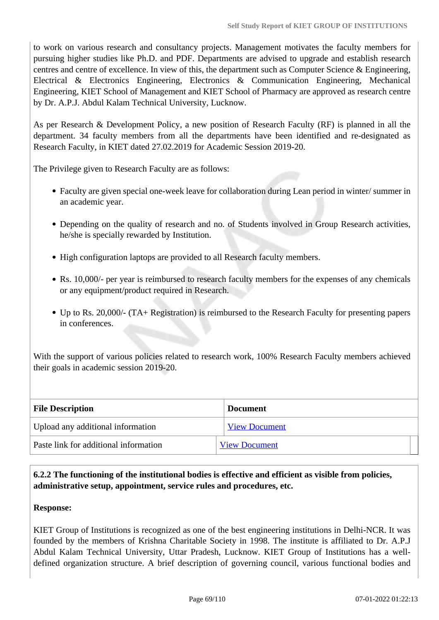to work on various research and consultancy projects. Management motivates the faculty members for pursuing higher studies like Ph.D. and PDF. Departments are advised to upgrade and establish research centres and centre of excellence. In view of this, the department such as Computer Science & Engineering, Electrical & Electronics Engineering, Electronics & Communication Engineering, Mechanical Engineering, KIET School of Management and KIET School of Pharmacy are approved as research centre by Dr. A.P.J. Abdul Kalam Technical University, Lucknow.

As per Research & Development Policy, a new position of Research Faculty (RF) is planned in all the department. 34 faculty members from all the departments have been identified and re-designated as Research Faculty, in KIET dated 27.02.2019 for Academic Session 2019-20.

The Privilege given to Research Faculty are as follows:

- Faculty are given special one-week leave for collaboration during Lean period in winter/ summer in an academic year.
- Depending on the quality of research and no. of Students involved in Group Research activities, he/she is specially rewarded by Institution.
- High configuration laptops are provided to all Research faculty members.
- Rs. 10,000/- per year is reimbursed to research faculty members for the expenses of any chemicals or any equipment/product required in Research.
- Up to Rs. 20,000/- (TA+ Registration) is reimbursed to the Research Faculty for presenting papers in conferences.

With the support of various policies related to research work, 100% Research Faculty members achieved their goals in academic session 2019-20.

| <b>File Description</b>               | <b>Document</b>      |
|---------------------------------------|----------------------|
| Upload any additional information     | <b>View Document</b> |
| Paste link for additional information | <b>View Document</b> |

### **6.2.2 The functioning of the institutional bodies is effective and efficient as visible from policies, administrative setup, appointment, service rules and procedures, etc.**

#### **Response:**

KIET Group of Institutions is recognized as one of the best engineering institutions in Delhi-NCR. It was founded by the members of Krishna Charitable Society in 1998. The institute is affiliated to Dr. A.P.J Abdul Kalam Technical University, Uttar Pradesh, Lucknow. KIET Group of Institutions has a welldefined organization structure. A brief description of governing council, various functional bodies and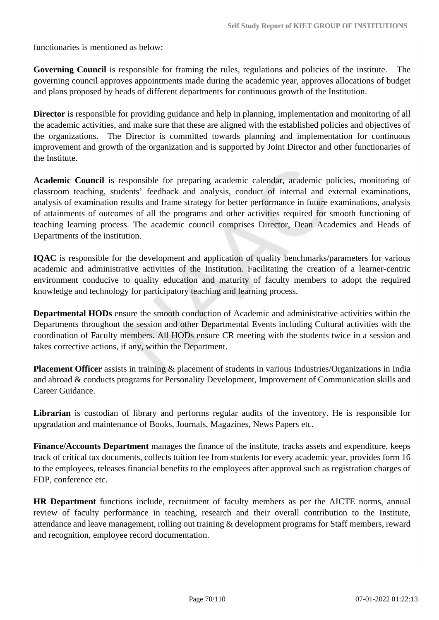functionaries is mentioned as below:

**Governing Council** is responsible for framing the rules, regulations and policies of the institute. The governing council approves appointments made during the academic year, approves allocations of budget and plans proposed by heads of different departments for continuous growth of the Institution.

**Director** is responsible for providing guidance and help in planning, implementation and monitoring of all the academic activities, and make sure that these are aligned with the established policies and objectives of the organizations. The Director is committed towards planning and implementation for continuous improvement and growth of the organization and is supported by Joint Director and other functionaries of the Institute.

**Academic Council** is responsible for preparing academic calendar, academic policies, monitoring of classroom teaching, students' feedback and analysis, conduct of internal and external examinations, analysis of examination results and frame strategy for better performance in future examinations, analysis of attainments of outcomes of all the programs and other activities required for smooth functioning of teaching learning process. The academic council comprises Director, Dean Academics and Heads of Departments of the institution.

**IQAC** is responsible for the development and application of quality benchmarks/parameters for various academic and administrative activities of the Institution. Facilitating the creation of a learner-centric environment conducive to quality education and maturity of faculty members to adopt the required knowledge and technology for participatory teaching and learning process.

**Departmental HODs** ensure the smooth conduction of Academic and administrative activities within the Departments throughout the session and other Departmental Events including Cultural activities with the coordination of Faculty members. All HODs ensure CR meeting with the students twice in a session and takes corrective actions, if any, within the Department.

**Placement Officer** assists in training & placement of students in various Industries/Organizations in India and abroad & conducts programs for Personality Development, Improvement of Communication skills and Career Guidance.

**Librarian** is custodian of library and performs regular audits of the inventory. He is responsible for upgradation and maintenance of Books, Journals, Magazines, News Papers etc.

**Finance/Accounts Department** manages the finance of the institute, tracks assets and expenditure, keeps track of critical tax documents, collects tuition fee from students for every academic year, provides form 16 to the employees, releases financial benefits to the employees after approval such as registration charges of FDP, conference etc.

**HR Department** functions include, recruitment of faculty members as per the AICTE norms, annual review of faculty performance in teaching, research and their overall contribution to the Institute, attendance and leave management, rolling out training & development programs for Staff members, reward and recognition, employee record documentation.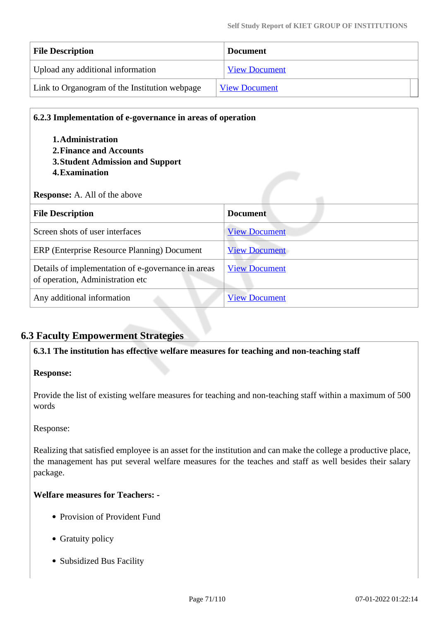| <b>File Description</b>                       | <b>Document</b>      |  |
|-----------------------------------------------|----------------------|--|
| Upload any additional information             | <b>View Document</b> |  |
| Link to Organogram of the Institution webpage | <b>View Document</b> |  |

| 6.2.3 Implementation of e-governance in areas of operation                             |                      |
|----------------------------------------------------------------------------------------|----------------------|
| 1. Administration                                                                      |                      |
| 2. Finance and Accounts                                                                |                      |
| <b>3. Student Admission and Support</b>                                                |                      |
| 4. Examination                                                                         |                      |
| <b>Response:</b> A. All of the above                                                   |                      |
| <b>File Description</b>                                                                | <b>Document</b>      |
| Screen shots of user interfaces                                                        | <b>View Document</b> |
| ERP (Enterprise Resource Planning) Document                                            | <b>View Document</b> |
| Details of implementation of e-governance in areas<br>of operation, Administration etc | <b>View Document</b> |
| Any additional information                                                             | <b>View Document</b> |

# **6.3 Faculty Empowerment Strategies**

#### **6.3.1 The institution has effective welfare measures for teaching and non-teaching staff**

#### **Response:**

Provide the list of existing welfare measures for teaching and non-teaching staff within a maximum of 500 words

Response:

Realizing that satisfied employee is an asset for the institution and can make the college a productive place, the management has put several welfare measures for the teaches and staff as well besides their salary package.

#### **Welfare measures for Teachers: -**

- Provision of Provident Fund
- Gratuity policy
- Subsidized Bus Facility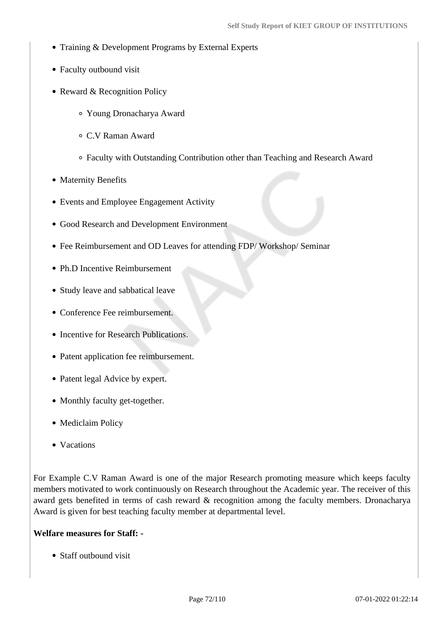- Training & Development Programs by External Experts
- Faculty outbound visit
- Reward & Recognition Policy
	- Young Dronacharya Award
	- C.V Raman Award
	- Faculty with Outstanding Contribution other than Teaching and Research Award
- Maternity Benefits
- Events and Employee Engagement Activity
- Good Research and Development Environment
- Fee Reimbursement and OD Leaves for attending FDP/ Workshop/ Seminar
- Ph.D Incentive Reimbursement
- Study leave and sabbatical leave
- Conference Fee reimbursement.
- Incentive for Research Publications.
- Patent application fee reimbursement.
- Patent legal Advice by expert.
- Monthly faculty get-together.
- Mediclaim Policy
- Vacations

For Example C.V Raman Award is one of the major Research promoting measure which keeps faculty members motivated to work continuously on Research throughout the Academic year. The receiver of this award gets benefited in terms of cash reward & recognition among the faculty members. Dronacharya Award is given for best teaching faculty member at departmental level.

#### **Welfare measures for Staff: -**

• Staff outbound visit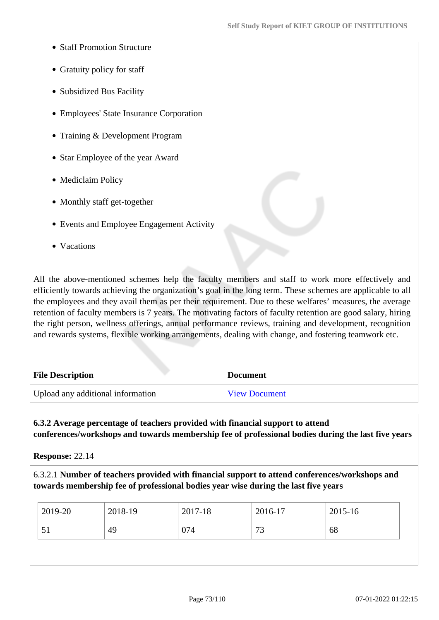- Staff Promotion Structure
- Gratuity policy for staff
- Subsidized Bus Facility
- Employees' State Insurance Corporation
- Training & Development Program
- Star Employee of the year Award
- Mediclaim Policy
- Monthly staff get-together
- Events and Employee Engagement Activity
- Vacations

All the above-mentioned schemes help the faculty members and staff to work more effectively and efficiently towards achieving the organization's goal in the long term. These schemes are applicable to all the employees and they avail them as per their requirement. Due to these welfares' measures, the average retention of faculty members is 7 years. The motivating factors of faculty retention are good salary, hiring the right person, wellness offerings, annual performance reviews, training and development, recognition and rewards systems, flexible working arrangements, dealing with change, and fostering teamwork etc.

| <b>File Description</b>           | <b>Document</b>      |
|-----------------------------------|----------------------|
| Upload any additional information | <b>View Document</b> |

 **6.3.2 Average percentage of teachers provided with financial support to attend conferences/workshops and towards membership fee of professional bodies during the last five years**

**Response:** 22.14

6.3.2.1 **Number of teachers provided with financial support to attend conferences/workshops and towards membership fee of professional bodies year wise during the last five years**

|                             | 2015-16 |
|-----------------------------|---------|
| 074<br>68<br>73<br>51<br>49 |         |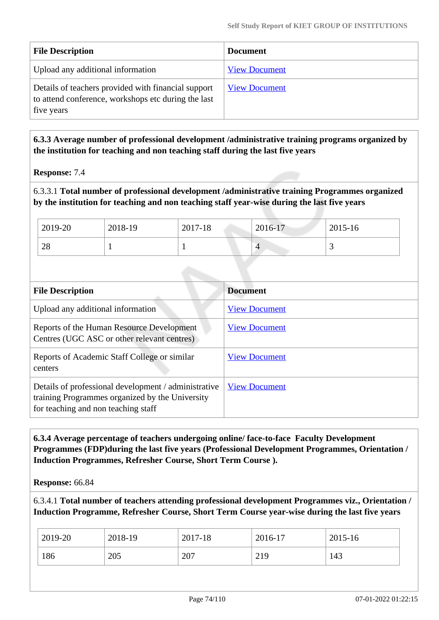| <b>File Description</b>                                                                                                  | <b>Document</b>      |
|--------------------------------------------------------------------------------------------------------------------------|----------------------|
| Upload any additional information                                                                                        | <b>View Document</b> |
| Details of teachers provided with financial support<br>to attend conference, workshops etc during the last<br>five years | <b>View Document</b> |

 **6.3.3 Average number of professional development /administrative training programs organized by the institution for teaching and non teaching staff during the last five years**

**Response:** 7.4

6.3.3.1 **Total number of professional development /administrative training Programmes organized by the institution for teaching and non teaching staff year-wise during the last five years**

| 2019-20 | 2018-19 | 2017-18 | 2016-17 | $2015 - 16$              |
|---------|---------|---------|---------|--------------------------|
| 28      |         |         |         | $\overline{\phantom{0}}$ |

| <b>File Description</b>                                                                                                                        | <b>Document</b>      |
|------------------------------------------------------------------------------------------------------------------------------------------------|----------------------|
| Upload any additional information                                                                                                              | <b>View Document</b> |
| Reports of the Human Resource Development<br>Centres (UGC ASC or other relevant centres)                                                       | <b>View Document</b> |
| Reports of Academic Staff College or similar<br>centers                                                                                        | <b>View Document</b> |
| Details of professional development / administrative<br>training Programmes organized by the University<br>for teaching and non teaching staff | <b>View Document</b> |

 **6.3.4 Average percentage of teachers undergoing online/ face-to-face Faculty Development Programmes (FDP)during the last five years (Professional Development Programmes, Orientation / Induction Programmes, Refresher Course, Short Term Course ).**

**Response:** 66.84

6.3.4.1 **Total number of teachers attending professional development Programmes viz., Orientation / Induction Programme, Refresher Course, Short Term Course year-wise during the last five years**

| 2019-20 | 2018-19 | 2017-18 | 2016-17 | 2015-16 |
|---------|---------|---------|---------|---------|
| 186     | 205     | 207     | 219     | 143     |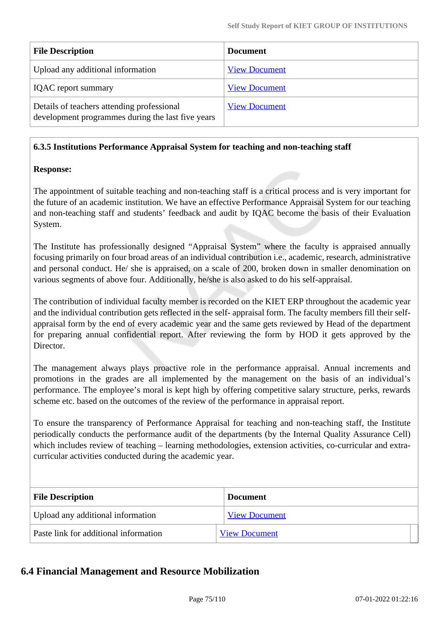| <b>File Description</b>                                                                         | Document             |
|-------------------------------------------------------------------------------------------------|----------------------|
| Upload any additional information                                                               | <b>View Document</b> |
| <b>IQAC</b> report summary                                                                      | <b>View Document</b> |
| Details of teachers attending professional<br>development programmes during the last five years | <b>View Document</b> |

#### **6.3.5 Institutions Performance Appraisal System for teaching and non-teaching staff**

#### **Response:**

The appointment of suitable teaching and non-teaching staff is a critical process and is very important for the future of an academic institution. We have an effective Performance Appraisal System for our teaching and non-teaching staff and students' feedback and audit by IQAC become the basis of their Evaluation System.

The Institute has professionally designed "Appraisal System" where the faculty is appraised annually focusing primarily on four broad areas of an individual contribution i.e., academic, research, administrative and personal conduct. He/ she is appraised, on a scale of 200, broken down in smaller denomination on various segments of above four. Additionally, he/she is also asked to do his self-appraisal.

The contribution of individual faculty member is recorded on the KIET ERP throughout the academic year and the individual contribution gets reflected in the self- appraisal form. The faculty members fill their selfappraisal form by the end of every academic year and the same gets reviewed by Head of the department for preparing annual confidential report. After reviewing the form by HOD it gets approved by the Director.

The management always plays proactive role in the performance appraisal. Annual increments and promotions in the grades are all implemented by the management on the basis of an individual's performance. The employee's moral is kept high by offering competitive salary structure, perks, rewards scheme etc. based on the outcomes of the review of the performance in appraisal report.

To ensure the transparency of Performance Appraisal for teaching and non-teaching staff, the Institute periodically conducts the performance audit of the departments (by the Internal Quality Assurance Cell) which includes review of teaching – learning methodologies, extension activities, co-curricular and extracurricular activities conducted during the academic year.

| <b>File Description</b>               | Document             |
|---------------------------------------|----------------------|
| Upload any additional information     | <b>View Document</b> |
| Paste link for additional information | <b>View Document</b> |

## **6.4 Financial Management and Resource Mobilization**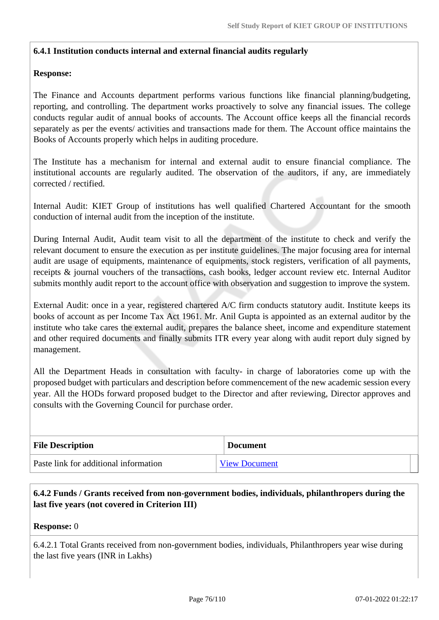#### **6.4.1 Institution conducts internal and external financial audits regularly**

#### **Response:**

The Finance and Accounts department performs various functions like financial planning/budgeting, reporting, and controlling. The department works proactively to solve any financial issues. The college conducts regular audit of annual books of accounts. The Account office keeps all the financial records separately as per the events/ activities and transactions made for them. The Account office maintains the Books of Accounts properly which helps in auditing procedure.

The Institute has a mechanism for internal and external audit to ensure financial compliance. The institutional accounts are regularly audited. The observation of the auditors, if any, are immediately corrected / rectified.

Internal Audit: KIET Group of institutions has well qualified Chartered Accountant for the smooth conduction of internal audit from the inception of the institute.

During Internal Audit, Audit team visit to all the department of the institute to check and verify the relevant document to ensure the execution as per institute guidelines. The major focusing area for internal audit are usage of equipments, maintenance of equipments, stock registers, verification of all payments, receipts & journal vouchers of the transactions, cash books, ledger account review etc. Internal Auditor submits monthly audit report to the account office with observation and suggestion to improve the system.

External Audit: once in a year, registered chartered A/C firm conducts statutory audit. Institute keeps its books of account as per Income Tax Act 1961. Mr. Anil Gupta is appointed as an external auditor by the institute who take cares the external audit, prepares the balance sheet, income and expenditure statement and other required documents and finally submits ITR every year along with audit report duly signed by management.

All the Department Heads in consultation with faculty- in charge of laboratories come up with the proposed budget with particulars and description before commencement of the new academic session every year. All the HODs forward proposed budget to the Director and after reviewing, Director approves and consults with the Governing Council for purchase order.

| <b>File Description</b>               | <b>Document</b>      |
|---------------------------------------|----------------------|
| Paste link for additional information | <b>View Document</b> |

### **6.4.2 Funds / Grants received from non-government bodies, individuals, philanthropers during the last five years (not covered in Criterion III)**

#### **Response:** 0

6.4.2.1 Total Grants received from non-government bodies, individuals, Philanthropers year wise during the last five years (INR in Lakhs)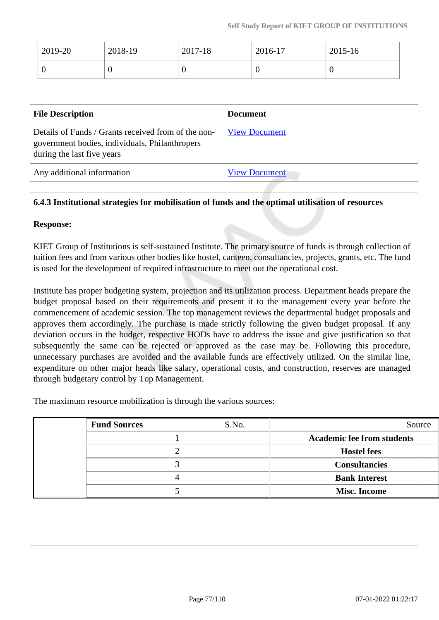| 2019-20                                                                                                                             | 2018-19  | 2017-18 |                      | 2016-17  | 2015-16  |  |
|-------------------------------------------------------------------------------------------------------------------------------------|----------|---------|----------------------|----------|----------|--|
| $\overline{0}$                                                                                                                      | $\theta$ | 0       |                      | $\theta$ | $\theta$ |  |
|                                                                                                                                     |          |         |                      |          |          |  |
| <b>File Description</b>                                                                                                             |          |         | <b>Document</b>      |          |          |  |
| Details of Funds / Grants received from of the non-<br>government bodies, individuals, Philanthropers<br>during the last five years |          |         | <b>View Document</b> |          |          |  |
| Any additional information                                                                                                          |          |         | <b>View Document</b> |          |          |  |

## **6.4.3 Institutional strategies for mobilisation of funds and the optimal utilisation of resources**

#### **Response:**

KIET Group of Institutions is self-sustained Institute. The primary source of funds is through collection of tuition fees and from various other bodies like hostel, canteen, consultancies, projects, grants, etc. The fund is used for the development of required infrastructure to meet out the operational cost.

Institute has proper budgeting system, projection and its utilization process. Department heads prepare the budget proposal based on their requirements and present it to the management every year before the commencement of academic session. The top management reviews the departmental budget proposals and approves them accordingly. The purchase is made strictly following the given budget proposal. If any deviation occurs in the budget, respective HODs have to address the issue and give justification so that subsequently the same can be rejected or approved as the case may be. Following this procedure, unnecessary purchases are avoided and the available funds are effectively utilized. On the similar line, expenditure on other major heads like salary, operational costs, and construction, reserves are managed through budgetary control by Top Management.

The maximum resource mobilization is through the various sources:

| <b>Fund Sources</b> | S.No. |                                   | Source |
|---------------------|-------|-----------------------------------|--------|
|                     |       | <b>Academic fee from students</b> |        |
|                     |       | <b>Hostel fees</b>                |        |
|                     |       | <b>Consultancies</b>              |        |
|                     |       | <b>Bank Interest</b>              |        |
|                     |       | <b>Misc. Income</b>               |        |
|                     |       |                                   |        |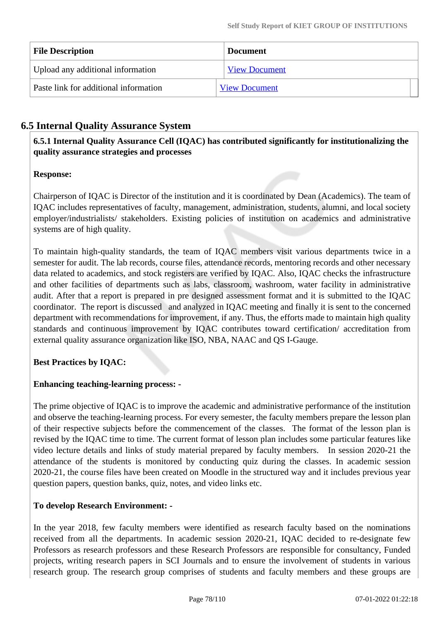| <b>File Description</b>               | <b>Document</b>      |
|---------------------------------------|----------------------|
| Upload any additional information     | <b>View Document</b> |
| Paste link for additional information | <b>View Document</b> |

## **6.5 Internal Quality Assurance System**

 **6.5.1 Internal Quality Assurance Cell (IQAC) has contributed significantly for institutionalizing the quality assurance strategies and processes**

## **Response:**

Chairperson of IQAC is Director of the institution and it is coordinated by Dean (Academics). The team of IQAC includes representatives of faculty, management, administration, students, alumni, and local society employer/industrialists/ stakeholders. Existing policies of institution on academics and administrative systems are of high quality.

To maintain high-quality standards, the team of IQAC members visit various departments twice in a semester for audit. The lab records, course files, attendance records, mentoring records and other necessary data related to academics, and stock registers are verified by IQAC. Also, IQAC checks the infrastructure and other facilities of departments such as labs, classroom, washroom, water facility in administrative audit. After that a report is prepared in pre designed assessment format and it is submitted to the IQAC coordinator. The report is discussed and analyzed in IQAC meeting and finally it is sent to the concerned department with recommendations for improvement, if any. Thus, the efforts made to maintain high quality standards and continuous improvement by IQAC contributes toward certification/ accreditation from external quality assurance organization like ISO, NBA, NAAC and QS I-Gauge.

## **Best Practices by IQAC:**

#### **Enhancing teaching-learning process: -**

The prime objective of IQAC is to improve the academic and administrative performance of the institution and observe the teaching-learning process. For every semester, the faculty members prepare the lesson plan of their respective subjects before the commencement of the classes. The format of the lesson plan is revised by the IQAC time to time. The current format of lesson plan includes some particular features like video lecture details and links of study material prepared by faculty members. In session 2020-21 the attendance of the students is monitored by conducting quiz during the classes. In academic session 2020-21, the course files have been created on Moodle in the structured way and it includes previous year question papers, question banks, quiz, notes, and video links etc.

#### **To develop Research Environment: -**

In the year 2018, few faculty members were identified as research faculty based on the nominations received from all the departments. In academic session 2020-21, IQAC decided to re-designate few Professors as research professors and these Research Professors are responsible for consultancy, Funded projects, writing research papers in SCI Journals and to ensure the involvement of students in various research group. The research group comprises of students and faculty members and these groups are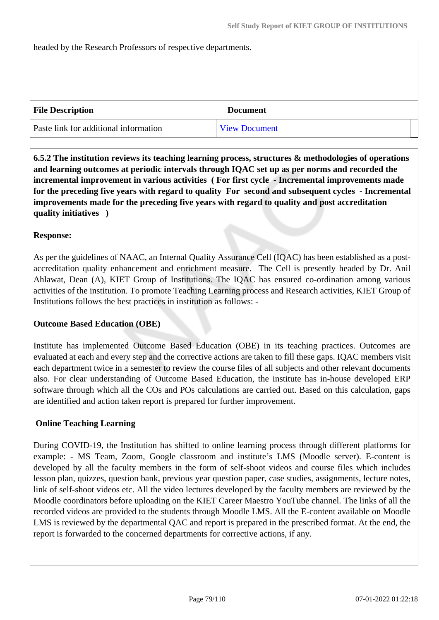headed by the Research Professors of respective departments.

| <b>File Description</b>               | <b>Document</b>      |
|---------------------------------------|----------------------|
| Paste link for additional information | <b>View Document</b> |

 **6.5.2 The institution reviews its teaching learning process, structures & methodologies of operations and learning outcomes at periodic intervals through IQAC set up as per norms and recorded the incremental improvement in various activities ( For first cycle - Incremental improvements made for the preceding five years with regard to quality For second and subsequent cycles - Incremental improvements made for the preceding five years with regard to quality and post accreditation quality initiatives )** 

#### **Response:**

As per the guidelines of NAAC, an Internal Quality Assurance Cell (IQAC) has been established as a postaccreditation quality enhancement and enrichment measure. The Cell is presently headed by Dr. Anil Ahlawat, Dean (A), KIET Group of Institutions. The IQAC has ensured co-ordination among various activities of the institution. To promote Teaching Learning process and Research activities, KIET Group of Institutions follows the best practices in institution as follows: -

#### **Outcome Based Education (OBE)**

Institute has implemented Outcome Based Education (OBE) in its teaching practices. Outcomes are evaluated at each and every step and the corrective actions are taken to fill these gaps. IQAC members visit each department twice in a semester to review the course files of all subjects and other relevant documents also. For clear understanding of Outcome Based Education, the institute has in-house developed ERP software through which all the COs and POs calculations are carried out. Based on this calculation, gaps are identified and action taken report is prepared for further improvement.

#### **Online Teaching Learning**

During COVID-19, the Institution has shifted to online learning process through different platforms for example: - MS Team, Zoom, Google classroom and institute's LMS (Moodle server). E-content is developed by all the faculty members in the form of self-shoot videos and course files which includes lesson plan, quizzes, question bank, previous year question paper, case studies, assignments, lecture notes, link of self-shoot videos etc. All the video lectures developed by the faculty members are reviewed by the Moodle coordinators before uploading on the KIET Career Maestro YouTube channel. The links of all the recorded videos are provided to the students through Moodle LMS. All the E-content available on Moodle LMS is reviewed by the departmental QAC and report is prepared in the prescribed format. At the end, the report is forwarded to the concerned departments for corrective actions, if any.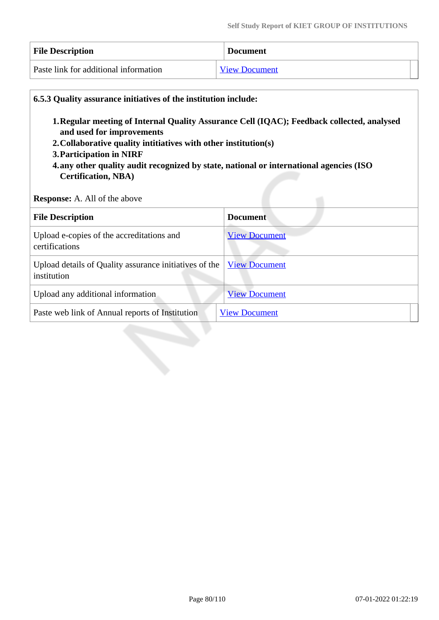| <b>File Description</b>               | <b>Document</b>      |
|---------------------------------------|----------------------|
| Paste link for additional information | <b>View Document</b> |

| 1. Regular meeting of Internal Quality Assurance Cell (IQAC); Feedback collected, analysed<br>and used for improvements<br>2. Collaborative quality intitiatives with other institution(s)<br>3. Participation in NIRF<br>4.any other quality audit recognized by state, national or international agencies (ISO<br><b>Certification, NBA)</b><br><b>Response:</b> A. All of the above |                      |
|----------------------------------------------------------------------------------------------------------------------------------------------------------------------------------------------------------------------------------------------------------------------------------------------------------------------------------------------------------------------------------------|----------------------|
| <b>File Description</b>                                                                                                                                                                                                                                                                                                                                                                | <b>Document</b>      |
| Upload e-copies of the accreditations and<br>certifications                                                                                                                                                                                                                                                                                                                            | <b>View Document</b> |
| Upload details of Quality assurance initiatives of the<br>institution                                                                                                                                                                                                                                                                                                                  | <b>View Document</b> |
| Upload any additional information                                                                                                                                                                                                                                                                                                                                                      | <b>View Document</b> |
| Paste web link of Annual reports of Institution                                                                                                                                                                                                                                                                                                                                        | <b>View Document</b> |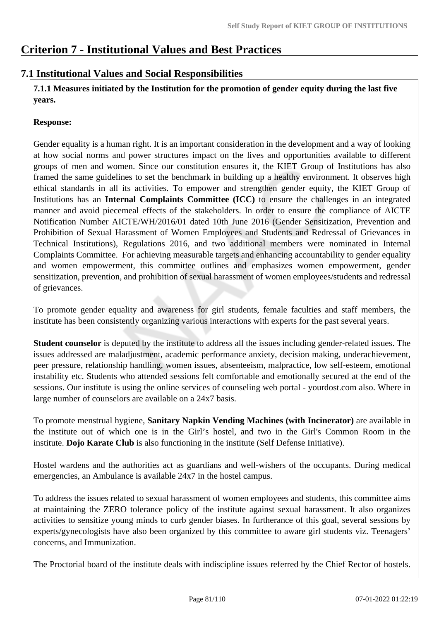## **Criterion 7 - Institutional Values and Best Practices**

## **7.1 Institutional Values and Social Responsibilities**

 **7.1.1 Measures initiated by the Institution for the promotion of gender equity during the last five years.**

#### **Response:**

Gender equality is a human right. It is an important consideration in the development and a way of looking at how social norms and power structures impact on the lives and opportunities available to different groups of men and women. Since our constitution ensures it, the KIET Group of Institutions has also framed the same guidelines to set the benchmark in building up a healthy environment. It observes high ethical standards in all its activities. To empower and strengthen gender equity, the KIET Group of Institutions has an **Internal Complaints Committee (ICC)** to ensure the challenges in an integrated manner and avoid piecemeal effects of the stakeholders. In order to ensure the compliance of AICTE Notification Number AICTE/WH/2016/01 dated 10th June 2016 (Gender Sensitization, Prevention and Prohibition of Sexual Harassment of Women Employees and Students and Redressal of Grievances in Technical Institutions), Regulations 2016, and two additional members were nominated in Internal Complaints Committee. For achieving measurable targets and enhancing accountability to gender equality and women empowerment, this committee outlines and emphasizes women empowerment, gender sensitization, prevention, and prohibition of sexual harassment of women employees/students and redressal of grievances.

To promote gender equality and awareness for girl students, female faculties and staff members, the institute has been consistently organizing various interactions with experts for the past several years.

**Student counselor** is deputed by the institute to address all the issues including gender-related issues. The issues addressed are maladjustment, academic performance anxiety, decision making, underachievement, peer pressure, relationship handling, women issues, absenteeism, malpractice, low self-esteem, emotional instability etc. Students who attended sessions felt comfortable and emotionally secured at the end of the sessions. Our institute is using the online services of counseling web portal - yourdost.com also. Where in large number of counselors are available on a 24x7 basis.

To promote menstrual hygiene, **Sanitary Napkin Vending Machines (with Incinerator)** are available in the institute out of which one is in the Girl's hostel, and two in the Girl's Common Room in the institute. **Dojo Karate Club** is also functioning in the institute (Self Defense Initiative).

Hostel wardens and the authorities act as guardians and well-wishers of the occupants. During medical emergencies, an Ambulance is available 24x7 in the hostel campus.

To address the issues related to sexual harassment of women employees and students, this committee aims at maintaining the ZERO tolerance policy of the institute against sexual harassment. It also organizes activities to sensitize young minds to curb gender biases. In furtherance of this goal, several sessions by experts/gynecologists have also been organized by this committee to aware girl students viz. Teenagers' concerns, and Immunization.

The Proctorial board of the institute deals with indiscipline issues referred by the Chief Rector of hostels.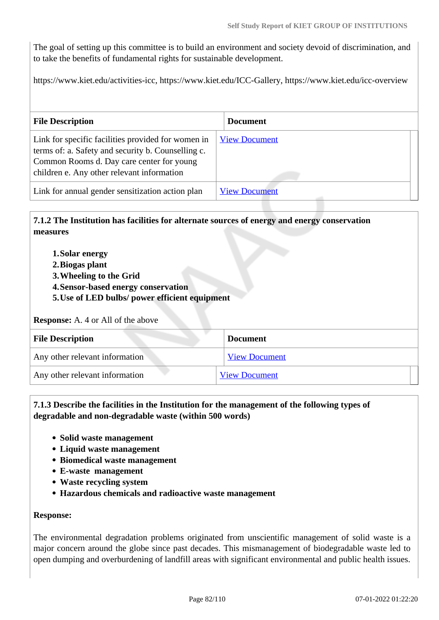The goal of setting up this committee is to build an environment and society devoid of discrimination, and to take the benefits of fundamental rights for sustainable development.

https://www.kiet.edu/activities-icc, https://www.kiet.edu/ICC-Gallery, https://www.kiet.edu/icc-overview

| <b>File Description</b>                                                                                                                                                                             | <b>Document</b>      |
|-----------------------------------------------------------------------------------------------------------------------------------------------------------------------------------------------------|----------------------|
| Link for specific facilities provided for women in<br>terms of: a. Safety and security b. Counselling c.<br>Common Rooms d. Day care center for young<br>children e. Any other relevant information | <b>View Document</b> |
| Link for annual gender sensitization action plan                                                                                                                                                    | <b>View Document</b> |

## **7.1.2 The Institution has facilities for alternate sources of energy and energy conservation measures**

- **1.Solar energy**
- **2.Biogas plant**
- **3.Wheeling to the Grid**
- **4.Sensor-based energy conservation**
- **5.Use of LED bulbs/ power efficient equipment**

#### **Response:** A. 4 or All of the above

| <b>File Description</b>        | <b>Document</b>      |
|--------------------------------|----------------------|
| Any other relevant information | <b>View Document</b> |
| Any other relevant information | <b>View Document</b> |

#### **7.1.3 Describe the facilities in the Institution for the management of the following types of degradable and non-degradable waste (within 500 words)**

- **Solid waste management**
- **Liquid waste management**
- **Biomedical waste management**
- **E-waste management**
- **Waste recycling system**
- **Hazardous chemicals and radioactive waste management**

#### **Response:**

The environmental degradation problems originated from unscientific management of solid waste is a major concern around the globe since past decades. This mismanagement of biodegradable waste led to open dumping and overburdening of landfill areas with significant environmental and public health issues.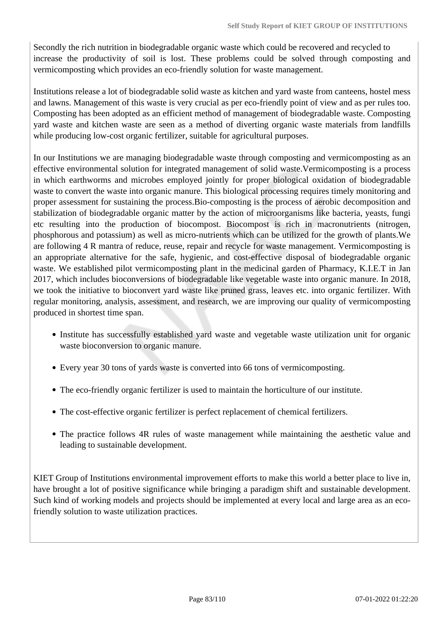Secondly the rich nutrition in biodegradable organic waste which could be recovered and recycled to increase the productivity of soil is lost. These problems could be solved through composting and vermicomposting which provides an eco-friendly solution for waste management.

Institutions release a lot of biodegradable solid waste as kitchen and yard waste from canteens, hostel mess and lawns. Management of this waste is very crucial as per eco-friendly point of view and as per rules too. Composting has been adopted as an efficient method of management of biodegradable waste. Composting yard waste and kitchen waste are seen as a method of diverting organic waste materials from landfills while producing low-cost organic fertilizer, suitable for agricultural purposes.

In our Institutions we are managing biodegradable waste through composting and vermicomposting as an effective environmental solution for integrated management of solid waste.Vermicomposting is a process in which earthworms and microbes employed jointly for proper biological oxidation of biodegradable waste to convert the waste into organic manure. This biological processing requires timely monitoring and proper assessment for sustaining the process.Bio-composting is the process of aerobic decomposition and stabilization of biodegradable organic matter by the action of microorganisms like bacteria, yeasts, fungi etc resulting into the production of biocompost. Biocompost is rich in macronutrients (nitrogen, phosphorous and potassium) as well as micro-nutrients which can be utilized for the growth of plants.We are following 4 R mantra of reduce, reuse, repair and recycle for waste management. Vermicomposting is an appropriate alternative for the safe, hygienic, and cost-effective disposal of biodegradable organic waste. We established pilot vermicomposting plant in the medicinal garden of Pharmacy, K.I.E.T in Jan 2017, which includes bioconversions of biodegradable like vegetable waste into organic manure. In 2018, we took the initiative to bioconvert yard waste like pruned grass, leaves etc. into organic fertilizer. With regular monitoring, analysis, assessment, and research, we are improving our quality of vermicomposting produced in shortest time span.

- Institute has successfully established yard waste and vegetable waste utilization unit for organic waste bioconversion to organic manure.
- Every year 30 tons of yards waste is converted into 66 tons of vermicomposting.
- The eco-friendly organic fertilizer is used to maintain the horticulture of our institute.
- The cost-effective organic fertilizer is perfect replacement of chemical fertilizers.
- The practice follows 4R rules of waste management while maintaining the aesthetic value and leading to sustainable development.

KIET Group of Institutions environmental improvement efforts to make this world a better place to live in, have brought a lot of positive significance while bringing a paradigm shift and sustainable development. Such kind of working models and projects should be implemented at every local and large area as an ecofriendly solution to waste utilization practices.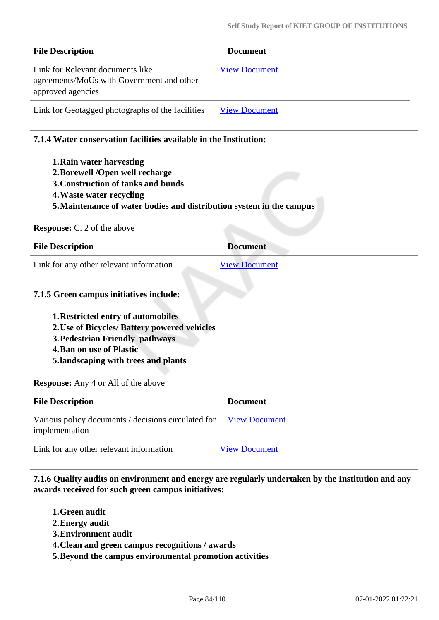| <b>File Description</b>                                                                            | <b>Document</b>      |
|----------------------------------------------------------------------------------------------------|----------------------|
| Link for Relevant documents like<br>agreements/MoUs with Government and other<br>approved agencies | <b>View Document</b> |
| Link for Geotagged photographs of the facilities                                                   | <b>View Document</b> |

#### **7.1.4 Water conservation facilities available in the Institution:**

- **1.Rain water harvesting**
- **2.Borewell /Open well recharge**
- **3.Construction of tanks and bunds**
- **4.Waste water recycling**
- **5.Maintenance of water bodies and distribution system in the campus**

#### **Response:** C. 2 of the above

| <b>File Description</b>                 | <b>Document</b>      |
|-----------------------------------------|----------------------|
| Link for any other relevant information | <b>View Document</b> |

#### **7.1.5 Green campus initiatives include:**

- **1.Restricted entry of automobiles**
- **2.Use of Bicycles/ Battery powered vehicles**
- **3.Pedestrian Friendly pathways**
- **4.Ban on use of Plastic**
- **5.landscaping with trees and plants**

**Response:** Any 4 or All of the above

| <b>File Description</b>                                               | <b>Document</b>      |
|-----------------------------------------------------------------------|----------------------|
| Various policy documents / decisions circulated for<br>implementation | <b>View Document</b> |
| Link for any other relevant information                               | <b>View Document</b> |

 **7.1.6 Quality audits on environment and energy are regularly undertaken by the Institution and any awards received for such green campus initiatives:**

- **1.Green audit**
- **2.Energy audit**
- **3.Environment audit**
- **4.Clean and green campus recognitions / awards**

**5.Beyond the campus environmental promotion activities**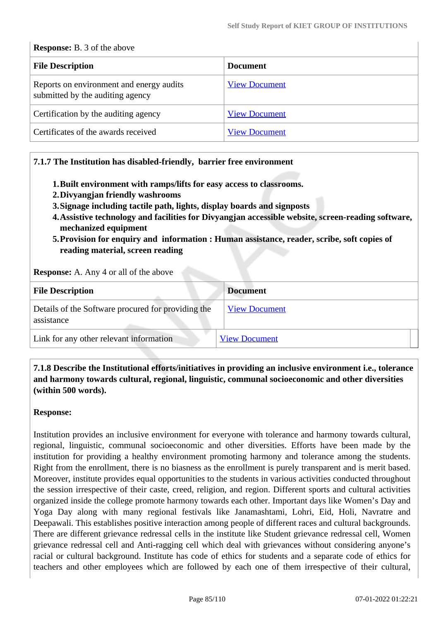#### **Response:** B. 3 of the above

| <b>File Description</b>                                                      | <b>Document</b>      |
|------------------------------------------------------------------------------|----------------------|
| Reports on environment and energy audits<br>submitted by the auditing agency | <b>View Document</b> |
| Certification by the auditing agency                                         | <b>View Document</b> |
| Certificates of the awards received                                          | <b>View Document</b> |

#### **7.1.7 The Institution has disabled-friendly, barrier free environment**

- **1.Built environment with ramps/lifts for easy access to classrooms.**
- **2.Divyangjan friendly washrooms**
- **3.Signage including tactile path, lights, display boards and signposts**
- **4.Assistive technology and facilities for Divyangjan accessible website, screen-reading software, mechanized equipment**
- **5.Provision for enquiry and information : Human assistance, reader, scribe, soft copies of reading material, screen reading**

**Response:** A. Any 4 or all of the above

| <b>Document</b>      |
|----------------------|
| <b>View Document</b> |
| <b>View Document</b> |
|                      |

 **7.1.8 Describe the Institutional efforts/initiatives in providing an inclusive environment i.e., tolerance and harmony towards cultural, regional, linguistic, communal socioeconomic and other diversities (within 500 words).**

#### **Response:**

Institution provides an inclusive environment for everyone with tolerance and harmony towards cultural, regional, linguistic, communal socioeconomic and other diversities. Efforts have been made by the institution for providing a healthy environment promoting harmony and tolerance among the students. Right from the enrollment, there is no biasness as the enrollment is purely transparent and is merit based. Moreover, institute provides equal opportunities to the students in various activities conducted throughout the session irrespective of their caste, creed, religion, and region. Different sports and cultural activities organized inside the college promote harmony towards each other. Important days like Women's Day and Yoga Day along with many regional festivals like Janamashtami, Lohri, Eid, Holi, Navratre and Deepawali. This establishes positive interaction among people of different races and cultural backgrounds. There are different grievance redressal cells in the institute like Student grievance redressal cell, Women grievance redressal cell and Anti-ragging cell which deal with grievances without considering anyone's racial or cultural background. Institute has code of ethics for students and a separate code of ethics for teachers and other employees which are followed by each one of them irrespective of their cultural,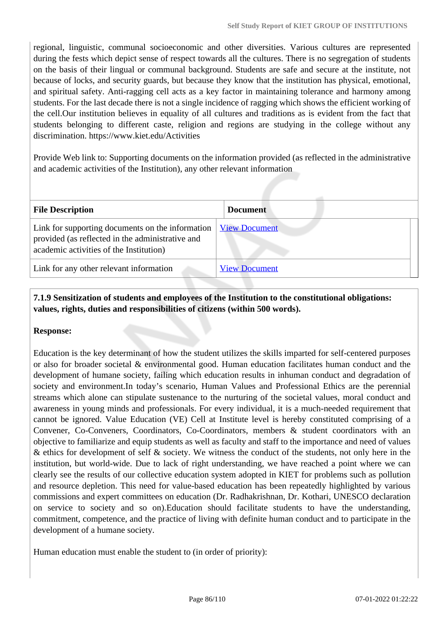regional, linguistic, communal socioeconomic and other diversities. Various cultures are represented during the fests which depict sense of respect towards all the cultures. There is no segregation of students on the basis of their lingual or communal background. Students are safe and secure at the institute, not because of locks, and security guards, but because they know that the institution has physical, emotional, and spiritual safety. Anti-ragging cell acts as a key factor in maintaining tolerance and harmony among students. For the last decade there is not a single incidence of ragging which shows the efficient working of the cell.Our institution believes in equality of all cultures and traditions as is evident from the fact that students belonging to different caste, religion and regions are studying in the college without any discrimination. https://www.kiet.edu/Activities

Provide Web link to: Supporting documents on the information provided (as reflected in the administrative and academic activities of the Institution), any other relevant information

| <b>File Description</b>                                                                                                                         | <b>Document</b>      |
|-------------------------------------------------------------------------------------------------------------------------------------------------|----------------------|
| Link for supporting documents on the information<br>provided (as reflected in the administrative and<br>academic activities of the Institution) | <b>View Document</b> |
| Link for any other relevant information                                                                                                         | <b>View Document</b> |

## **7.1.9 Sensitization of students and employees of the Institution to the constitutional obligations: values, rights, duties and responsibilities of citizens (within 500 words).**

#### **Response:**

Education is the key determinant of how the student utilizes the skills imparted for self-centered purposes or also for broader societal & environmental good. Human education facilitates human conduct and the development of humane society, failing which education results in inhuman conduct and degradation of society and environment.In today's scenario, Human Values and Professional Ethics are the perennial streams which alone can stipulate sustenance to the nurturing of the societal values, moral conduct and awareness in young minds and professionals. For every individual, it is a much-needed requirement that cannot be ignored. Value Education (VE) Cell at Institute level is hereby constituted comprising of a Convener, Co-Conveners, Coordinators, Co-Coordinators, members & student coordinators with an objective to familiarize and equip students as well as faculty and staff to the importance and need of values  $\&$  ethics for development of self  $\&$  society. We witness the conduct of the students, not only here in the institution, but world-wide. Due to lack of right understanding, we have reached a point where we can clearly see the results of our collective education system adopted in KIET for problems such as pollution and resource depletion. This need for value-based education has been repeatedly highlighted by various commissions and expert committees on education (Dr. Radhakrishnan, Dr. Kothari, UNESCO declaration on service to society and so on).Education should facilitate students to have the understanding, commitment, competence, and the practice of living with definite human conduct and to participate in the development of a humane society.

Human education must enable the student to (in order of priority):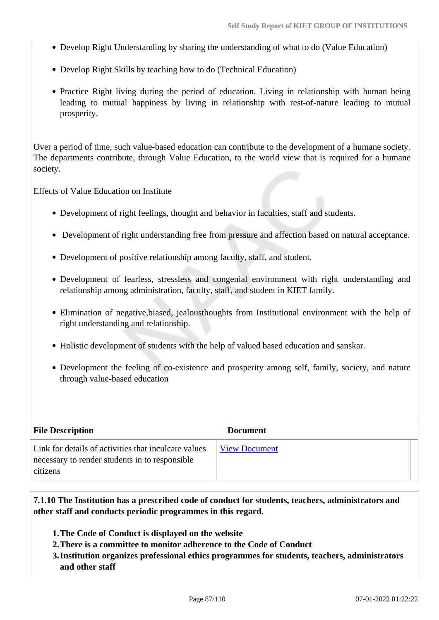- Develop Right Understanding by sharing the understanding of what to do (Value Education)
- Develop Right Skills by teaching how to do (Technical Education)
- Practice Right living during the period of education. Living in relationship with human being leading to mutual happiness by living in relationship with rest-of-nature leading to mutual prosperity.

Over a period of time, such value-based education can contribute to the development of a humane society. The departments contribute, through Value Education, to the world view that is required for a humane society.

Effects of Value Education on Institute

- Development of right feelings, thought and behavior in faculties, staff and students.
- Development of right understanding free from pressure and affection based on natural acceptance.
- Development of positive relationship among faculty, staff, and student.
- Development of fearless, stressless and congenial environment with right understanding and relationship among administration, faculty, staff, and student in KIET family.
- Elimination of negative,biased, jealousthoughts from Institutional environment with the help of right understanding and relationship.
- Holistic development of students with the help of valued based education and sanskar.
- Development the feeling of co-existence and prosperity among self, family, society, and nature through value-based education

| <b>File Description</b>                                                                                            | <b>Document</b>      |
|--------------------------------------------------------------------------------------------------------------------|----------------------|
| Link for details of activities that inculcate values<br>necessary to render students in to responsible<br>citizens | <b>View Document</b> |

 **7.1.10 The Institution has a prescribed code of conduct for students, teachers, administrators and other staff and conducts periodic programmes in this regard.** 

- **1.The Code of Conduct is displayed on the website**
- **2.There is a committee to monitor adherence to the Code of Conduct**
- **3.Institution organizes professional ethics programmes for students, teachers, administrators and other staff**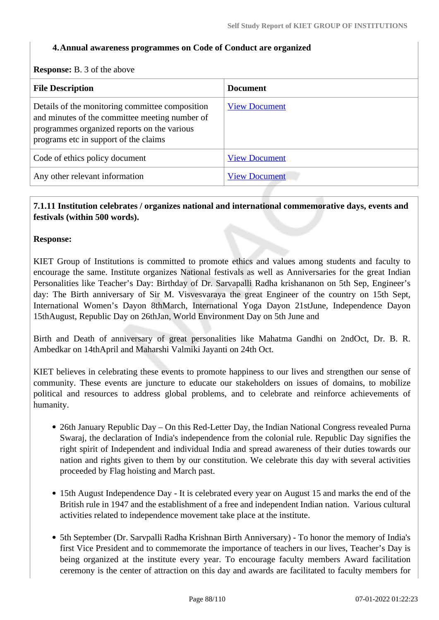#### **4.Annual awareness programmes on Code of Conduct are organized**

**Response:** B. 3 of the above

| <b>File Description</b>                                                                                                                                                                   | <b>Document</b>      |
|-------------------------------------------------------------------------------------------------------------------------------------------------------------------------------------------|----------------------|
| Details of the monitoring committee composition<br>and minutes of the committee meeting number of<br>programmes organized reports on the various<br>programs etc in support of the claims | <b>View Document</b> |
| Code of ethics policy document                                                                                                                                                            | <b>View Document</b> |
| Any other relevant information                                                                                                                                                            | <b>View Document</b> |

#### **7.1.11 Institution celebrates / organizes national and international commemorative days, events and festivals (within 500 words).**

#### **Response:**

KIET Group of Institutions is committed to promote ethics and values among students and faculty to encourage the same. Institute organizes National festivals as well as Anniversaries for the great Indian Personalities like Teacher's Day: Birthday of Dr. Sarvapalli Radha krishananon on 5th Sep, Engineer's day: The Birth anniversary of Sir M. Visvesvaraya the great Engineer of the country on 15th Sept, International Women's Dayon 8thMarch, International Yoga Dayon 21stJune, Independence Dayon 15thAugust, Republic Day on 26thJan, World Environment Day on 5th June and

Birth and Death of anniversary of great personalities like Mahatma Gandhi on 2ndOct, Dr. B. R. Ambedkar on 14thApril and Maharshi Valmiki Jayanti on 24th Oct.

KIET believes in celebrating these events to promote happiness to our lives and strengthen our sense of community. These events are juncture to educate our stakeholders on issues of domains, to mobilize political and resources to address global problems, and to celebrate and reinforce achievements of humanity.

- 26th January Republic Day On this Red-Letter Day, the Indian National Congress revealed Purna Swaraj, the declaration of India's independence from the colonial rule. Republic Day signifies the right spirit of Independent and individual India and spread awareness of their duties towards our nation and rights given to them by our constitution. We celebrate this day with several activities proceeded by Flag hoisting and March past.
- 15th August Independence Day It is celebrated every year on August 15 and marks the end of the British rule in 1947 and the establishment of a free and independent Indian nation. Various cultural activities related to independence movement take place at the institute.
- 5th September (Dr. Sarvpalli Radha Krishnan Birth Anniversary) To honor the memory of India's first Vice President and to commemorate the importance of teachers in our lives, Teacher's Day is being organized at the institute every year. To encourage faculty members Award facilitation ceremony is the center of attraction on this day and awards are facilitated to faculty members for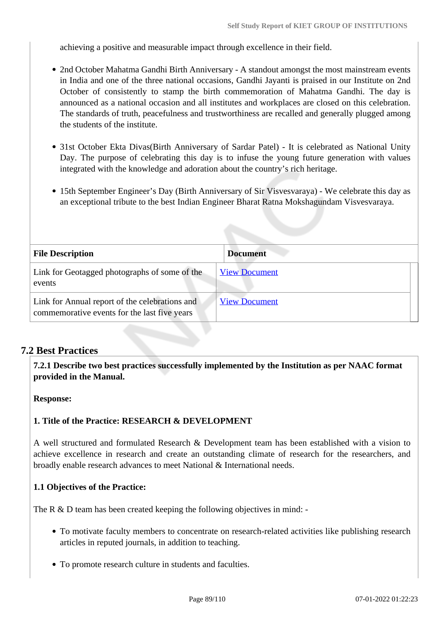achieving a positive and measurable impact through excellence in their field.

- 2nd October Mahatma Gandhi Birth Anniversary A standout amongst the most mainstream events in India and one of the three national occasions, Gandhi Jayanti is praised in our Institute on 2nd October of consistently to stamp the birth commemoration of Mahatma Gandhi. The day is announced as a national occasion and all institutes and workplaces are closed on this celebration. The standards of truth, peacefulness and trustworthiness are recalled and generally plugged among the students of the institute.
- 31st October Ekta Divas(Birth Anniversary of Sardar Patel) It is celebrated as National Unity Day. The purpose of celebrating this day is to infuse the young future generation with values integrated with the knowledge and adoration about the country's rich heritage.
- 15th September Engineer's Day (Birth Anniversary of Sir Visvesvaraya) We celebrate this day as an exceptional tribute to the best Indian Engineer Bharat Ratna Mokshagundam Visvesvaraya.

| <b>File Description</b>                                                                        | <b>Document</b>      |  |  |  |  |
|------------------------------------------------------------------------------------------------|----------------------|--|--|--|--|
| Link for Geotagged photographs of some of the<br>events                                        | <b>View Document</b> |  |  |  |  |
| Link for Annual report of the celebrations and<br>commemorative events for the last five years | <b>View Document</b> |  |  |  |  |

## **7.2 Best Practices**

 **7.2.1 Describe two best practices successfully implemented by the Institution as per NAAC format provided in the Manual.**

#### **Response:**

#### **1. Title of the Practice: RESEARCH & DEVELOPMENT**

A well structured and formulated Research & Development team has been established with a vision to achieve excellence in research and create an outstanding climate of research for the researchers, and broadly enable research advances to meet National & International needs.

#### **1.1 Objectives of the Practice:**

The R & D team has been created keeping the following objectives in mind: -

- To motivate faculty members to concentrate on research-related activities like publishing research articles in reputed journals, in addition to teaching.
- To promote research culture in students and faculties.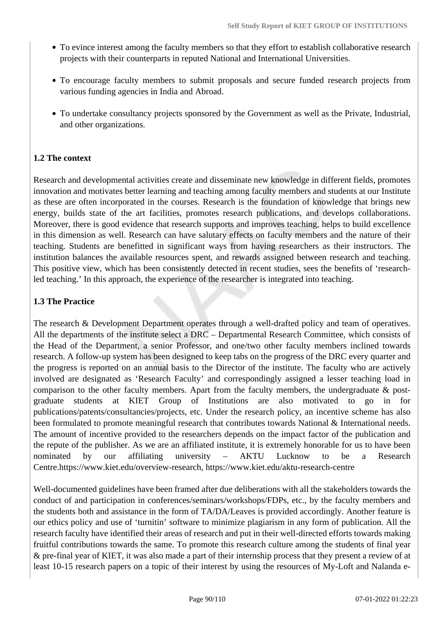- To evince interest among the faculty members so that they effort to establish collaborative research projects with their counterparts in reputed National and International Universities.
- To encourage faculty members to submit proposals and secure funded research projects from various funding agencies in India and Abroad.
- To undertake consultancy projects sponsored by the Government as well as the Private, Industrial, and other organizations.

## **1.2 The context**

Research and developmental activities create and disseminate new knowledge in different fields, promotes innovation and motivates better learning and teaching among faculty members and students at our Institute as these are often incorporated in the courses. Research is the foundation of knowledge that brings new energy, builds state of the art facilities, promotes research publications, and develops collaborations. Moreover, there is good evidence that research supports and improves teaching, helps to build excellence in this dimension as well. Research can have salutary effects on faculty members and the nature of their teaching. Students are benefitted in significant ways from having researchers as their instructors. The institution balances the available resources spent, and rewards assigned between research and teaching. This positive view, which has been consistently detected in recent studies, sees the benefits of 'researchled teaching.' In this approach, the experience of the researcher is integrated into teaching.

## **1.3 The Practice**

The research & Development Department operates through a well-drafted policy and team of operatives. All the departments of the institute select a DRC – Departmental Research Committee, which consists of the Head of the Department, a senior Professor, and one/two other faculty members inclined towards research. A follow-up system has been designed to keep tabs on the progress of the DRC every quarter and the progress is reported on an annual basis to the Director of the institute. The faculty who are actively involved are designated as 'Research Faculty' and correspondingly assigned a lesser teaching load in comparison to the other faculty members. Apart from the faculty members, the undergraduate  $\&$  postgraduate students at KIET Group of Institutions are also motivated to go in for publications/patents/consultancies/projects, etc. Under the research policy, an incentive scheme has also been formulated to promote meaningful research that contributes towards National & International needs. The amount of incentive provided to the researchers depends on the impact factor of the publication and the repute of the publisher. As we are an affiliated institute, it is extremely honorable for us to have been nominated by our affiliating university – AKTU Lucknow to be a Research Centre.https://www.kiet.edu/overview-research, https://www.kiet.edu/aktu-research-centre

Well-documented guidelines have been framed after due deliberations with all the stakeholders towards the conduct of and participation in conferences/seminars/workshops/FDPs, etc., by the faculty members and the students both and assistance in the form of TA/DA/Leaves is provided accordingly. Another feature is our ethics policy and use of 'turnitin' software to minimize plagiarism in any form of publication. All the research faculty have identified their areas of research and put in their well-directed efforts towards making fruitful contributions towards the same. To promote this research culture among the students of final year & pre-final year of KIET, it was also made a part of their internship process that they present a review of at least 10-15 research papers on a topic of their interest by using the resources of My-Loft and Nalanda e-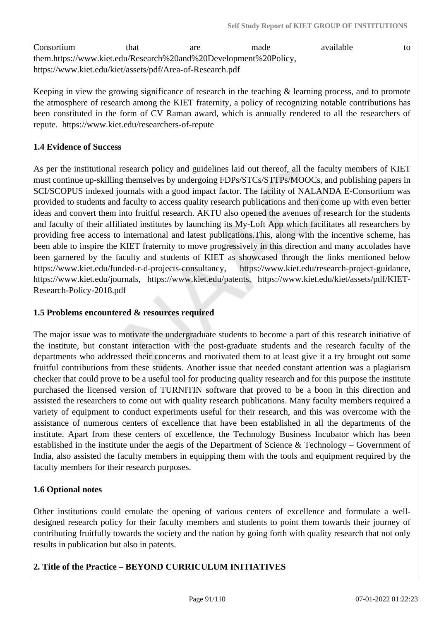Consortium that are made available to them.https://www.kiet.edu/Research%20and%20Development%20Policy, https://www.kiet.edu/kiet/assets/pdf/Area-of-Research.pdf

Keeping in view the growing significance of research in the teaching & learning process, and to promote the atmosphere of research among the KIET fraternity, a policy of recognizing notable contributions has been constituted in the form of CV Raman award, which is annually rendered to all the researchers of repute. https://www.kiet.edu/researchers-of-repute

### **1.4 Evidence of Success**

As per the institutional research policy and guidelines laid out thereof, all the faculty members of KIET must continue up-skilling themselves by undergoing FDPs/STCs/STTPs/MOOCs, and publishing papers in SCI/SCOPUS indexed journals with a good impact factor. The facility of NALANDA E-Consortium was provided to students and faculty to access quality research publications and then come up with even better ideas and convert them into fruitful research. AKTU also opened the avenues of research for the students and faculty of their affiliated institutes by launching its My-Loft App which facilitates all researchers by providing free access to international and latest publications.This, along with the incentive scheme, has been able to inspire the KIET fraternity to move progressively in this direction and many accolades have been garnered by the faculty and students of KIET as showcased through the links mentioned below https://www.kiet.edu/funded-r-d-projects-consultancy, https://www.kiet.edu/research-project-guidance, https://www.kiet.edu/journals, https://www.kiet.edu/patents, https://www.kiet.edu/kiet/assets/pdf/KIET-Research-Policy-2018.pdf

#### **1.5 Problems encountered & resources required**

The major issue was to motivate the undergraduate students to become a part of this research initiative of the institute, but constant interaction with the post-graduate students and the research faculty of the departments who addressed their concerns and motivated them to at least give it a try brought out some fruitful contributions from these students. Another issue that needed constant attention was a plagiarism checker that could prove to be a useful tool for producing quality research and for this purpose the institute purchased the licensed version of TURNITIN software that proved to be a boon in this direction and assisted the researchers to come out with quality research publications. Many faculty members required a variety of equipment to conduct experiments useful for their research, and this was overcome with the assistance of numerous centers of excellence that have been established in all the departments of the institute. Apart from these centers of excellence, the Technology Business Incubator which has been established in the institute under the aegis of the Department of Science & Technology – Government of India, also assisted the faculty members in equipping them with the tools and equipment required by the faculty members for their research purposes.

#### **1.6 Optional notes**

Other institutions could emulate the opening of various centers of excellence and formulate a welldesigned research policy for their faculty members and students to point them towards their journey of contributing fruitfully towards the society and the nation by going forth with quality research that not only results in publication but also in patents.

## **2. Title of the Practice – BEYOND CURRICULUM INITIATIVES**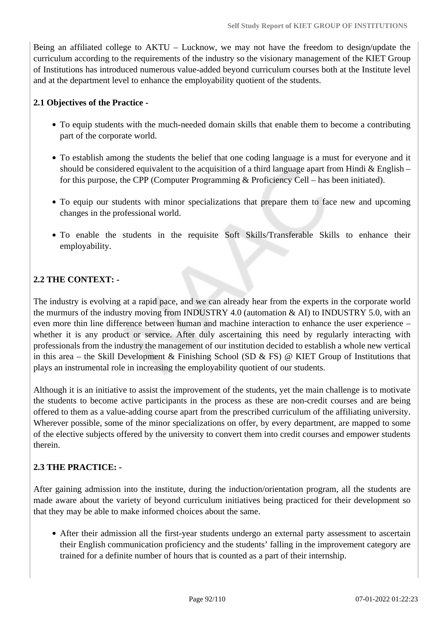Being an affiliated college to AKTU – Lucknow, we may not have the freedom to design/update the curriculum according to the requirements of the industry so the visionary management of the KIET Group of Institutions has introduced numerous value-added beyond curriculum courses both at the Institute level and at the department level to enhance the employability quotient of the students.

#### **2.1 Objectives of the Practice -**

- To equip students with the much-needed domain skills that enable them to become a contributing part of the corporate world.
- To establish among the students the belief that one coding language is a must for everyone and it should be considered equivalent to the acquisition of a third language apart from Hindi & English – for this purpose, the CPP (Computer Programming & Proficiency Cell – has been initiated).
- To equip our students with minor specializations that prepare them to face new and upcoming changes in the professional world.
- To enable the students in the requisite Soft Skills/Transferable Skills to enhance their employability.

## **2.2 THE CONTEXT: -**

The industry is evolving at a rapid pace, and we can already hear from the experts in the corporate world the murmurs of the industry moving from INDUSTRY 4.0 (automation & AI) to INDUSTRY 5.0, with an even more thin line difference between human and machine interaction to enhance the user experience – whether it is any product or service. After duly ascertaining this need by regularly interacting with professionals from the industry the management of our institution decided to establish a whole new vertical in this area – the Skill Development & Finishing School (SD & FS) @ KIET Group of Institutions that plays an instrumental role in increasing the employability quotient of our students.

Although it is an initiative to assist the improvement of the students, yet the main challenge is to motivate the students to become active participants in the process as these are non-credit courses and are being offered to them as a value-adding course apart from the prescribed curriculum of the affiliating university. Wherever possible, some of the minor specializations on offer, by every department, are mapped to some of the elective subjects offered by the university to convert them into credit courses and empower students therein.

## **2.3 THE PRACTICE: -**

After gaining admission into the institute, during the induction/orientation program, all the students are made aware about the variety of beyond curriculum initiatives being practiced for their development so that they may be able to make informed choices about the same.

After their admission all the first-year students undergo an external party assessment to ascertain their English communication proficiency and the students' falling in the improvement category are trained for a definite number of hours that is counted as a part of their internship.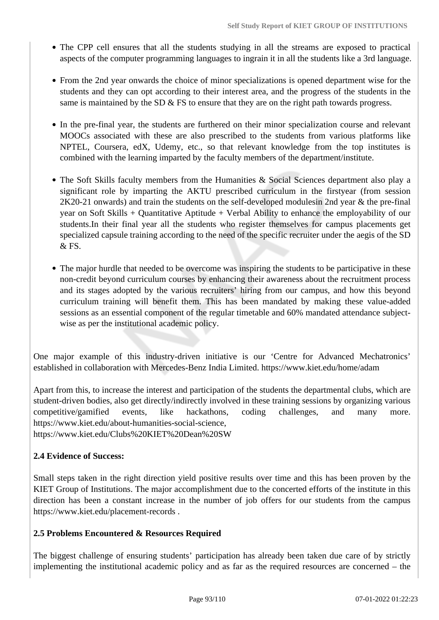- The CPP cell ensures that all the students studying in all the streams are exposed to practical aspects of the computer programming languages to ingrain it in all the students like a 3rd language.
- From the 2nd year onwards the choice of minor specializations is opened department wise for the students and they can opt according to their interest area, and the progress of the students in the same is maintained by the SD  $&$  FS to ensure that they are on the right path towards progress.
- In the pre-final year, the students are furthered on their minor specialization course and relevant MOOCs associated with these are also prescribed to the students from various platforms like NPTEL, Coursera, edX, Udemy, etc., so that relevant knowledge from the top institutes is combined with the learning imparted by the faculty members of the department/institute.
- The Soft Skills faculty members from the Humanities & Social Sciences department also play a significant role by imparting the AKTU prescribed curriculum in the firstyear (from session 2K20-21 onwards) and train the students on the self-developed modulesin 2nd year & the pre-final year on Soft Skills + Quantitative Aptitude + Verbal Ability to enhance the employability of our students.In their final year all the students who register themselves for campus placements get specialized capsule training according to the need of the specific recruiter under the aegis of the SD & FS.
- The major hurdle that needed to be overcome was inspiring the students to be participative in these non-credit beyond curriculum courses by enhancing their awareness about the recruitment process and its stages adopted by the various recruiters' hiring from our campus, and how this beyond curriculum training will benefit them. This has been mandated by making these value-added sessions as an essential component of the regular timetable and 60% mandated attendance subjectwise as per the institutional academic policy.

One major example of this industry-driven initiative is our 'Centre for Advanced Mechatronics' established in collaboration with Mercedes-Benz India Limited. https://www.kiet.edu/home/adam

Apart from this, to increase the interest and participation of the students the departmental clubs, which are student-driven bodies, also get directly/indirectly involved in these training sessions by organizing various competitive/gamified events, like hackathons, coding challenges, and many more. https://www.kiet.edu/about-humanities-social-science,

https://www.kiet.edu/Clubs%20KIET%20Dean%20SW

## **2.4 Evidence of Success:**

Small steps taken in the right direction yield positive results over time and this has been proven by the KIET Group of Institutions. The major accomplishment due to the concerted efforts of the institute in this direction has been a constant increase in the number of job offers for our students from the campus https://www.kiet.edu/placement-records .

#### **2.5 Problems Encountered & Resources Required**

The biggest challenge of ensuring students' participation has already been taken due care of by strictly implementing the institutional academic policy and as far as the required resources are concerned – the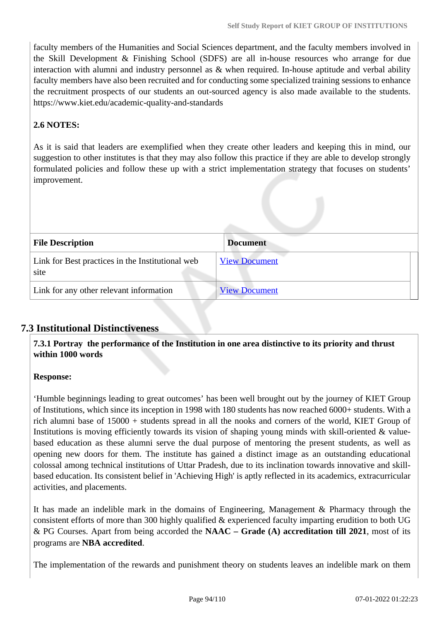faculty members of the Humanities and Social Sciences department, and the faculty members involved in the Skill Development & Finishing School (SDFS) are all in-house resources who arrange for due interaction with alumni and industry personnel as & when required. In-house aptitude and verbal ability faculty members have also been recruited and for conducting some specialized training sessions to enhance the recruitment prospects of our students an out-sourced agency is also made available to the students. https://www.kiet.edu/academic-quality-and-standards

## **2.6 NOTES:**

As it is said that leaders are exemplified when they create other leaders and keeping this in mind, our suggestion to other institutes is that they may also follow this practice if they are able to develop strongly formulated policies and follow these up with a strict implementation strategy that focuses on students' improvement.

| <b>File Description</b>                                  | <b>Document</b>      |
|----------------------------------------------------------|----------------------|
| Link for Best practices in the Institutional web<br>site | <b>View Document</b> |
| Link for any other relevant information                  | <b>View Document</b> |

## **7.3 Institutional Distinctiveness**

 **7.3.1 Portray the performance of the Institution in one area distinctive to its priority and thrust within 1000 words**

#### **Response:**

'Humble beginnings leading to great outcomes' has been well brought out by the journey of KIET Group of Institutions, which since its inception in 1998 with 180 students has now reached 6000+ students. With a rich alumni base of 15000 + students spread in all the nooks and corners of the world, KIET Group of Institutions is moving efficiently towards its vision of shaping young minds with skill-oriented  $\&$  valuebased education as these alumni serve the dual purpose of mentoring the present students, as well as opening new doors for them. The institute has gained a distinct image as an outstanding educational colossal among technical institutions of Uttar Pradesh, due to its inclination towards innovative and skillbased education. Its consistent belief in 'Achieving High' is aptly reflected in its academics, extracurricular activities, and placements.

It has made an indelible mark in the domains of Engineering, Management & Pharmacy through the consistent efforts of more than 300 highly qualified & experienced faculty imparting erudition to both UG & PG Courses. Apart from being accorded the **NAAC – Grade (A) accreditation till 2021**, most of its programs are **NBA accredited**.

The implementation of the rewards and punishment theory on students leaves an indelible mark on them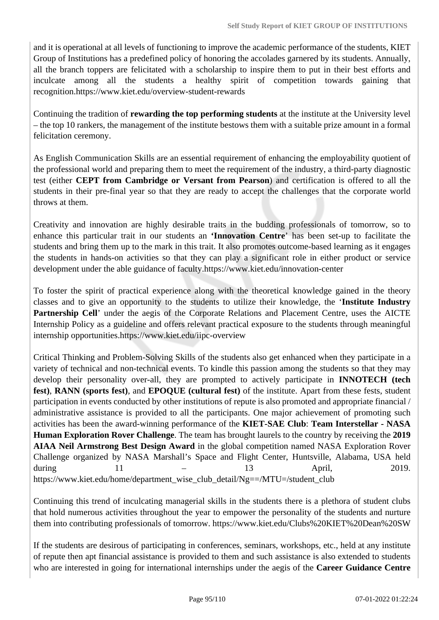and it is operational at all levels of functioning to improve the academic performance of the students, KIET Group of Institutions has a predefined policy of honoring the accolades garnered by its students. Annually, all the branch toppers are felicitated with a scholarship to inspire them to put in their best efforts and inculcate among all the students a healthy spirit of competition towards gaining that recognition.https://www.kiet.edu/overview-student-rewards

Continuing the tradition of **rewarding the top performing students** at the institute at the University level – the top 10 rankers, the management of the institute bestows them with a suitable prize amount in a formal felicitation ceremony.

As English Communication Skills are an essential requirement of enhancing the employability quotient of the professional world and preparing them to meet the requirement of the industry, a third-party diagnostic test (either **CEPT from Cambridge or Versant from Pearson**) and certification is offered to all the students in their pre-final year so that they are ready to accept the challenges that the corporate world throws at them.

Creativity and innovation are highly desirable traits in the budding professionals of tomorrow, so to enhance this particular trait in our students an **'Innovation Centre**' has been set-up to facilitate the students and bring them up to the mark in this trait. It also promotes outcome-based learning as it engages the students in hands-on activities so that they can play a significant role in either product or service development under the able guidance of faculty.https://www.kiet.edu/innovation-center

To foster the spirit of practical experience along with the theoretical knowledge gained in the theory classes and to give an opportunity to the students to utilize their knowledge, the '**Institute Industry Partnership Cell**' under the aegis of the Corporate Relations and Placement Centre, uses the AICTE Internship Policy as a guideline and offers relevant practical exposure to the students through meaningful internship opportunities.https://www.kiet.edu/iipc-overview

Critical Thinking and Problem-Solving Skills of the students also get enhanced when they participate in a variety of technical and non-technical events. To kindle this passion among the students so that they may develop their personality over-all, they are prompted to actively participate in **INNOTECH (tech fest)**, **RANN (sports fest)**, and **EPOQUE (cultural fest)** of the institute. Apart from these fests, student participation in events conducted by other institutions of repute is also promoted and appropriate financial / administrative assistance is provided to all the participants. One major achievement of promoting such activities has been the award-winning performance of the **KIET-SAE Club**: **Team Interstellar - NASA Human Exploration Rover Challenge**. The team has brought laurels to the country by receiving the **2019 AIAA Neil Armstrong Best Design Award** in the global competition named NASA Exploration Rover Challenge organized by NASA Marshall's Space and Flight Center, Huntsville, Alabama, USA held during 11 – 13 April, 2019. https://www.kiet.edu/home/department\_wise\_club\_detail/Ng==/MTU=/student\_club

Continuing this trend of inculcating managerial skills in the students there is a plethora of student clubs that hold numerous activities throughout the year to empower the personality of the students and nurture them into contributing professionals of tomorrow. https://www.kiet.edu/Clubs%20KIET%20Dean%20SW

If the students are desirous of participating in conferences, seminars, workshops, etc., held at any institute of repute then apt financial assistance is provided to them and such assistance is also extended to students who are interested in going for international internships under the aegis of the **Career Guidance Centre**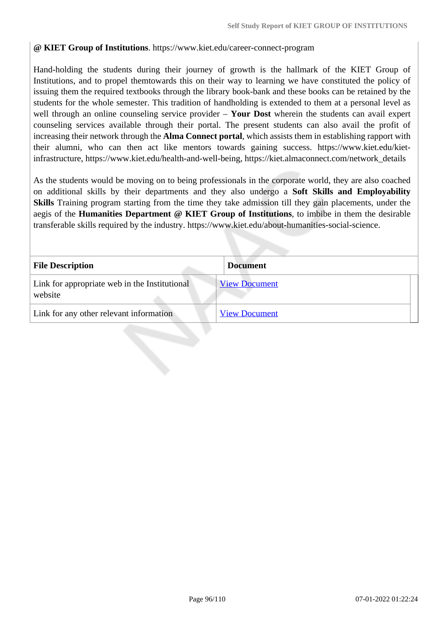#### **@ KIET Group of Institutions**. https://www.kiet.edu/career-connect-program

Hand-holding the students during their journey of growth is the hallmark of the KIET Group of Institutions, and to propel themtowards this on their way to learning we have constituted the policy of issuing them the required textbooks through the library book-bank and these books can be retained by the students for the whole semester. This tradition of handholding is extended to them at a personal level as well through an online counseling service provider – **Your Dost** wherein the students can avail expert counseling services available through their portal. The present students can also avail the profit of increasing their network through the **Alma Connect portal**, which assists them in establishing rapport with their alumni, who can then act like mentors towards gaining success. https://www.kiet.edu/kietinfrastructure, https://www.kiet.edu/health-and-well-being, https://kiet.almaconnect.com/network\_details

As the students would be moving on to being professionals in the corporate world, they are also coached on additional skills by their departments and they also undergo a **Soft Skills and Employability Skills** Training program starting from the time they take admission till they gain placements, under the aegis of the **Humanities Department @ KIET Group of Institutions**, to imbibe in them the desirable transferable skills required by the industry. https://www.kiet.edu/about-humanities-social-science.

| <b>File Description</b>                                  | <b>Document</b>      |  |
|----------------------------------------------------------|----------------------|--|
| Link for appropriate web in the Institutional<br>website | <b>View Document</b> |  |
| Link for any other relevant information                  | <b>View Document</b> |  |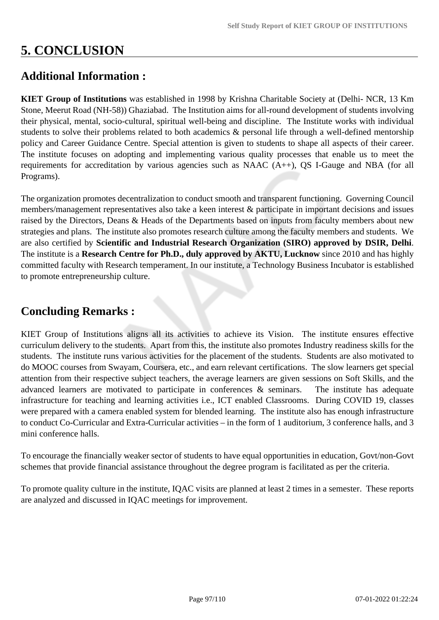# **5. CONCLUSION**

## **Additional Information :**

**KIET Group of Institutions** was established in 1998 by Krishna Charitable Society at (Delhi- NCR, 13 Km Stone, Meerut Road (NH-58)) Ghaziabad. The Institution aims for all-round development of students involving their physical, mental, socio-cultural, spiritual well-being and discipline. The Institute works with individual students to solve their problems related to both academics & personal life through a well-defined mentorship policy and Career Guidance Centre. Special attention is given to students to shape all aspects of their career. The institute focuses on adopting and implementing various quality processes that enable us to meet the requirements for accreditation by various agencies such as NAAC (A++), QS I-Gauge and NBA (for all Programs).

The organization promotes decentralization to conduct smooth and transparent functioning. Governing Council members/management representatives also take a keen interest & participate in important decisions and issues raised by the Directors, Deans & Heads of the Departments based on inputs from faculty members about new strategies and plans. The institute also promotes research culture among the faculty members and students. We are also certified by **Scientific and Industrial Research Organization (SIRO) approved by DSIR, Delhi**. The institute is a **Research Centre for Ph.D., duly approved by AKTU, Lucknow** since 2010 and has highly committed faculty with Research temperament. In our institute, a Technology Business Incubator is established to promote entrepreneurship culture.

## **Concluding Remarks :**

KIET Group of Institutions aligns all its activities to achieve its Vision. The institute ensures effective curriculum delivery to the students. Apart from this, the institute also promotes Industry readiness skills for the students. The institute runs various activities for the placement of the students. Students are also motivated to do MOOC courses from Swayam, Coursera, etc., and earn relevant certifications. The slow learners get special attention from their respective subject teachers, the average learners are given sessions on Soft Skills, and the advanced learners are motivated to participate in conferences & seminars. The institute has adequate infrastructure for teaching and learning activities i.e., ICT enabled Classrooms. During COVID 19, classes were prepared with a camera enabled system for blended learning. The institute also has enough infrastructure to conduct Co-Curricular and Extra-Curricular activities – in the form of 1 auditorium, 3 conference halls, and 3 mini conference halls.

To encourage the financially weaker sector of students to have equal opportunities in education, Govt/non-Govt schemes that provide financial assistance throughout the degree program is facilitated as per the criteria.

To promote quality culture in the institute, IQAC visits are planned at least 2 times in a semester. These reports are analyzed and discussed in IQAC meetings for improvement.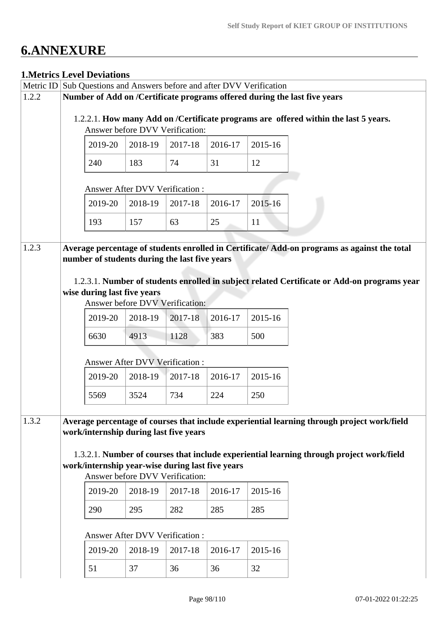# **6.ANNEXURE**

## **1.Metrics Level Deviations**

|       | Metric ID Sub Questions and Answers before and after DVV Verification                                                                                                                                                                                                                                                    |                                                                                     |         |         |         |         |                                                                                             |  |  |  |
|-------|--------------------------------------------------------------------------------------------------------------------------------------------------------------------------------------------------------------------------------------------------------------------------------------------------------------------------|-------------------------------------------------------------------------------------|---------|---------|---------|---------|---------------------------------------------------------------------------------------------|--|--|--|
| 1.2.2 | Number of Add on /Certificate programs offered during the last five years                                                                                                                                                                                                                                                |                                                                                     |         |         |         |         |                                                                                             |  |  |  |
|       |                                                                                                                                                                                                                                                                                                                          | 1.2.2.1. How many Add on /Certificate programs are offered within the last 5 years. |         |         |         |         |                                                                                             |  |  |  |
|       | Answer before DVV Verification:                                                                                                                                                                                                                                                                                          |                                                                                     |         |         |         |         |                                                                                             |  |  |  |
|       |                                                                                                                                                                                                                                                                                                                          | 2019-20                                                                             | 2018-19 | 2017-18 | 2016-17 | 2015-16 |                                                                                             |  |  |  |
|       |                                                                                                                                                                                                                                                                                                                          | 240                                                                                 | 183     | 74      | 31      | 12      |                                                                                             |  |  |  |
|       |                                                                                                                                                                                                                                                                                                                          | Answer After DVV Verification:                                                      |         |         |         |         |                                                                                             |  |  |  |
|       |                                                                                                                                                                                                                                                                                                                          | 2019-20                                                                             | 2018-19 | 2017-18 | 2016-17 | 2015-16 |                                                                                             |  |  |  |
|       |                                                                                                                                                                                                                                                                                                                          | 193                                                                                 | 157     | 63      | 25      | 11      |                                                                                             |  |  |  |
| 1.2.3 |                                                                                                                                                                                                                                                                                                                          | number of students during the last five years                                       |         |         |         |         | Average percentage of students enrolled in Certificate/Add-on programs as against the total |  |  |  |
|       |                                                                                                                                                                                                                                                                                                                          | wise during last five years<br>Answer before DVV Verification:                      |         |         |         |         | 1.2.3.1. Number of students enrolled in subject related Certificate or Add-on programs year |  |  |  |
|       |                                                                                                                                                                                                                                                                                                                          | 2019-20                                                                             | 2018-19 | 2017-18 | 2016-17 | 2015-16 |                                                                                             |  |  |  |
|       |                                                                                                                                                                                                                                                                                                                          | 6630                                                                                | 4913    | 1128    | 383     | 500     |                                                                                             |  |  |  |
|       |                                                                                                                                                                                                                                                                                                                          | Answer After DVV Verification :                                                     |         |         |         |         |                                                                                             |  |  |  |
|       |                                                                                                                                                                                                                                                                                                                          | 2019-20                                                                             | 2018-19 | 2017-18 | 2016-17 | 2015-16 |                                                                                             |  |  |  |
|       |                                                                                                                                                                                                                                                                                                                          | 5569                                                                                | 3524    | 734     | 224     | 250     |                                                                                             |  |  |  |
| 1.3.2 | Average percentage of courses that include experiential learning through project work/field<br>work/internship during last five years<br>1.3.2.1. Number of courses that include experiential learning through project work/field<br>work/internship year-wise during last five years<br>Answer before DVV Verification: |                                                                                     |         |         |         |         |                                                                                             |  |  |  |
|       |                                                                                                                                                                                                                                                                                                                          | 2019-20                                                                             | 2018-19 | 2017-18 | 2016-17 | 2015-16 |                                                                                             |  |  |  |
|       |                                                                                                                                                                                                                                                                                                                          | 290                                                                                 | 295     | 282     | 285     | 285     |                                                                                             |  |  |  |
|       |                                                                                                                                                                                                                                                                                                                          | Answer After DVV Verification:                                                      |         |         |         |         |                                                                                             |  |  |  |
|       |                                                                                                                                                                                                                                                                                                                          | 2019-20                                                                             | 2018-19 | 2017-18 | 2016-17 | 2015-16 |                                                                                             |  |  |  |
|       |                                                                                                                                                                                                                                                                                                                          | 51                                                                                  | 37      | 36      | 36      | 32      |                                                                                             |  |  |  |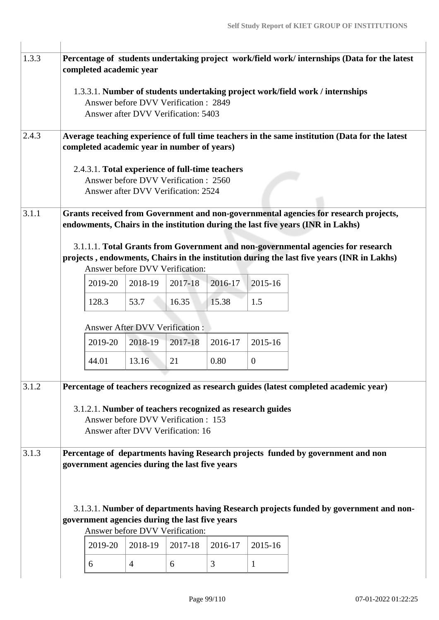| 1.3.3 |                                                                                                                                               |                                                                                                                                                              |                                                                              |              |                                                           |                         | Percentage of students undertaking project work/field work/ internships (Data for the latest                                                                                  |  |  |  |  |
|-------|-----------------------------------------------------------------------------------------------------------------------------------------------|--------------------------------------------------------------------------------------------------------------------------------------------------------------|------------------------------------------------------------------------------|--------------|-----------------------------------------------------------|-------------------------|-------------------------------------------------------------------------------------------------------------------------------------------------------------------------------|--|--|--|--|
|       |                                                                                                                                               | completed academic year                                                                                                                                      |                                                                              |              |                                                           |                         |                                                                                                                                                                               |  |  |  |  |
|       |                                                                                                                                               | 1.3.3.1. Number of students undertaking project work/field work / internships<br>Answer before DVV Verification: 2849<br>Answer after DVV Verification: 5403 |                                                                              |              |                                                           |                         |                                                                                                                                                                               |  |  |  |  |
| 2.4.3 | Average teaching experience of full time teachers in the same institution (Data for the latest<br>completed academic year in number of years) |                                                                                                                                                              |                                                                              |              |                                                           |                         |                                                                                                                                                                               |  |  |  |  |
|       |                                                                                                                                               | 2.4.3.1. Total experience of full-time teachers                                                                                                              | Answer before DVV Verification : 2560<br>Answer after DVV Verification: 2524 |              |                                                           |                         |                                                                                                                                                                               |  |  |  |  |
| 3.1.1 |                                                                                                                                               |                                                                                                                                                              |                                                                              |              |                                                           |                         | Grants received from Government and non-governmental agencies for research projects,                                                                                          |  |  |  |  |
|       |                                                                                                                                               |                                                                                                                                                              |                                                                              |              |                                                           |                         | endowments, Chairs in the institution during the last five years (INR in Lakhs)                                                                                               |  |  |  |  |
|       |                                                                                                                                               |                                                                                                                                                              | Answer before DVV Verification:                                              |              |                                                           |                         | 3.1.1.1. Total Grants from Government and non-governmental agencies for research<br>projects, endowments, Chairs in the institution during the last five years (INR in Lakhs) |  |  |  |  |
|       |                                                                                                                                               | 2019-20                                                                                                                                                      | 2018-19                                                                      | 2017-18      | 2016-17                                                   | 2015-16                 |                                                                                                                                                                               |  |  |  |  |
|       |                                                                                                                                               | 128.3                                                                                                                                                        | 53.7                                                                         | 16.35        | 15.38                                                     | 1.5                     |                                                                                                                                                                               |  |  |  |  |
|       |                                                                                                                                               |                                                                                                                                                              | <b>Answer After DVV Verification:</b>                                        |              |                                                           |                         |                                                                                                                                                                               |  |  |  |  |
|       |                                                                                                                                               | 2019-20                                                                                                                                                      | 2018-19                                                                      | 2017-18      | 2016-17                                                   | 2015-16                 |                                                                                                                                                                               |  |  |  |  |
|       |                                                                                                                                               | 44.01                                                                                                                                                        | 13.16                                                                        | 21           | 0.80                                                      | $\theta$                |                                                                                                                                                                               |  |  |  |  |
| 3.1.2 |                                                                                                                                               |                                                                                                                                                              |                                                                              |              |                                                           |                         | Percentage of teachers recognized as research guides (latest completed academic year)                                                                                         |  |  |  |  |
|       |                                                                                                                                               |                                                                                                                                                              |                                                                              |              |                                                           |                         |                                                                                                                                                                               |  |  |  |  |
|       |                                                                                                                                               |                                                                                                                                                              | Answer before DVV Verification : 153                                         |              | 3.1.2.1. Number of teachers recognized as research guides |                         |                                                                                                                                                                               |  |  |  |  |
|       |                                                                                                                                               |                                                                                                                                                              | Answer after DVV Verification: 16                                            |              |                                                           |                         |                                                                                                                                                                               |  |  |  |  |
| 3.1.3 |                                                                                                                                               |                                                                                                                                                              |                                                                              |              |                                                           |                         | Percentage of departments having Research projects funded by government and non                                                                                               |  |  |  |  |
|       |                                                                                                                                               | government agencies during the last five years                                                                                                               |                                                                              |              |                                                           |                         |                                                                                                                                                                               |  |  |  |  |
|       |                                                                                                                                               |                                                                                                                                                              |                                                                              |              |                                                           |                         |                                                                                                                                                                               |  |  |  |  |
|       |                                                                                                                                               |                                                                                                                                                              |                                                                              |              |                                                           |                         | 3.1.3.1. Number of departments having Research projects funded by government and non-                                                                                         |  |  |  |  |
|       |                                                                                                                                               | government agencies during the last five years                                                                                                               |                                                                              |              |                                                           |                         |                                                                                                                                                                               |  |  |  |  |
|       |                                                                                                                                               |                                                                                                                                                              | Answer before DVV Verification:                                              |              |                                                           |                         |                                                                                                                                                                               |  |  |  |  |
|       |                                                                                                                                               |                                                                                                                                                              |                                                                              |              |                                                           |                         |                                                                                                                                                                               |  |  |  |  |
|       |                                                                                                                                               | 2019-20<br>6                                                                                                                                                 | 2018-19<br>$\overline{4}$                                                    | 2017-18<br>6 | 2016-17<br>3                                              | 2015-16<br>$\mathbf{1}$ |                                                                                                                                                                               |  |  |  |  |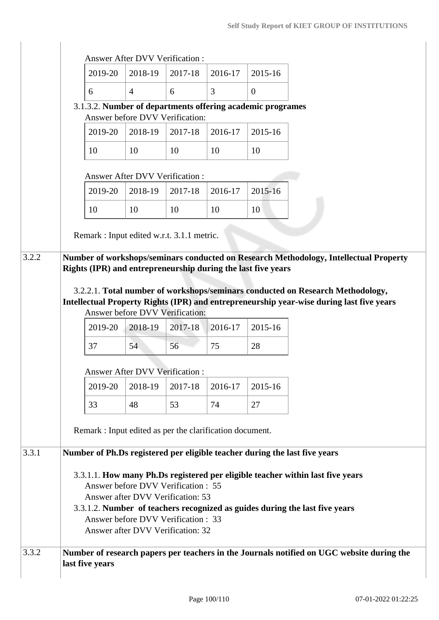| 3<br>$\overline{4}$<br>6<br>$\overline{0}$<br>6<br>3.1.3.2. Number of departments offering academic programes<br>Answer before DVV Verification:<br>2019-20<br>2018-19<br>2015-16<br>2017-18<br>2016-17<br>10<br>10<br>10<br>10<br>10<br><b>Answer After DVV Verification:</b><br>$2015 - 16$<br>2019-20<br>2018-19<br>2017-18<br>2016-17<br>10<br>10<br>10<br>10<br>10<br>Remark : Input edited w.r.t. 3.1.1 metric.<br>3.2.2<br>Number of workshops/seminars conducted on Research Methodology, Intellectual Property<br>Rights (IPR) and entrepreneurship during the last five years<br>3.2.2.1. Total number of workshops/seminars conducted on Research Methodology,<br>Intellectual Property Rights (IPR) and entrepreneurship year-wise during last five years<br>Answer before DVV Verification:<br>2019-20<br>2018-19<br>2017-18<br>2016-17<br>2015-16<br>54<br>37<br>56<br>28<br>75<br><b>Answer After DVV Verification:</b><br>2019-20<br>2018-19<br>2017-18<br>2016-17<br>2015-16<br>33<br>48<br>53<br>74<br>27<br>Remark : Input edited as per the clarification document.<br>3.3.1<br>Number of Ph.Ds registered per eligible teacher during the last five years<br>3.3.1.1. How many Ph.Ds registered per eligible teacher within last five years<br>Answer before DVV Verification : 55<br>Answer after DVV Verification: 53<br>3.3.1.2. Number of teachers recognized as guides during the last five years<br>Answer before DVV Verification : 33<br>Answer after DVV Verification: 32<br>3.3.2<br>Number of research papers per teachers in the Journals notified on UGC website during the<br>last five years | 2019-20 | 2018-19 | 2017-18 | 2016-17 | 2015-16 |  |
|----------------------------------------------------------------------------------------------------------------------------------------------------------------------------------------------------------------------------------------------------------------------------------------------------------------------------------------------------------------------------------------------------------------------------------------------------------------------------------------------------------------------------------------------------------------------------------------------------------------------------------------------------------------------------------------------------------------------------------------------------------------------------------------------------------------------------------------------------------------------------------------------------------------------------------------------------------------------------------------------------------------------------------------------------------------------------------------------------------------------------------------------------------------------------------------------------------------------------------------------------------------------------------------------------------------------------------------------------------------------------------------------------------------------------------------------------------------------------------------------------------------------------------------------------------------------------------------------------------------------------------|---------|---------|---------|---------|---------|--|
|                                                                                                                                                                                                                                                                                                                                                                                                                                                                                                                                                                                                                                                                                                                                                                                                                                                                                                                                                                                                                                                                                                                                                                                                                                                                                                                                                                                                                                                                                                                                                                                                                                  |         |         |         |         |         |  |
|                                                                                                                                                                                                                                                                                                                                                                                                                                                                                                                                                                                                                                                                                                                                                                                                                                                                                                                                                                                                                                                                                                                                                                                                                                                                                                                                                                                                                                                                                                                                                                                                                                  |         |         |         |         |         |  |
|                                                                                                                                                                                                                                                                                                                                                                                                                                                                                                                                                                                                                                                                                                                                                                                                                                                                                                                                                                                                                                                                                                                                                                                                                                                                                                                                                                                                                                                                                                                                                                                                                                  |         |         |         |         |         |  |
|                                                                                                                                                                                                                                                                                                                                                                                                                                                                                                                                                                                                                                                                                                                                                                                                                                                                                                                                                                                                                                                                                                                                                                                                                                                                                                                                                                                                                                                                                                                                                                                                                                  |         |         |         |         |         |  |
|                                                                                                                                                                                                                                                                                                                                                                                                                                                                                                                                                                                                                                                                                                                                                                                                                                                                                                                                                                                                                                                                                                                                                                                                                                                                                                                                                                                                                                                                                                                                                                                                                                  |         |         |         |         |         |  |
|                                                                                                                                                                                                                                                                                                                                                                                                                                                                                                                                                                                                                                                                                                                                                                                                                                                                                                                                                                                                                                                                                                                                                                                                                                                                                                                                                                                                                                                                                                                                                                                                                                  |         |         |         |         |         |  |
|                                                                                                                                                                                                                                                                                                                                                                                                                                                                                                                                                                                                                                                                                                                                                                                                                                                                                                                                                                                                                                                                                                                                                                                                                                                                                                                                                                                                                                                                                                                                                                                                                                  |         |         |         |         |         |  |
|                                                                                                                                                                                                                                                                                                                                                                                                                                                                                                                                                                                                                                                                                                                                                                                                                                                                                                                                                                                                                                                                                                                                                                                                                                                                                                                                                                                                                                                                                                                                                                                                                                  |         |         |         |         |         |  |
|                                                                                                                                                                                                                                                                                                                                                                                                                                                                                                                                                                                                                                                                                                                                                                                                                                                                                                                                                                                                                                                                                                                                                                                                                                                                                                                                                                                                                                                                                                                                                                                                                                  |         |         |         |         |         |  |
|                                                                                                                                                                                                                                                                                                                                                                                                                                                                                                                                                                                                                                                                                                                                                                                                                                                                                                                                                                                                                                                                                                                                                                                                                                                                                                                                                                                                                                                                                                                                                                                                                                  |         |         |         |         |         |  |
|                                                                                                                                                                                                                                                                                                                                                                                                                                                                                                                                                                                                                                                                                                                                                                                                                                                                                                                                                                                                                                                                                                                                                                                                                                                                                                                                                                                                                                                                                                                                                                                                                                  |         |         |         |         |         |  |
|                                                                                                                                                                                                                                                                                                                                                                                                                                                                                                                                                                                                                                                                                                                                                                                                                                                                                                                                                                                                                                                                                                                                                                                                                                                                                                                                                                                                                                                                                                                                                                                                                                  |         |         |         |         |         |  |
|                                                                                                                                                                                                                                                                                                                                                                                                                                                                                                                                                                                                                                                                                                                                                                                                                                                                                                                                                                                                                                                                                                                                                                                                                                                                                                                                                                                                                                                                                                                                                                                                                                  |         |         |         |         |         |  |
|                                                                                                                                                                                                                                                                                                                                                                                                                                                                                                                                                                                                                                                                                                                                                                                                                                                                                                                                                                                                                                                                                                                                                                                                                                                                                                                                                                                                                                                                                                                                                                                                                                  |         |         |         |         |         |  |
|                                                                                                                                                                                                                                                                                                                                                                                                                                                                                                                                                                                                                                                                                                                                                                                                                                                                                                                                                                                                                                                                                                                                                                                                                                                                                                                                                                                                                                                                                                                                                                                                                                  |         |         |         |         |         |  |
|                                                                                                                                                                                                                                                                                                                                                                                                                                                                                                                                                                                                                                                                                                                                                                                                                                                                                                                                                                                                                                                                                                                                                                                                                                                                                                                                                                                                                                                                                                                                                                                                                                  |         |         |         |         |         |  |
|                                                                                                                                                                                                                                                                                                                                                                                                                                                                                                                                                                                                                                                                                                                                                                                                                                                                                                                                                                                                                                                                                                                                                                                                                                                                                                                                                                                                                                                                                                                                                                                                                                  |         |         |         |         |         |  |
|                                                                                                                                                                                                                                                                                                                                                                                                                                                                                                                                                                                                                                                                                                                                                                                                                                                                                                                                                                                                                                                                                                                                                                                                                                                                                                                                                                                                                                                                                                                                                                                                                                  |         |         |         |         |         |  |
|                                                                                                                                                                                                                                                                                                                                                                                                                                                                                                                                                                                                                                                                                                                                                                                                                                                                                                                                                                                                                                                                                                                                                                                                                                                                                                                                                                                                                                                                                                                                                                                                                                  |         |         |         |         |         |  |
|                                                                                                                                                                                                                                                                                                                                                                                                                                                                                                                                                                                                                                                                                                                                                                                                                                                                                                                                                                                                                                                                                                                                                                                                                                                                                                                                                                                                                                                                                                                                                                                                                                  |         |         |         |         |         |  |
|                                                                                                                                                                                                                                                                                                                                                                                                                                                                                                                                                                                                                                                                                                                                                                                                                                                                                                                                                                                                                                                                                                                                                                                                                                                                                                                                                                                                                                                                                                                                                                                                                                  |         |         |         |         |         |  |
|                                                                                                                                                                                                                                                                                                                                                                                                                                                                                                                                                                                                                                                                                                                                                                                                                                                                                                                                                                                                                                                                                                                                                                                                                                                                                                                                                                                                                                                                                                                                                                                                                                  |         |         |         |         |         |  |
|                                                                                                                                                                                                                                                                                                                                                                                                                                                                                                                                                                                                                                                                                                                                                                                                                                                                                                                                                                                                                                                                                                                                                                                                                                                                                                                                                                                                                                                                                                                                                                                                                                  |         |         |         |         |         |  |
|                                                                                                                                                                                                                                                                                                                                                                                                                                                                                                                                                                                                                                                                                                                                                                                                                                                                                                                                                                                                                                                                                                                                                                                                                                                                                                                                                                                                                                                                                                                                                                                                                                  |         |         |         |         |         |  |
|                                                                                                                                                                                                                                                                                                                                                                                                                                                                                                                                                                                                                                                                                                                                                                                                                                                                                                                                                                                                                                                                                                                                                                                                                                                                                                                                                                                                                                                                                                                                                                                                                                  |         |         |         |         |         |  |
|                                                                                                                                                                                                                                                                                                                                                                                                                                                                                                                                                                                                                                                                                                                                                                                                                                                                                                                                                                                                                                                                                                                                                                                                                                                                                                                                                                                                                                                                                                                                                                                                                                  |         |         |         |         |         |  |
|                                                                                                                                                                                                                                                                                                                                                                                                                                                                                                                                                                                                                                                                                                                                                                                                                                                                                                                                                                                                                                                                                                                                                                                                                                                                                                                                                                                                                                                                                                                                                                                                                                  |         |         |         |         |         |  |
|                                                                                                                                                                                                                                                                                                                                                                                                                                                                                                                                                                                                                                                                                                                                                                                                                                                                                                                                                                                                                                                                                                                                                                                                                                                                                                                                                                                                                                                                                                                                                                                                                                  |         |         |         |         |         |  |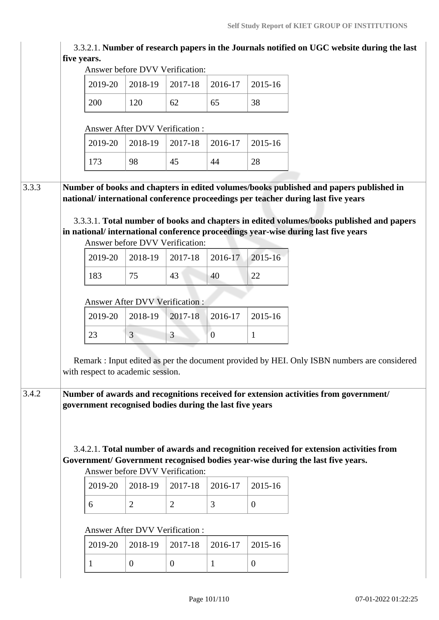|                                                                                                                                                                                                                                                                                                                                                                       |                                                  | Answer before DVV Verification: |                |                |
|-----------------------------------------------------------------------------------------------------------------------------------------------------------------------------------------------------------------------------------------------------------------------------------------------------------------------------------------------------------------------|--------------------------------------------------|---------------------------------|----------------|----------------|
| 2019-20                                                                                                                                                                                                                                                                                                                                                               | 2018-19                                          | 2017-18                         | 2016-17        | 2015-16        |
| 200                                                                                                                                                                                                                                                                                                                                                                   | 120                                              | 62                              | 65             | 38             |
|                                                                                                                                                                                                                                                                                                                                                                       | <b>Answer After DVV Verification:</b>            |                                 |                |                |
| 2019-20                                                                                                                                                                                                                                                                                                                                                               | 2018-19                                          | 2017-18                         | 2016-17        | 2015-16        |
| 173                                                                                                                                                                                                                                                                                                                                                                   | 98                                               | 45                              | 44             | 28             |
| 3.3.3.1. Total number of books and chapters in edited volumes/books published and papers<br>in national/international conference proceedings year-wise during last five years                                                                                                                                                                                         | Answer before DVV Verification:                  |                                 |                |                |
| 2019-20                                                                                                                                                                                                                                                                                                                                                               | 2018-19                                          | 2017-18                         | 2016-17        | 2015-16        |
| 183                                                                                                                                                                                                                                                                                                                                                                   | 75                                               | 43                              | 40             | 22             |
|                                                                                                                                                                                                                                                                                                                                                                       | <b>Answer After DVV Verification:</b><br>2018-19 | 2017-18                         | 2016-17        | 2015-16        |
| 2019-20                                                                                                                                                                                                                                                                                                                                                               |                                                  |                                 |                |                |
| 23<br>Remark : Input edited as per the document provided by HEI. Only ISBN numbers are considered                                                                                                                                                                                                                                                                     | $\mathfrak{Z}$                                   | $\overline{3}$                  | $\overline{0}$ | $\mathbf{1}$   |
|                                                                                                                                                                                                                                                                                                                                                                       |                                                  |                                 |                |                |
| 2019-20                                                                                                                                                                                                                                                                                                                                                               | Answer before DVV Verification:<br>2018-19       | 2017-18                         | 2016-17        | 2015-16        |
| with respect to academic session.<br>Number of awards and recognitions received for extension activities from government/<br>government recognised bodies during the last five years<br>3.4.2.1. Total number of awards and recognition received for extension activities from<br>Government/ Government recognised bodies year-wise during the last five years.<br>6 | $\overline{2}$                                   | $\overline{2}$                  | 3              | $\overline{0}$ |
|                                                                                                                                                                                                                                                                                                                                                                       |                                                  |                                 |                |                |
| 2019-20                                                                                                                                                                                                                                                                                                                                                               | <b>Answer After DVV Verification:</b><br>2018-19 | 2017-18                         | 2016-17        | 2015-16        |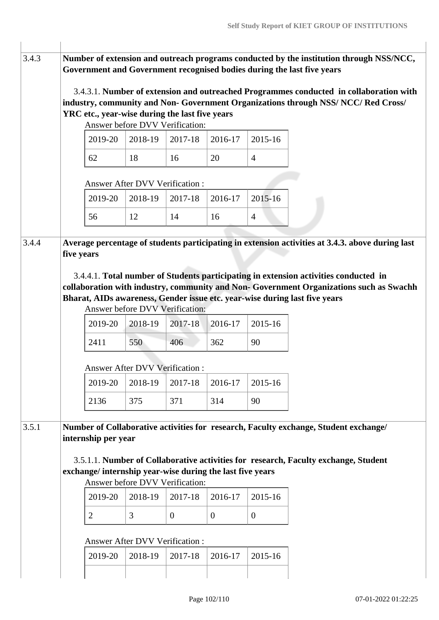| 3.4.3 | Number of extension and outreach programs conducted by the institution through NSS/NCC,<br>Government and Government recognised bodies during the last five years |                                                           |                                       |                  |          |                |                                                                                                                                                                                                                                                               |  |  |  |
|-------|-------------------------------------------------------------------------------------------------------------------------------------------------------------------|-----------------------------------------------------------|---------------------------------------|------------------|----------|----------------|---------------------------------------------------------------------------------------------------------------------------------------------------------------------------------------------------------------------------------------------------------------|--|--|--|
|       |                                                                                                                                                                   | YRC etc., year-wise during the last five years            | Answer before DVV Verification:       |                  |          |                | 3.4.3.1. Number of extension and outreached Programmes conducted in collaboration with<br>industry, community and Non- Government Organizations through NSS/NCC/Red Cross/                                                                                    |  |  |  |
|       |                                                                                                                                                                   | 2019-20                                                   | 2018-19                               | 2017-18          | 2016-17  | 2015-16        |                                                                                                                                                                                                                                                               |  |  |  |
|       |                                                                                                                                                                   | 62                                                        | 18                                    | 16               | 20       | $\overline{4}$ |                                                                                                                                                                                                                                                               |  |  |  |
|       |                                                                                                                                                                   |                                                           | Answer After DVV Verification:        |                  |          |                |                                                                                                                                                                                                                                                               |  |  |  |
|       |                                                                                                                                                                   | 2019-20                                                   | 2018-19                               | 2017-18          | 2016-17  | 2015-16        |                                                                                                                                                                                                                                                               |  |  |  |
|       |                                                                                                                                                                   | 56                                                        | 12                                    | 14               | 16       | $\overline{4}$ |                                                                                                                                                                                                                                                               |  |  |  |
| 3.4.4 | five years                                                                                                                                                        |                                                           |                                       |                  |          |                | Average percentage of students participating in extension activities at 3.4.3. above during last                                                                                                                                                              |  |  |  |
|       |                                                                                                                                                                   |                                                           | Answer before DVV Verification:       |                  |          |                | 3.4.4.1. Total number of Students participating in extension activities conducted in<br>collaboration with industry, community and Non- Government Organizations such as Swachh<br>Bharat, AIDs awareness, Gender issue etc. year-wise during last five years |  |  |  |
|       |                                                                                                                                                                   | 2019-20                                                   | 2018-19                               | 2017-18          | 2016-17  | 2015-16        |                                                                                                                                                                                                                                                               |  |  |  |
|       |                                                                                                                                                                   | 2411                                                      | 550                                   | 406              | 362      | 90             |                                                                                                                                                                                                                                                               |  |  |  |
|       |                                                                                                                                                                   |                                                           | Answer After DVV Verification :       |                  |          |                |                                                                                                                                                                                                                                                               |  |  |  |
|       |                                                                                                                                                                   | 2019-20                                                   | 2018-19                               | 2017-18          | 2016-17  | 2015-16        |                                                                                                                                                                                                                                                               |  |  |  |
|       |                                                                                                                                                                   | 2136                                                      | 375                                   | 371              | 314      | 90             |                                                                                                                                                                                                                                                               |  |  |  |
| 3.5.1 |                                                                                                                                                                   | internship per year                                       |                                       |                  |          |                | Number of Collaborative activities for research, Faculty exchange, Student exchange/                                                                                                                                                                          |  |  |  |
|       |                                                                                                                                                                   | exchange/ internship year-wise during the last five years |                                       |                  |          |                | 3.5.1.1. Number of Collaborative activities for research, Faculty exchange, Student                                                                                                                                                                           |  |  |  |
|       |                                                                                                                                                                   |                                                           | Answer before DVV Verification:       |                  |          |                |                                                                                                                                                                                                                                                               |  |  |  |
|       |                                                                                                                                                                   | 2019-20                                                   | 2018-19                               | 2017-18          | 2016-17  | 2015-16        |                                                                                                                                                                                                                                                               |  |  |  |
|       |                                                                                                                                                                   | $\overline{2}$                                            | 3                                     | $\boldsymbol{0}$ | $\theta$ | $\overline{0}$ |                                                                                                                                                                                                                                                               |  |  |  |
|       |                                                                                                                                                                   |                                                           | <b>Answer After DVV Verification:</b> |                  |          |                |                                                                                                                                                                                                                                                               |  |  |  |
|       |                                                                                                                                                                   | 2019-20                                                   | 2018-19                               | 2017-18          | 2016-17  | 2015-16        |                                                                                                                                                                                                                                                               |  |  |  |
|       |                                                                                                                                                                   |                                                           |                                       |                  |          |                |                                                                                                                                                                                                                                                               |  |  |  |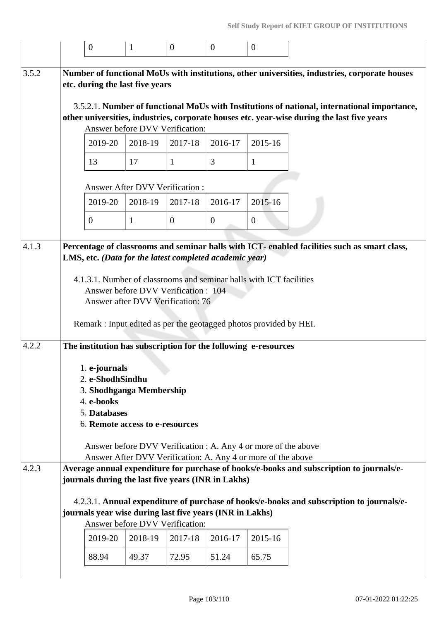|       | $\boldsymbol{0}$                            | $\mathbf{1}$                                                                                                                                                                                                   | $\overline{0}$ | $\overline{0}$   | $\overline{0}$ |                                                                                                                                                                                           |  |  |  |  |
|-------|---------------------------------------------|----------------------------------------------------------------------------------------------------------------------------------------------------------------------------------------------------------------|----------------|------------------|----------------|-------------------------------------------------------------------------------------------------------------------------------------------------------------------------------------------|--|--|--|--|
| 3.5.2 |                                             | Number of functional MoUs with institutions, other universities, industries, corporate houses<br>etc. during the last five years                                                                               |                |                  |                |                                                                                                                                                                                           |  |  |  |  |
|       |                                             | Answer before DVV Verification:                                                                                                                                                                                |                |                  |                | 3.5.2.1. Number of functional MoUs with Institutions of national, international importance,<br>other universities, industries, corporate houses etc. year-wise during the last five years |  |  |  |  |
|       | 2019-20                                     | 2018-19                                                                                                                                                                                                        | 2017-18        | 2016-17          | 2015-16        |                                                                                                                                                                                           |  |  |  |  |
|       | 13                                          | 17                                                                                                                                                                                                             | $\mathbf{1}$   | 3                | $\mathbf{1}$   |                                                                                                                                                                                           |  |  |  |  |
|       |                                             | <b>Answer After DVV Verification:</b>                                                                                                                                                                          |                |                  |                |                                                                                                                                                                                           |  |  |  |  |
|       | 2019-20                                     | 2018-19                                                                                                                                                                                                        | 2017-18        | 2016-17          | 2015-16        |                                                                                                                                                                                           |  |  |  |  |
|       | $\overline{0}$                              | 1                                                                                                                                                                                                              | $\mathbf{0}$   | $\boldsymbol{0}$ | $\overline{0}$ |                                                                                                                                                                                           |  |  |  |  |
| 4.1.3 |                                             | LMS, etc. (Data for the latest completed academic year)                                                                                                                                                        |                |                  |                | Percentage of classrooms and seminar halls with ICT- enabled facilities such as smart class,                                                                                              |  |  |  |  |
|       |                                             | 4.1.3.1. Number of classrooms and seminar halls with ICT facilities<br>Answer before DVV Verification: 104<br>Answer after DVV Verification: 76                                                                |                |                  |                |                                                                                                                                                                                           |  |  |  |  |
|       |                                             | Remark : Input edited as per the geotagged photos provided by HEI.                                                                                                                                             |                |                  |                |                                                                                                                                                                                           |  |  |  |  |
| 4.2.2 |                                             | The institution has subscription for the following e-resources                                                                                                                                                 |                |                  |                |                                                                                                                                                                                           |  |  |  |  |
|       | 1. e-journals<br>4. e-books<br>5. Databases | 2. e-ShodhSindhu<br>3. Shodhganga Membership<br>6. Remote access to e-resources                                                                                                                                |                |                  |                |                                                                                                                                                                                           |  |  |  |  |
|       |                                             | Answer before DVV Verification : A. Any 4 or more of the above                                                                                                                                                 |                |                  |                |                                                                                                                                                                                           |  |  |  |  |
|       |                                             | Answer After DVV Verification: A. Any 4 or more of the above<br>Average annual expenditure for purchase of books/e-books and subscription to journals/e-<br>journals during the last five years (INR in Lakhs) |                |                  |                |                                                                                                                                                                                           |  |  |  |  |
| 4.2.3 |                                             |                                                                                                                                                                                                                |                |                  |                |                                                                                                                                                                                           |  |  |  |  |
|       |                                             | journals year wise during last five years (INR in Lakhs)<br>Answer before DVV Verification:                                                                                                                    |                |                  |                | 4.2.3.1. Annual expenditure of purchase of books/e-books and subscription to journals/e-                                                                                                  |  |  |  |  |
|       | 2019-20                                     | 2018-19                                                                                                                                                                                                        | 2017-18        | 2016-17          | 2015-16        |                                                                                                                                                                                           |  |  |  |  |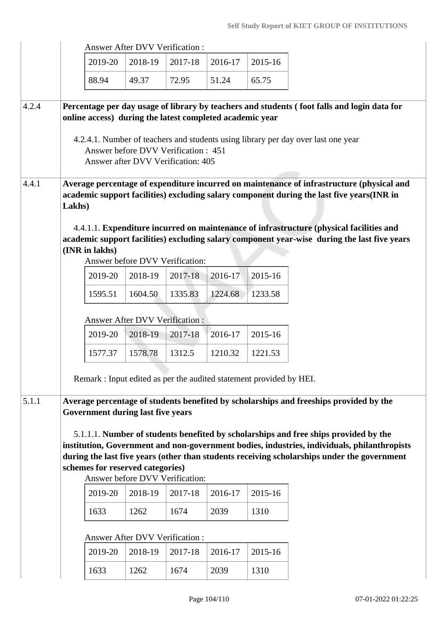|       |        |                                                                              |                                       | Answer After DVV Verification:                                            |         |         |                                                                                                                                                                                                                                                                                                                                                                                   |
|-------|--------|------------------------------------------------------------------------------|---------------------------------------|---------------------------------------------------------------------------|---------|---------|-----------------------------------------------------------------------------------------------------------------------------------------------------------------------------------------------------------------------------------------------------------------------------------------------------------------------------------------------------------------------------------|
|       |        | 2019-20                                                                      | 2018-19                               | 2017-18                                                                   | 2016-17 | 2015-16 |                                                                                                                                                                                                                                                                                                                                                                                   |
|       |        | 88.94                                                                        | 49.37                                 | 72.95                                                                     | 51.24   | 65.75   |                                                                                                                                                                                                                                                                                                                                                                                   |
| 4.2.4 |        | online access) during the latest completed academic year                     |                                       | Answer before DVV Verification: 451<br>Answer after DVV Verification: 405 |         |         | Percentage per day usage of library by teachers and students (foot falls and login data for<br>4.2.4.1. Number of teachers and students using library per day over last one year                                                                                                                                                                                                  |
| 4.4.1 | Lakhs) | (INR in lakhs)                                                               |                                       |                                                                           |         |         | Average percentage of expenditure incurred on maintenance of infrastructure (physical and<br>academic support facilities) excluding salary component during the last five years(INR in<br>4.4.1.1. Expenditure incurred on maintenance of infrastructure (physical facilities and<br>academic support facilities) excluding salary component year-wise during the last five years |
|       |        |                                                                              |                                       | Answer before DVV Verification:                                           |         |         |                                                                                                                                                                                                                                                                                                                                                                                   |
|       |        | 2019-20                                                                      | 2018-19                               | 2017-18                                                                   | 2016-17 | 2015-16 |                                                                                                                                                                                                                                                                                                                                                                                   |
|       |        | 1595.51                                                                      | 1604.50                               | 1335.83                                                                   | 1224.68 | 1233.58 |                                                                                                                                                                                                                                                                                                                                                                                   |
|       |        |                                                                              | <b>Answer After DVV Verification:</b> |                                                                           |         |         |                                                                                                                                                                                                                                                                                                                                                                                   |
|       |        | 2019-20                                                                      | 2018-19                               | 2017-18                                                                   | 2016-17 | 2015-16 |                                                                                                                                                                                                                                                                                                                                                                                   |
|       |        | 1577.37                                                                      | 1578.78                               | 1312.5                                                                    | 1210.32 | 1221.53 |                                                                                                                                                                                                                                                                                                                                                                                   |
|       |        | Remark : Input edited as per the audited statement provided by HEI.          |                                       |                                                                           |         |         |                                                                                                                                                                                                                                                                                                                                                                                   |
| 5.1.1 |        | <b>Government during last five years</b><br>schemes for reserved categories) |                                       | Answer before DVV Verification:                                           |         |         | Average percentage of students benefited by scholarships and freeships provided by the<br>5.1.1.1. Number of students benefited by scholarships and free ships provided by the<br>institution, Government and non-government bodies, industries, individuals, philanthropists<br>during the last five years (other than students receiving scholarships under the government      |
|       |        | 2019-20                                                                      | 2018-19                               | 2017-18                                                                   | 2016-17 | 2015-16 |                                                                                                                                                                                                                                                                                                                                                                                   |
|       |        | 1633                                                                         | 1262                                  | 1674                                                                      | 2039    | 1310    |                                                                                                                                                                                                                                                                                                                                                                                   |
|       |        |                                                                              |                                       | Answer After DVV Verification :                                           |         |         |                                                                                                                                                                                                                                                                                                                                                                                   |
|       |        | 2019-20                                                                      | 2018-19                               | 2017-18                                                                   | 2016-17 | 2015-16 |                                                                                                                                                                                                                                                                                                                                                                                   |
|       |        | 1633                                                                         | 1262                                  | 1674                                                                      | 2039    | 1310    |                                                                                                                                                                                                                                                                                                                                                                                   |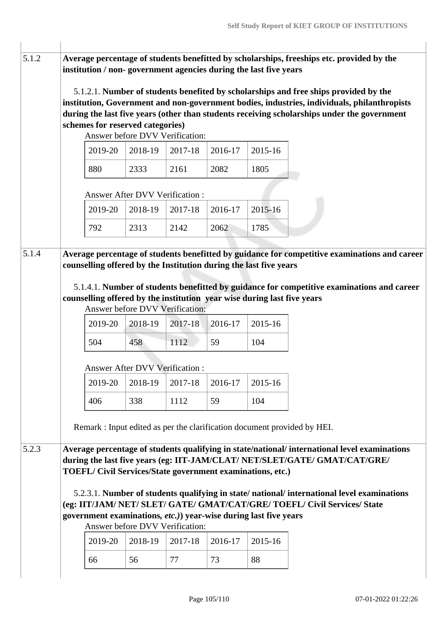| 5.1.2 | institution / non-government agencies during the last five years                                                                                                                    |                                 |         |         |         | Average percentage of students benefitted by scholarships, freeships etc. provided by the                                                                                   |  |  |  |  |
|-------|-------------------------------------------------------------------------------------------------------------------------------------------------------------------------------------|---------------------------------|---------|---------|---------|-----------------------------------------------------------------------------------------------------------------------------------------------------------------------------|--|--|--|--|
|       |                                                                                                                                                                                     |                                 |         |         |         |                                                                                                                                                                             |  |  |  |  |
|       | 5.1.2.1. Number of students benefited by scholarships and free ships provided by the<br>institution, Government and non-government bodies, industries, individuals, philanthropists |                                 |         |         |         |                                                                                                                                                                             |  |  |  |  |
|       |                                                                                                                                                                                     |                                 |         |         |         | during the last five years (other than students receiving scholarships under the government                                                                                 |  |  |  |  |
|       | schemes for reserved categories)                                                                                                                                                    |                                 |         |         |         |                                                                                                                                                                             |  |  |  |  |
|       |                                                                                                                                                                                     | Answer before DVV Verification: |         |         |         |                                                                                                                                                                             |  |  |  |  |
|       | 2019-20                                                                                                                                                                             | 2018-19                         | 2017-18 | 2016-17 | 2015-16 |                                                                                                                                                                             |  |  |  |  |
|       | 880                                                                                                                                                                                 | 2333                            | 2161    | 2082    | 1805    |                                                                                                                                                                             |  |  |  |  |
|       |                                                                                                                                                                                     | Answer After DVV Verification : |         |         |         |                                                                                                                                                                             |  |  |  |  |
|       | 2019-20                                                                                                                                                                             | 2018-19                         | 2017-18 | 2016-17 | 2015-16 |                                                                                                                                                                             |  |  |  |  |
|       | 792                                                                                                                                                                                 | 2313                            | 2142    | 2062    | 1785    |                                                                                                                                                                             |  |  |  |  |
|       | counselling offered by the Institution during the last five years                                                                                                                   |                                 |         |         |         | 5.1.4.1. Number of students benefitted by guidance for competitive examinations and career                                                                                  |  |  |  |  |
|       | counselling offered by the institution year wise during last five years                                                                                                             | Answer before DVV Verification: |         |         |         |                                                                                                                                                                             |  |  |  |  |
|       | 2019-20                                                                                                                                                                             | 2018-19                         | 2017-18 | 2016-17 | 2015-16 |                                                                                                                                                                             |  |  |  |  |
|       | 504                                                                                                                                                                                 | 458                             | 1112    | 59      | 104     |                                                                                                                                                                             |  |  |  |  |
|       | Answer After DVV Verification:                                                                                                                                                      |                                 |         |         |         |                                                                                                                                                                             |  |  |  |  |
|       | 2019-20                                                                                                                                                                             | 2018-19                         | 2017-18 | 2016-17 | 2015-16 |                                                                                                                                                                             |  |  |  |  |
|       | 406                                                                                                                                                                                 | 338                             | 1112    | 59      | 104     |                                                                                                                                                                             |  |  |  |  |
|       | Remark : Input edited as per the clarification document provided by HEI.                                                                                                            |                                 |         |         |         |                                                                                                                                                                             |  |  |  |  |
| 5.2.3 | TOEFL/ Civil Services/State government examinations, etc.)                                                                                                                          |                                 |         |         |         | Average percentage of students qualifying in state/national/ international level examinations<br>during the last five years (eg: IIT-JAM/CLAT/ NET/SLET/GATE/ GMAT/CAT/GRE/ |  |  |  |  |
|       |                                                                                                                                                                                     |                                 |         |         |         | 5.2.3.1. Number of students qualifying in state/national/international level examinations<br>(eg: IIT/JAM/ NET/ SLET/ GATE/ GMAT/CAT/GRE/ TOEFL/ Civil Services/ State      |  |  |  |  |
|       | government examinations, etc.) year-wise during last five years                                                                                                                     | Answer before DVV Verification: |         |         |         |                                                                                                                                                                             |  |  |  |  |
|       | 2019-20                                                                                                                                                                             | 2018-19                         | 2017-18 | 2016-17 | 2015-16 |                                                                                                                                                                             |  |  |  |  |
|       | 66                                                                                                                                                                                  | 56                              | 77      | 73      | 88      |                                                                                                                                                                             |  |  |  |  |
|       |                                                                                                                                                                                     |                                 |         |         |         |                                                                                                                                                                             |  |  |  |  |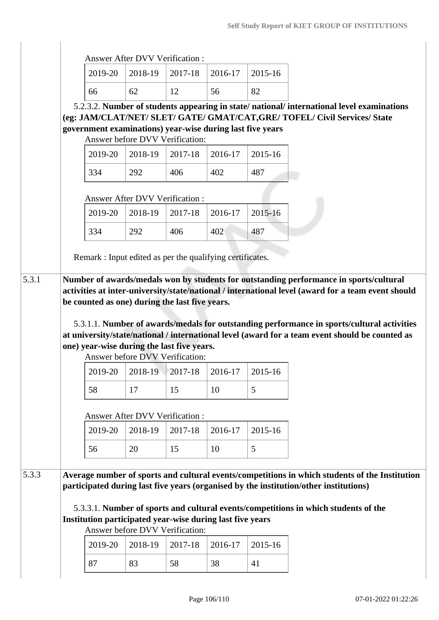|       |                                                                                              | <b>Answer After DVV Verification:</b>      |         |         |         |                                                                                                                                                                                                                                                                                                     |
|-------|----------------------------------------------------------------------------------------------|--------------------------------------------|---------|---------|---------|-----------------------------------------------------------------------------------------------------------------------------------------------------------------------------------------------------------------------------------------------------------------------------------------------------|
|       | 2019-20                                                                                      | 2018-19                                    | 2017-18 | 2016-17 | 2015-16 |                                                                                                                                                                                                                                                                                                     |
|       | 66                                                                                           | 62                                         | 12      | 56      | 82      |                                                                                                                                                                                                                                                                                                     |
|       |                                                                                              |                                            |         |         |         | 5.2.3.2. Number of students appearing in state/national/international level examinations                                                                                                                                                                                                            |
|       | government examinations) year-wise during last five years                                    |                                            |         |         |         | (eg: JAM/CLAT/NET/ SLET/ GATE/ GMAT/CAT, GRE/ TOFEL/ Civil Services/ State                                                                                                                                                                                                                          |
|       |                                                                                              | Answer before DVV Verification:            |         |         |         |                                                                                                                                                                                                                                                                                                     |
|       | 2019-20                                                                                      | 2018-19                                    | 2017-18 | 2016-17 | 2015-16 |                                                                                                                                                                                                                                                                                                     |
|       | 334                                                                                          | 292                                        | 406     | 402     | 487     |                                                                                                                                                                                                                                                                                                     |
|       |                                                                                              | <b>Answer After DVV Verification:</b>      |         |         |         |                                                                                                                                                                                                                                                                                                     |
|       | 2019-20                                                                                      | 2018-19                                    | 2017-18 | 2016-17 | 2015-16 |                                                                                                                                                                                                                                                                                                     |
|       | 334                                                                                          | 292                                        | 406     | 402     | 487     |                                                                                                                                                                                                                                                                                                     |
|       | Remark : Input edited as per the qualifying certificates.                                    |                                            |         |         |         |                                                                                                                                                                                                                                                                                                     |
|       | be counted as one) during the last five years.<br>one) year-wise during the last five years. | Answer before DVV Verification:            |         |         |         | activities at inter-university/state/national / international level (award for a team event should<br>5.3.1.1. Number of awards/medals for outstanding performance in sports/cultural activities<br>at university/state/national / international level (award for a team event should be counted as |
|       | 2019-20                                                                                      | 2018-19                                    | 2017-18 | 2016-17 | 2015-16 |                                                                                                                                                                                                                                                                                                     |
|       | 58                                                                                           | 17                                         | 15      | 10      | 5       |                                                                                                                                                                                                                                                                                                     |
|       |                                                                                              | <b>Answer After DVV Verification:</b>      |         |         |         |                                                                                                                                                                                                                                                                                                     |
|       | 2019-20                                                                                      | 2018-19                                    | 2017-18 | 2016-17 | 2015-16 |                                                                                                                                                                                                                                                                                                     |
|       | 56                                                                                           | 20                                         | 15      | 10      | 5       |                                                                                                                                                                                                                                                                                                     |
| 5.3.3 | Institution participated year-wise during last five years                                    |                                            |         |         |         | Average number of sports and cultural events/competitions in which students of the Institution<br>participated during last five years (organised by the institution/other institutions)<br>5.3.3.1. Number of sports and cultural events/competitions in which students of the                      |
|       | 2019-20                                                                                      | Answer before DVV Verification:<br>2018-19 | 2017-18 | 2016-17 | 2015-16 |                                                                                                                                                                                                                                                                                                     |
|       | 87                                                                                           | 83                                         | 58      | 38      | 41      |                                                                                                                                                                                                                                                                                                     |
|       |                                                                                              |                                            |         |         |         |                                                                                                                                                                                                                                                                                                     |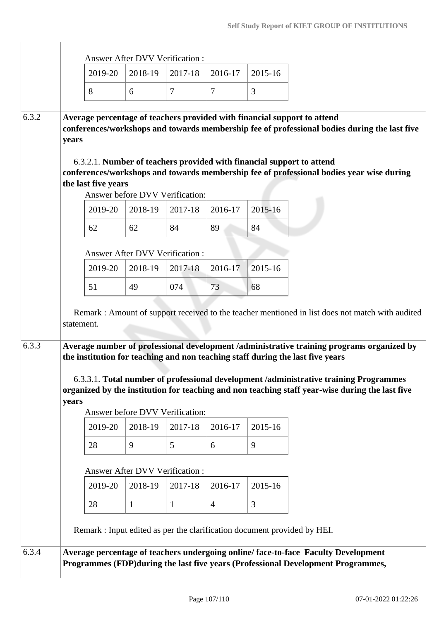| 2019-20                                                                                                                                                                                                                                                                                                               | 2018-19                                                                                                                   | 2017-18        | 2016-17        | 2015-16        |
|-----------------------------------------------------------------------------------------------------------------------------------------------------------------------------------------------------------------------------------------------------------------------------------------------------------------------|---------------------------------------------------------------------------------------------------------------------------|----------------|----------------|----------------|
| 8                                                                                                                                                                                                                                                                                                                     | 6                                                                                                                         | $\overline{7}$ | $\tau$         | $\overline{3}$ |
| Average percentage of teachers provided with financial support to attend<br>conferences/workshops and towards membership fee of professional bodies during the last five<br>years<br>conferences/workshops and towards membership fee of professional bodies year wise during<br>the last five years<br>2019-20<br>62 | 6.3.2.1. Number of teachers provided with financial support to attend<br>Answer before DVV Verification:<br>2018-19<br>62 | 2017-18<br>84  | 2016-17<br>89  | 2015-16<br>84  |
|                                                                                                                                                                                                                                                                                                                       |                                                                                                                           |                |                |                |
| 2019-20                                                                                                                                                                                                                                                                                                               | <b>Answer After DVV Verification:</b><br>2018-19                                                                          | 2017-18        | 2016-17        | 2015-16        |
| 51                                                                                                                                                                                                                                                                                                                    | 49                                                                                                                        | 074            | 73             | 68             |
| statement.                                                                                                                                                                                                                                                                                                            |                                                                                                                           |                |                |                |
| Average number of professional development /administrative training programs organized by<br>the institution for teaching and non teaching staff during the last five years<br>organized by the institution for teaching and non teaching staff year-wise during the last five<br>years                               | 6.3.3.1. Total number of professional development /administrative training Programmes                                     |                |                |                |
| 2019-20                                                                                                                                                                                                                                                                                                               | Answer before DVV Verification:<br>2018-19                                                                                | 2017-18        | 2016-17        | 2015-16        |
| 28                                                                                                                                                                                                                                                                                                                    | 9                                                                                                                         | 5              | 6              | 9              |
|                                                                                                                                                                                                                                                                                                                       |                                                                                                                           |                |                |                |
| 2019-20                                                                                                                                                                                                                                                                                                               | Answer After DVV Verification:<br>2018-19                                                                                 | 2017-18        | 2016-17        | 2015-16        |
| 28                                                                                                                                                                                                                                                                                                                    | $\mathbf{1}$                                                                                                              | $\mathbf{1}$   | $\overline{4}$ | 3              |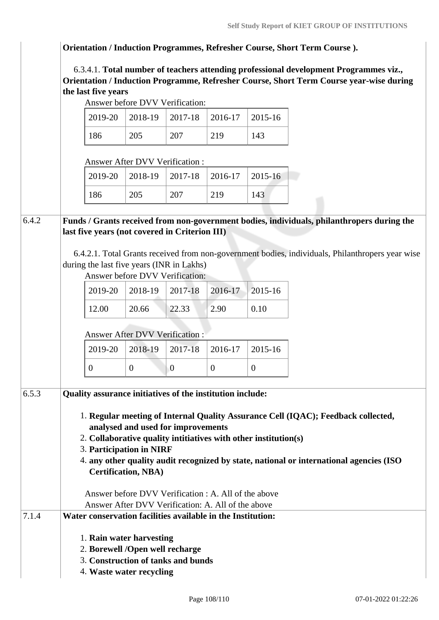#### **Orientation / Induction Programmes, Refresher Course, Short Term Course ).**

 6.3.4.1. **Total number of teachers attending professional development Programmes viz., Orientation / Induction Programme, Refresher Course, Short Term Course year-wise during the last five years**

| Answer before DVV Verification: |     |                                                   |     |     |  |
|---------------------------------|-----|---------------------------------------------------|-----|-----|--|
|                                 |     | $2019-20$   2018-19   2017-18   2016-17   2015-16 |     |     |  |
| 186                             | 205 | 207                                               | 219 | 143 |  |

#### Answer After DVV Verification :

|     |     | $2019-20$   2018-19   2017-18   2016-17   2015-16 |     |
|-----|-----|---------------------------------------------------|-----|
| 186 | 205 | 207                                               | 143 |

#### 6.4.2 **Funds / Grants received from non-government bodies, individuals, philanthropers during the last five years (not covered in Criterion III)**

 6.4.2.1. Total Grants received from non-government bodies, individuals, Philanthropers year wise during the last five years (INR in Lakhs)

Answer before DVV Verification:

|       | $2019-20$   2018-19   2017-18   2016-17   2015-16 |       |      |      |
|-------|---------------------------------------------------|-------|------|------|
| 12.00 | 20.66                                             | 22.33 | 2.90 | 0.10 |

## Answer After DVV Verification :

|  | 2019-20   2018-19   2017-18   2016-17   2015-16 |  |
|--|-------------------------------------------------|--|
|  |                                                 |  |

| 6.5.3 | Quality assurance initiatives of the institution include:                                                               |  |  |  |  |  |  |
|-------|-------------------------------------------------------------------------------------------------------------------------|--|--|--|--|--|--|
|       | 1. Regular meeting of Internal Quality Assurance Cell (IQAC); Feedback collected,<br>analysed and used for improvements |  |  |  |  |  |  |
|       | 2. Collaborative quality intitiatives with other institution(s)                                                         |  |  |  |  |  |  |
|       | 3. Participation in NIRF                                                                                                |  |  |  |  |  |  |
|       | 4. any other quality audit recognized by state, national or international agencies (ISO                                 |  |  |  |  |  |  |
|       | <b>Certification, NBA)</b>                                                                                              |  |  |  |  |  |  |
|       | Answer before DVV Verification : A. All of the above                                                                    |  |  |  |  |  |  |
|       | Answer After DVV Verification: A. All of the above                                                                      |  |  |  |  |  |  |
| 7.1.4 | Water conservation facilities available in the Institution:                                                             |  |  |  |  |  |  |
|       | 1. Rain water harvesting                                                                                                |  |  |  |  |  |  |
|       | 2. Borewell /Open well recharge                                                                                         |  |  |  |  |  |  |
|       | 3. Construction of tanks and bunds                                                                                      |  |  |  |  |  |  |
|       | 4. Waste water recycling                                                                                                |  |  |  |  |  |  |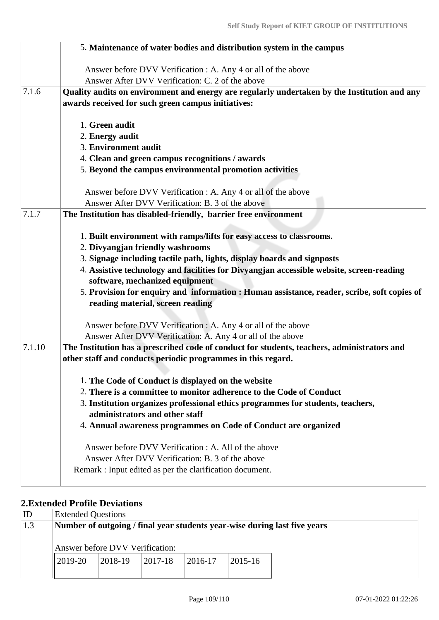|        | 5. Maintenance of water bodies and distribution system in the campus                                                            |
|--------|---------------------------------------------------------------------------------------------------------------------------------|
|        | Answer before DVV Verification : A. Any 4 or all of the above                                                                   |
|        | Answer After DVV Verification: C. 2 of the above                                                                                |
| 7.1.6  | Quality audits on environment and energy are regularly undertaken by the Institution and any                                    |
|        | awards received for such green campus initiatives:                                                                              |
|        | 1. Green audit                                                                                                                  |
|        | 2. Energy audit                                                                                                                 |
|        | 3. Environment audit                                                                                                            |
|        | 4. Clean and green campus recognitions / awards                                                                                 |
|        | 5. Beyond the campus environmental promotion activities                                                                         |
|        |                                                                                                                                 |
|        | Answer before DVV Verification : A. Any 4 or all of the above                                                                   |
|        | Answer After DVV Verification: B. 3 of the above                                                                                |
| 7.1.7  | The Institution has disabled-friendly, barrier free environment                                                                 |
|        |                                                                                                                                 |
|        | 1. Built environment with ramps/lifts for easy access to classrooms.                                                            |
|        | 2. Divyangjan friendly washrooms                                                                                                |
|        | 3. Signage including tactile path, lights, display boards and signposts                                                         |
|        | 4. Assistive technology and facilities for Divyangjan accessible website, screen-reading                                        |
|        | software, mechanized equipment                                                                                                  |
|        | 5. Provision for enquiry and information : Human assistance, reader, scribe, soft copies of<br>reading material, screen reading |
|        |                                                                                                                                 |
|        | Answer before DVV Verification : A. Any 4 or all of the above                                                                   |
|        | Answer After DVV Verification: A. Any 4 or all of the above                                                                     |
| 7.1.10 | The Institution has a prescribed code of conduct for students, teachers, administrators and                                     |
|        | other staff and conducts periodic programmes in this regard.                                                                    |
|        | 1. The Code of Conduct is displayed on the website                                                                              |
|        | 2. There is a committee to monitor adherence to the Code of Conduct                                                             |
|        | 3. Institution organizes professional ethics programmes for students, teachers,                                                 |
|        | administrators and other staff                                                                                                  |
|        | 4. Annual awareness programmes on Code of Conduct are organized                                                                 |
|        | Answer before DVV Verification : A. All of the above                                                                            |
|        | Answer After DVV Verification: B. 3 of the above                                                                                |
|        | Remark : Input edited as per the clarification document.                                                                        |
|        |                                                                                                                                 |

## **2.Extended Profile Deviations**

| ID  | <b>Extended Questions</b> |                                 |         |         |         |                                                                           |  |
|-----|---------------------------|---------------------------------|---------|---------|---------|---------------------------------------------------------------------------|--|
| 1.3 |                           |                                 |         |         |         | Number of outgoing / final year students year-wise during last five years |  |
|     |                           |                                 |         |         |         |                                                                           |  |
|     |                           | Answer before DVV Verification: |         |         |         |                                                                           |  |
|     | $ 2019-20 $               | 2018-19                         | 2017-18 | 2016-17 | 2015-16 |                                                                           |  |
|     |                           |                                 |         |         |         |                                                                           |  |